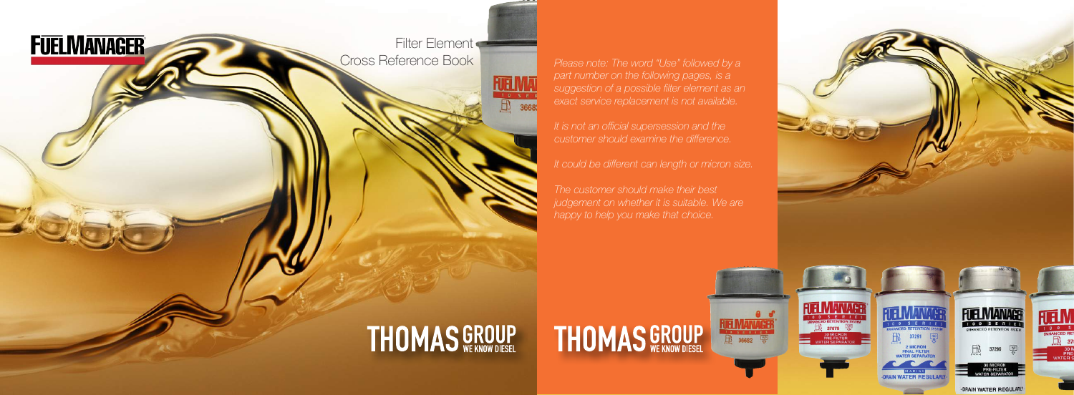Filter Element<br>Cross Reference Book

**RUELM** 

**FUELMANAGER** 

*part number on the following pages, is a suggestion of a possible filter element as an* 

*It could be different can length or micron size.* 

*judgement on whether it is suitable. We are happy to help you make that choice.*

**THOMAS GROUP** 

**FUELMANAGE** 

### **THOMAS GROUP**

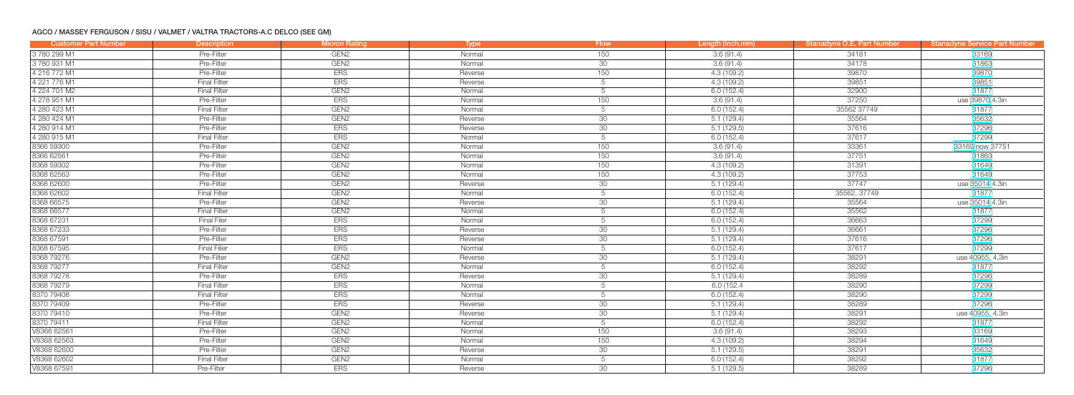#### AGCO / MASSEY FERGUSON / SISU / VALMET / VALTRA TRACTORS-A.C DELCO (SEE GM)

| <b>Customer Part Number</b> | <b>Description</b>  | <b>Micron Rating</b> | <b>Type</b> | <b>Flow</b>     | Length (Inch.mm) | Stanadyne O.E. Part Number | <b>Stanadyne Service Part Number</b> |
|-----------------------------|---------------------|----------------------|-------------|-----------------|------------------|----------------------------|--------------------------------------|
| 3780 299 M1                 | Pre-Filter          | GEN <sub>2</sub>     | Normal      | 150             | 3.6(91.4)        | 34181                      | 33169                                |
| 3780931M1                   | Pre-Filter          | GEN <sub>2</sub>     | Normal      | 30              | 3.6(91.4)        | 34178                      | 31863                                |
| 4 216 772 M1                | Pre-Filter          | <b>ERS</b>           | Reverse     | 150             | 4.3(109.2)       | 39870                      | 39870                                |
| 4 221 776 M1                | <b>Final Filter</b> | <b>ERS</b>           | Reverse     | 5               | 4.3 (109.2)      | 39851                      | 39851                                |
| 4 224 701 M2                | <b>Final Filter</b> | GEN <sub>2</sub>     | Normal      | 5               | 6.0(152.4)       | 32900                      | 31877                                |
| 4 278 951 M1                | Pre-Filter          | <b>ERS</b>           | Normal      | 150             | 3.6(91.4)        | 37250                      | use 39870,4.3in                      |
| 4 280 423 M1                | <b>Final Filter</b> | GEN <sub>2</sub>     | Normal      | 5               | 6.0(152.4)       | 35562 37749                | 31877                                |
| 4 280 424 M1                | Pre-Filter          | GEN <sub>2</sub>     | Reverse     | 30              | 5.1(129.4)       | 35564                      | 35632                                |
| 4 280 914 M1                | Pre-Filter          | <b>ERS</b>           | Reverse     | 30 <sup>°</sup> | 5.1(129.5)       | 37616                      | 37296                                |
| 4 280 915 M1                | <b>Final Filter</b> | <b>ERS</b>           | Normal      | 5               | 6.0(152.4)       | 37617                      | 37299                                |
| 8366 59300                  | Pre-Filter          | GEN <sub>2</sub>     | Normal      | 150             | 3.6(91.4)        | 33361                      | 33169 now 37751                      |
| 8366 62561                  | Pre-Filter          | GEN <sub>2</sub>     | Normal      | 150             | 3.6(91.4)        | 37751                      | 31863                                |
| 8368 59302                  | Pre-Filter          | GEN <sub>2</sub>     | Normal      | 150             | 4.3(109.2)       | 31391                      | 31649                                |
| 8368 62563                  | Pre-Filter          | GEN <sub>2</sub>     | Normal      | 150             | 4.3(109.2)       | 37753                      | 31649                                |
| 8368 62600                  | Pre-Filter          | GEN <sub>2</sub>     | Reverse     | 30              | 5.1(129.4)       | 37747                      | use 35014 4.3in                      |
| 8368 62602                  | <b>Final Filter</b> | GEN <sub>2</sub>     | Normal      | 5               | 6.0(152.4)       | 35562, 37749               | 31877                                |
| 8368 66575                  | Pre-Filter          | GEN <sub>2</sub>     | Reverse     | 30              | 5.1(129.4)       | 35564                      | use 35014 4.3in                      |
| 8368 66577                  | <b>Final Filter</b> | GEN <sub>2</sub>     | Normal      | 5               | 6.0(152.4)       | 35562                      | 31877                                |
| 8368 67231                  | <b>Final Filer</b>  | <b>ERS</b>           | Normal      | 5               | 6.0(152.4)       | 36663                      | 37299                                |
| 8368 67233                  | Pre-Filter          | <b>ERS</b>           | Reverse     | 30 <sup>7</sup> | 5.1(129.4)       | 36661                      | 37296                                |
| 8368 67591                  | Pre-Filter          | <b>ERS</b>           | Reverse     | 30              | 5.1(129.4)       | 37616                      | 37296                                |
| 8368 67595                  | <b>Final Filler</b> | <b>ERS</b>           | Normal      | 5               | 6.0(152.4)       | 37617                      | 37299                                |
| 8368 79276                  | Pre-Filter          | GEN <sub>2</sub>     | Reverse     | 30              | 5.1(129.4)       | 38291                      | use 40955, 4.3in                     |
| 836879277                   | <b>Final Filter</b> | GEN <sub>2</sub>     | Normal      | 5               | 6.0(152.4)       | 38292                      | 31877                                |
| 8368 79278                  | Pre-Filter          | <b>ERS</b>           | Reverse     | 30              | 5.1(129.4)       | 38289                      | 37296                                |
| 8368 79279                  | <b>Final Filter</b> | <b>ERS</b>           | Normal      | 5               | 6.0 (152.4)      | 38290                      | 37299                                |
| 8370 79408                  | <b>Final Filter</b> | <b>ERS</b>           | Normal      | 5               | 6.0(152.4)       | 38290                      | 37299                                |
| 8370 79409                  | Pre-Filter          | <b>ERS</b>           | Reverse     | 30              | 5.1(129.4)       | 38289                      | 37296                                |
| 8370 79410                  | Pre-Filter          | GEN <sub>2</sub>     | Reverse     | $\overline{30}$ | 5.1(129.4)       | 38291                      | use 40955, 4.3in                     |
| 8370 79411                  | <b>Final Filter</b> | GEN <sub>2</sub>     | Normal      | 5               | 6.0(152.4)       | 38292                      | 31877                                |
| V8366 62561                 | Pre-Filter          | GEN <sub>2</sub>     | Normal      | 150             | 3.6(91.4)        | 38293                      | 33169                                |
| V8368 62563                 | Pre-Filter          | GEN <sub>2</sub>     | Normal      | 150             | 4.3(109.2)       | 38294                      | 31649                                |
| V8368 62600                 | Pre-Filter          | GEN <sub>2</sub>     | Reverse     | 30              | 5.1(129.5)       | 38291                      | 35632                                |
| V8368 62602                 | <b>Final Filter</b> | GEN <sub>2</sub>     | Normal      | 5               | 6.0(152.4)       | 38292                      | 31877                                |
| V8368 67591                 | Pre-Filter          | <b>ERS</b>           | Reverse     | 30              | 5.1(129.5)       | 38289                      | 37296                                |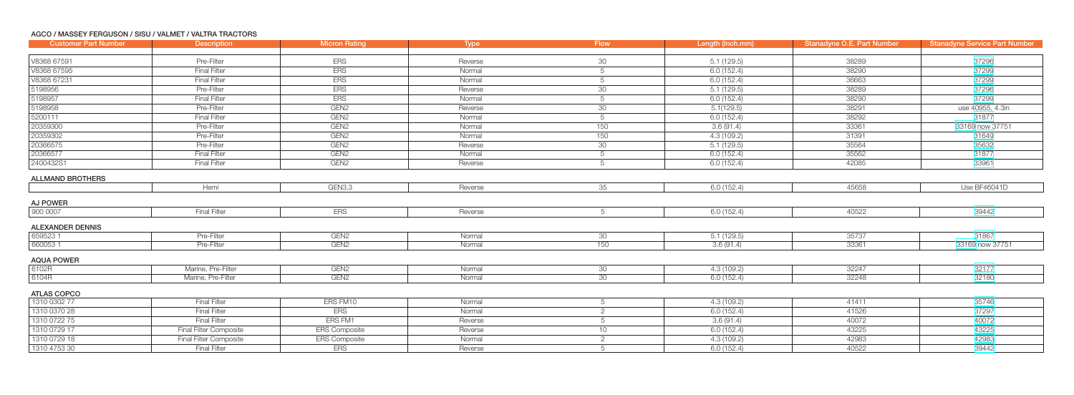#### AGCO / MASSEY FERGUSON / SISU / VALMET / VALTRA TRACTORS

| <b>Customer Part Number</b>        | <b>Description</b>     | <b>Micron Rating</b> | <b>Type</b> | <b>Flow</b>     | Length (Inch.mm) | <b>Stanadyne O.E. Part Number</b> | <b>Stanadyne Service Part Number</b> |
|------------------------------------|------------------------|----------------------|-------------|-----------------|------------------|-----------------------------------|--------------------------------------|
|                                    |                        |                      |             |                 |                  |                                   |                                      |
| V8368 67591                        | Pre-Filter             | <b>ERS</b>           | Reverse     | 30              | 5.1(129.5)       | 38289                             | 37296                                |
| V8368 67595                        | <b>Final Filter</b>    | <b>ERS</b>           | Normal      | 5               | 6.0(152.4)       | 38290                             | 37299                                |
| V8368 67231                        | <b>Final Filter</b>    | <b>ERS</b>           | Normal      | 5               | 6.0(152.4)       | 36663                             | 37299                                |
| 5198956                            | Pre-Filter             | <b>ERS</b>           | Reverse     | 30              | 5.1(129.5)       | 38289                             | 37296                                |
| 5198957                            | <b>Final Filter</b>    | <b>ERS</b>           | Normal      | 5               | 6.0(152.4)       | 38290                             | 37299                                |
| 5198958                            | Pre-Filter             | GEN <sub>2</sub>     | Reverse     | 30              | 5.1(129.5)       | 38291                             | use 40955, 4.3in                     |
| 5200111                            | <b>Final Filter</b>    | GEN <sub>2</sub>     | Normal      | 5               | 6.0 (152.4)      | 38292                             | 31877                                |
| 20359300                           | Pre-Filter             | GEN <sub>2</sub>     | Normal      | 150             | 3.6(91.4)        | 33361                             | 33169 now 37751                      |
| 20359302                           | Pre-Filter             | GEN <sub>2</sub>     | Normal      | 150             | 4.3(109.2)       | 31391                             | 31649                                |
| 20366575                           | Pre-Filter             | GEN <sub>2</sub>     | Reverse     | 30              | 5.1(129.5)       | 35564                             | 35632                                |
| 20366577                           | <b>Final Filter</b>    | GEN <sub>2</sub>     | Normal      | 5               | 6.0(152.4)       | 35562                             | 31877                                |
| 2400432S1                          | <b>Final Filter</b>    | GEN <sub>2</sub>     | Reverse     | 5               | 6.0(152.4)       | 42085                             | 33961                                |
| <b>ALLMAND BROTHERS</b>            |                        |                      |             |                 |                  |                                   |                                      |
|                                    | Hemi                   | GEN3.3               | Reverse     | 35              | 6.0(152.4)       | 45658                             | Use BF46041D                         |
| AJ POWER                           |                        |                      |             |                 |                  |                                   |                                      |
| 900 0007                           | <b>Final Filter</b>    | <b>ERS</b>           | Reverse     | 5               | 6.0(152.4)       | 40522                             | 39442                                |
|                                    |                        |                      |             |                 |                  |                                   |                                      |
| <b>ALEXANDER DENNIS</b><br>6595231 | Pre-Filter             | GEN <sub>2</sub>     | Normal      | 30 <sup>7</sup> | 5.1(129.5)       | 35737                             | 31867                                |
| 6600531                            | Pre-Filter             | GEN <sub>2</sub>     | Normal      | 150             | 3.6(91.4)        | 33361                             | 33169 now 37751                      |
|                                    |                        |                      |             |                 |                  |                                   |                                      |
| <b>AQUA POWER</b>                  |                        |                      |             |                 |                  |                                   |                                      |
| 6102R                              | Marine, Pre-Filter     | GEN <sub>2</sub>     | Normal      | 30              | 4.3 (109.2)      | 32247                             | 32177                                |
| 6104R                              | Marine, Pre-Filter     | GEN <sub>2</sub>     | Normal      | 30 <sup>7</sup> | 6.0(152.4)       | 32248                             | 32180                                |
| <b>ATLAS COPCO</b>                 |                        |                      |             |                 |                  |                                   |                                      |
| 1310 0302 77                       | <b>Final Filter</b>    | ERS FM10             | Normal      | 5               | 4.3(109.2)       | 41411                             | 35746                                |
| 1310 0370 28                       | <b>Final Filter</b>    | <b>ERS</b>           | Normal      | $\overline{2}$  | 6.0(152.4)       | 41526                             | 37297                                |
| 1310 0722 75                       | <b>Final Filter</b>    | ERS FM1              | Reverse     |                 | 3.6(91.4)        | 40072                             | 40072                                |
| 1310 0729 17                       | Final Filter Composite | <b>ERS Composite</b> | Reverse     | 10 <sup>1</sup> | 6.0(152.4)       | 43225                             | 43225                                |
| 1310 0729 18                       | Final Filter Composite | <b>ERS Composite</b> | Normal      | $\mathcal{P}$   | 4.3(109.2)       | 42983                             | 42983                                |
| 1310 4753 30                       | Final Filter           | <b>ERS</b>           | Reverse     |                 | 6.0(152.4)       | 40522                             | 39442                                |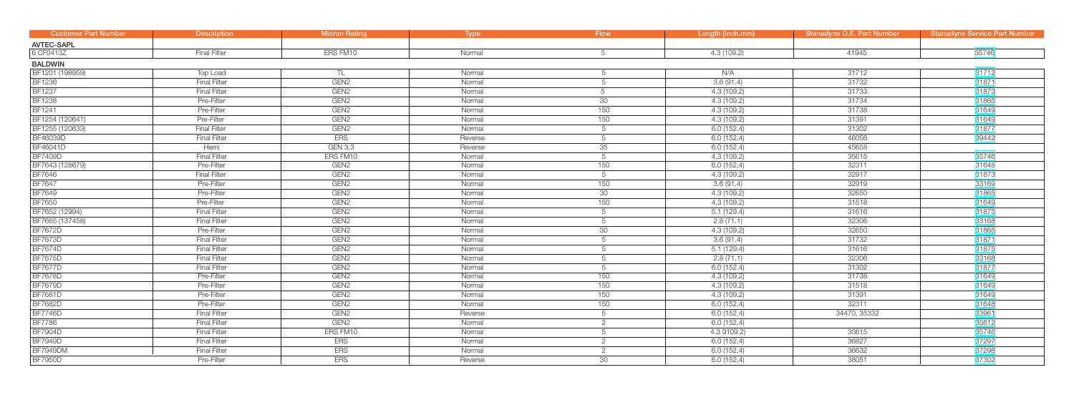| <b>Customer Part Number</b> | <b>Description</b>  | <b>Micron Rating</b> | <b>Type</b> | <b>Flow</b>    | Length (Inch.mm) | <b>Stanadyne O.E. Part Number</b> | <b>Stanadyne Service Part Number</b> |
|-----------------------------|---------------------|----------------------|-------------|----------------|------------------|-----------------------------------|--------------------------------------|
| <b>AVTEC-SAPL</b>           |                     |                      |             |                |                  |                                   |                                      |
| 6 CF0413Z                   | <b>Final Filter</b> | ERS FM10             | Normal      | 5              | 4.3(109.2)       | 41945                             | 35746                                |
| <b>BALDWIN</b>              |                     |                      |             |                |                  |                                   |                                      |
| BF1201 (198959)             | Top Load            | TL                   | Normal      | 5              | N/A              | 31712                             | 31712                                |
| <b>BF1236</b>               | <b>Final Filter</b> | GEN <sub>2</sub>     | Normal      | 5              | 3.6(91.4)        | 31732                             | 31871                                |
| <b>BF1237</b>               | <b>Final Filter</b> | GEN <sub>2</sub>     | Normal      | 5              | 4.3(109.2)       | 31733                             | 31873                                |
| <b>BF1238</b>               | Pre-Filter          | GEN <sub>2</sub>     | Normal      | 30             | 4.3(109.2)       | 31734                             | 31865                                |
| <b>BF1241</b>               | Pre-Filter          | GEN <sub>2</sub>     | Normal      | 150            | 4.3 (109.2)      | 31738                             | 31649                                |
| BF1254 (120641)             | Pre-Filter          | GEN <sub>2</sub>     | Normal      | 150            | 4.3(109.2)       | 31391                             | 31649                                |
| BF1255 (120633)             | <b>Final Filter</b> | GEN <sub>2</sub>     | Normal      | 5              | 6.0(152.4)       | 31302                             | 31877                                |
| <b>BF46039D</b>             | <b>Final Filter</b> | <b>ERS</b>           | Reverse     | 5              | 6.0(152.4)       | 46056                             | 39442                                |
| BF46041D                    | Hemi                | <b>GEN 3.3</b>       | Reverse     | 35             | 6.0(152.4)       | 45658                             |                                      |
| <b>BF7409D</b>              | <b>Final Filter</b> | ERS FM10             | Normal      | 5              | 4.3(109.2)       | 35615                             | 35746                                |
| BF7643 (128679)             | Pre-Filter          | GEN <sub>2</sub>     | Normal      | 150            | 6.0(152.4)       | 32311                             | 31648                                |
| <b>BF7646</b>               | <b>Final Filter</b> | GEN <sub>2</sub>     | Normal      | 5              | 4.3(109.2)       | 32917                             | 31873                                |
| <b>BF7647</b>               | Pre-Filter          | GEN <sub>2</sub>     | Normal      | 150            | 3.6(91.4)        | 32919                             | 33169                                |
| <b>BF7649</b>               | Pre-Filter          | GEN <sub>2</sub>     | Normal      | 30             | 4.3(109.2)       | 32650                             | 31865                                |
| <b>BF7650</b>               | Pre-Filter          | GEN <sub>2</sub>     | Normal      | 150            | 4.3(109.2)       | 31518                             | 31649                                |
| BF7652 (12994)              | <b>Final Filter</b> | GEN <sub>2</sub>     | Normal      | 5              | 5.1(129.4)       | 31616                             | 31875                                |
| BF7665 (137458)             | <b>Final Filter</b> | GEN <sub>2</sub>     | Normal      | 5              | 2.8(71.1)        | 32306                             | 33168                                |
| <b>BF7672D</b>              | Pre-Filter          | GEN <sub>2</sub>     | Normal      | 30             | 4.3(109.2)       | 32650                             | 31865                                |
| <b>BF7673D</b>              | <b>Final Filter</b> | GEN <sub>2</sub>     | Normal      | 5              | 3.6(91.4)        | 31732                             | 31871                                |
| <b>BF7674D</b>              | <b>Final Filter</b> | GEN <sub>2</sub>     | Normal      | 5              | 5.1(129.4)       | 31616                             | 31875                                |
| <b>BF7675D</b>              | <b>Final Filter</b> | GEN <sub>2</sub>     | Normal      | 5              | 2.8(71.1)        | 32306                             | 33168                                |
| <b>BF7677D</b>              | <b>Final Filter</b> | GEN <sub>2</sub>     | Normal      | 5              | 6.0(152.4)       | 31302                             | 31877                                |
| <b>BF7678D</b>              | Pre-Filter          | GEN <sub>2</sub>     | Normal      | 150            | 4.3 (109.2)      | 31738                             | 31649                                |
| <b>BF7679D</b>              | Pre-Filter          | GEN <sub>2</sub>     | Normal      | 150            | 4.3 (109.2)      | 31518                             | 31649                                |
| <b>BF7681D</b>              | Pre-Filter          | GEN <sub>2</sub>     | Normal      | 150            | 4.3(109.2)       | 31391                             | 31649                                |
| <b>BF7682D</b>              | Pre-Filter          | GEN <sub>2</sub>     | Normal      | 150            | 6.0(152.4)       | 32311                             | 31648                                |
| <b>BF7746D</b>              | <b>Final Filter</b> | GEN <sub>2</sub>     | Reverse     | 5              | 6.0(152.4)       | 34470, 35332                      | 33961                                |
| <b>BF7786</b>               | <b>Final Filter</b> | GEN <sub>2</sub>     | Normal      | $\overline{2}$ | 6.0(152.4)       |                                   | 35612                                |
| <b>BF7904D</b>              | <b>Final Filter</b> | ERS FM10             | Normal      | 5              | 4.3 9109.2)      | 35615                             | 35746                                |
| <b>BF7949D</b>              | <b>Final Filter</b> | <b>ERS</b>           | Normal      | $\overline{2}$ | 6.0(152.4)       | 36827                             | 37297                                |
| <b>BF7949DM</b>             | <b>Final Filter</b> | <b>ERS</b>           | Normal      | $\overline{2}$ | 6.0(152.4)       | 36632                             | 37298                                |
| <b>BF7950D</b>              | Pre-Filter          | <b>ERS</b>           | Reverse     | 30             | 6.0(152.4)       | 38051                             | 37302                                |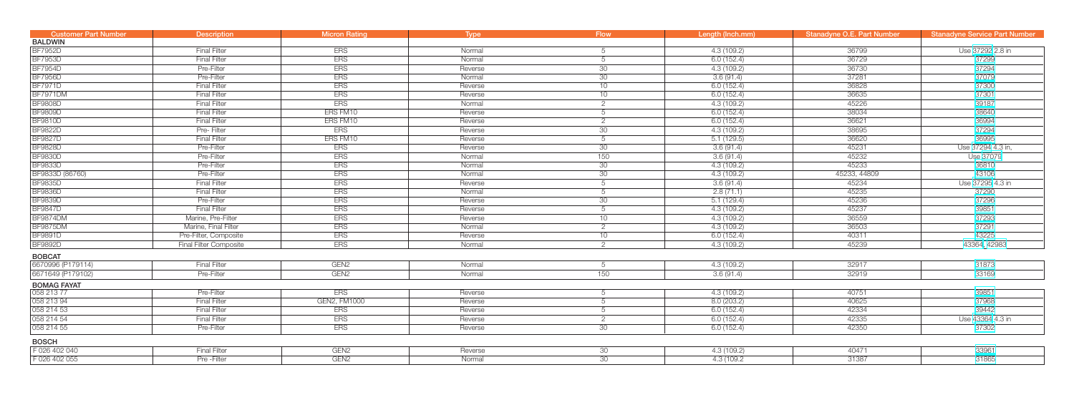| <b>Customer Part Number</b> | <b>Description</b>            | <b>Micron Rating</b> | Type    | <b>Flow</b>     | Length (Inch.mm) | <b>Stanadyne O.E. Part Number</b> | <b>Stanadyne Service Part Number</b> |
|-----------------------------|-------------------------------|----------------------|---------|-----------------|------------------|-----------------------------------|--------------------------------------|
| <b>BALDWIN</b>              |                               |                      |         |                 |                  |                                   |                                      |
| <b>BF7952D</b>              | <b>Final Filter</b>           | <b>ERS</b>           | Normal  | 5               | 4.3(109.2)       | 36799                             | Use 37292 2.8 in                     |
| <b>BF7953D</b>              | <b>Final Filter</b>           | <b>ERS</b>           | Normal  | 5               | 6.0(152.4)       | 36729                             | 37299                                |
| <b>BF7954D</b>              | Pre-Filter                    | <b>ERS</b>           | Reverse | 30              | 4.3(109.2)       | 36730                             | 37294                                |
| <b>BF7956D</b>              | Pre-Filter                    | <b>ERS</b>           | Normal  | 30              | 3.6(91.4)        | 37281                             | 37079                                |
| <b>BF7971D</b>              | <b>Final Filter</b>           | <b>ERS</b>           | Reverse | 10              | 6.0(152.4)       | 36828                             | 37300                                |
| <b>BF7971DM</b>             | <b>Final Filter</b>           | <b>ERS</b>           | Reverse | 10              | 6.0(152.4)       | 36635                             | 37301                                |
| <b>BF9808D</b>              | <b>Final Filter</b>           | <b>ERS</b>           | Normal  | 2               | 4.3(109.2)       | 45226                             | 39187                                |
| <b>BF9809D</b>              | <b>Final Filter</b>           | ERS FM10             | Reverse | 5               | 6.0(152.4)       | 38034                             | 38640                                |
| <b>BF9810D</b>              | <b>Final Filter</b>           | ERS FM10             | Reverse | $\overline{2}$  | 6.0(152.4)       | 36621                             | 36994                                |
| <b>BF9822D</b>              | Pre-Filter                    | <b>ERS</b>           | Reverse | 30              | 4.3(109.2)       | 38695                             | 37294                                |
| <b>BF9827D</b>              | <b>Final Filter</b>           | ERS FM10             | Reverse | 5               | 5.1(129.5)       | 36620                             | 36995                                |
| <b>BF9828D</b>              | Pre-Filter                    | <b>ERS</b>           | Reverse | 30              | 3.6(91.4)        | 45231                             | Use 37294 4.3 in,                    |
| <b>BF9830D</b>              | Pre-Filter                    | <b>ERS</b>           | Normal  | 150             | 3.6(91.4)        | 45232                             | Use 37079                            |
| <b>BF9833D</b>              | Pre-Filter                    | <b>ERS</b>           | Normal  | 30              | 4.3(109.2)       | 45233                             | 36810                                |
| BF9833D (86760)             | Pre-Filter                    | <b>ERS</b>           | Normal  | 30              | 4.3(109.2)       | 45233, 44809                      | 43106                                |
| <b>BF9835D</b>              | <b>Final Filter</b>           | <b>ERS</b>           | Reverse | 5               | 3.6(91.4)        | 45234                             | Use 37295 4.3 in                     |
| <b>BF9836D</b>              | <b>Final Filter</b>           | <b>ERS</b>           | Normal  | 5               | 2.8(71.1)        | 45235                             | 37290                                |
| <b>BF9839D</b>              | Pre-Filter                    | <b>ERS</b>           | Reverse | 30              | 5.1(129.4)       | 45236                             | 37296                                |
| <b>BF9847D</b>              | <b>Final Filter</b>           | <b>ERS</b>           | Reverse | 5               | 4.3(109.2)       | 45237                             | 39851                                |
| <b>BF9874DM</b>             | Marine, Pre-Filter            | <b>ERS</b>           | Reverse | 10              | 4.3(109.2)       | 36559                             | 37293                                |
| <b>BF9875DM</b>             | Marine, Final Filter          | <b>ERS</b>           | Normal  | $\overline{2}$  | 4.3(109.2)       | 36503                             | 37291                                |
| <b>BF9891D</b>              | Pre-Filter, Composite         | <b>ERS</b>           | Reverse | 10              | 6.0(152.4)       | 40311                             | 43225                                |
| <b>BF9892D</b>              | <b>Final Filter Composite</b> | <b>ERS</b>           | Normal  | $\overline{2}$  | 4.3(109.2)       | 45239                             | 43364, 42983                         |
| <b>BOBCAT</b>               |                               |                      |         |                 |                  |                                   |                                      |
| 6670996 (P179114)           | <b>Final Filter</b>           | GEN <sub>2</sub>     | Normal  | 5               | 4.3(109.2)       | 32917                             | 31873                                |
| 6671649 (P179102)           | Pre-Filter                    | GEN <sub>2</sub>     | Normal  | 150             | 3.6(91.4)        | 32919                             | 33169                                |
| <b>BOMAG FAYAT</b>          |                               |                      |         |                 |                  |                                   |                                      |
| 058 213 77                  | Pre-Filter                    | <b>ERS</b>           | Reverse | 5               | 4.3(109.2)       | 40751                             | 39851                                |
| 058 213 94                  | <b>Final Filter</b>           | GEN2, FM1000         | Reverse |                 | 8.0(203.2)       | 40625                             | 37968                                |
| 058 214 53                  | <b>Final Filter</b>           | <b>ERS</b>           | Reverse | 5               | 6.0(152.4)       | 42334                             | 39442                                |
| 058 214 54                  | <b>Final Filter</b>           | <b>ERS</b>           | Reverse | $\overline{2}$  | 6.0(152.4)       | 42335                             | Use 43364 4.3 in                     |
| 058 214 55                  | Pre-Filter                    | <b>ERS</b>           | Reverse | 30 <sup>7</sup> | 6.0(152.4)       | 42350                             | 37302                                |
| <b>BOSCH</b>                |                               |                      |         |                 |                  |                                   |                                      |
| F 026 402 040               | <b>Final Filter</b>           | GEN <sub>2</sub>     | Reverse | 30              | 4.3(109.2)       | 40471                             | 33961                                |
| F 026 402 055               | Pre - Filter                  | GEN <sub>2</sub>     | Normal  | 30              | 4.3 (109.2)      | 31387                             | 31865                                |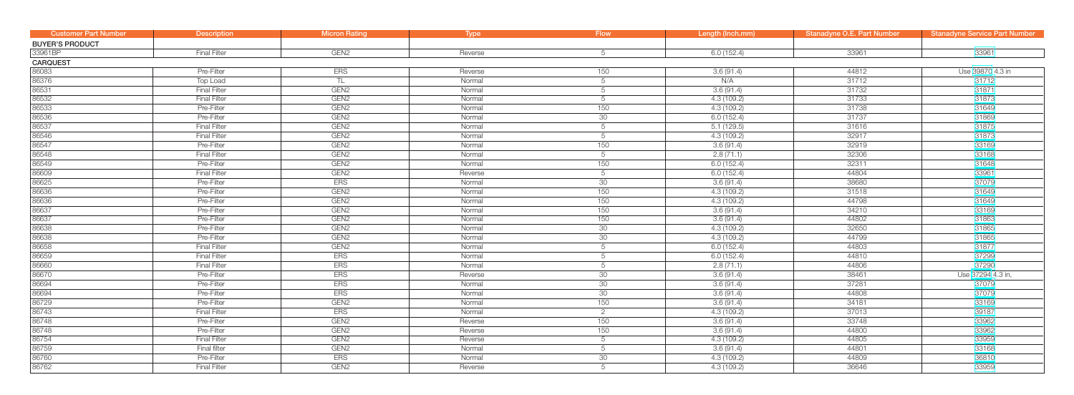| <b>Customer Part Number</b> | <b>Description</b>  | <b>Micron Rating</b> | Type    | <b>Flow</b> | Length (Inch.mm) | Stanadyne O.E. Part Number | <b>Stanadyne Service Part Number</b> |
|-----------------------------|---------------------|----------------------|---------|-------------|------------------|----------------------------|--------------------------------------|
| <b>BUYER'S PRODUCT</b>      |                     |                      |         |             |                  |                            |                                      |
| 33961BP                     | <b>Final Filter</b> | GEN <sub>2</sub>     | Reverse | 5           | 6.0(152.4)       | 33961                      | 33961                                |
| <b>CARQUEST</b>             |                     |                      |         |             |                  |                            |                                      |
| 86083                       | Pre-Filter          | <b>ERS</b>           | Reverse | 150         | 3.6(91.4)        | 44812                      | Use 39870 4.3 in                     |
| 86376                       | <b>Top Load</b>     | TL                   | Normal  | 5           | N/A              | 31712                      | 31712                                |
| 86531                       | <b>Final Filter</b> | GEN <sub>2</sub>     | Normal  | 5           | 3.6(91.4)        | 31732                      | 31871                                |
| 86532                       | <b>Final Filter</b> | GEN <sub>2</sub>     | Normal  | 5           | 4.3 (109.2)      | 31733                      | 31873                                |
| 86533                       | Pre-Filter          | GEN <sub>2</sub>     | Normal  | 150         | 4.3 (109.2)      | 31738                      | 31649                                |
| 86536                       | Pre-Filter          | GEN <sub>2</sub>     | Normal  | 30          | 6.0(152.4)       | 31737                      | 31869                                |
| 86537                       | <b>Final Filter</b> | GEN <sub>2</sub>     | Normal  | 5           | 5.1(129.5)       | 31616                      | 31875                                |
| 86546                       | <b>Final Filter</b> | GEN <sub>2</sub>     | Normal  | 5           | 4.3 (109.2)      | 32917                      | 31873                                |
| 86547                       | Pre-Filter          | GEN <sub>2</sub>     | Normal  | 150         | 3.6(91.4)        | 32919                      | 33169                                |
| 86548                       | <b>Final Filter</b> | GEN <sub>2</sub>     | Normal  | 5           | 2.8(71.1)        | 32306                      | 33168                                |
| 86549                       | Pre-Filter          | GEN <sub>2</sub>     | Normal  | 150         | 6.0(152.4)       | 32311                      | 31648                                |
| 86609                       | <b>Final Filter</b> | GEN <sub>2</sub>     | Reverse | 5           | 6.0(152.4)       | 44804                      | 33961                                |
| 86625                       | Pre-Filter          | <b>ERS</b>           | Normal  | 30          | 3.6(91.4)        | 38680                      | 37079                                |
| 86636                       | Pre-Filter          | GEN <sub>2</sub>     | Normal  | 150         | 4.3 (109.2)      | 31518                      | 31649                                |
| 86636                       | Pre-Filter          | GEN <sub>2</sub>     | Normal  | 150         | 4.3 (109.2)      | 44798                      | 31649                                |
| 86637                       | Pre-Filter          | GEN <sub>2</sub>     | Normal  | 150         | 3.6(91.4)        | 34210                      | 33169                                |
| 86637                       | Pre-Filter          | GEN <sub>2</sub>     | Normal  | 150         | 3.6(91.4)        | 44802                      | 31863                                |
| 86638                       | Pre-Filter          | GEN <sub>2</sub>     | Normal  | 30          | 4.3 (109.2)      | 32650                      | 31865                                |
| 86638                       | Pre-Filter          | GEN <sub>2</sub>     | Normal  | 30          | 4.3 (109.2)      | 44799                      | 31865                                |
| 86658                       | <b>Final Filter</b> | GEN <sub>2</sub>     | Normal  | 5           | 6.0(152.4)       | 44803                      | 31877                                |
| 86659                       | <b>Final Filter</b> | <b>ERS</b>           | Normal  | 5           | 6.0(152.4)       | 44810                      | 37299                                |
| 86660                       | <b>Final Filter</b> | <b>ERS</b>           | Normal  | 5           | 2.8(71.1)        | 44806                      | 37290                                |
| 86670                       | Pre-Filter          | ERS                  | Reverse | 30          | 3.6(91.4)        | 38461                      | Use 37294 4.3 in,                    |
| 86694                       | Pre-Filter          | ERS                  | Normal  | 30          | 3.6(91.4)        | 37281                      | 37079                                |
| 86694                       | Pre-Filter          | <b>ERS</b>           | Normal  | 30          | 3.6(91.4)        | 44808                      | 37079                                |
| 86729                       | Pre-Filter          | GEN <sub>2</sub>     | Normal  | 150         | 3.6(91.4)        | 34181                      | 33169                                |
| 86743                       | <b>Final Filter</b> | <b>ERS</b>           | Normal  | 2           | 4.3 (109.2)      | 37013                      | 39187                                |
| 86748                       | Pre-Filter          | GEN <sub>2</sub>     | Reverse | 150         | 3.6(91.4)        | 33748                      | 33962                                |
| 86748                       | Pre-Filter          | GEN <sub>2</sub>     | Reverse | 150         | 3.6(91.4)        | 44800                      | 33962                                |
| 86754                       | <b>Final Filter</b> | GEN <sub>2</sub>     | Reverse | 5           | 4.3 (109.2)      | 44805                      | 33959                                |
| 86759                       | Final filter        | GEN <sub>2</sub>     | Normal  | 5           | 3.6(91.4)        | 44801                      | 33168                                |
| 86760                       | Pre-Filter          | <b>ERS</b>           | Normal  | 30          | 4.3 (109.2)      | 44809                      | 36810                                |
| 86762                       | <b>Final Filter</b> | GEN <sub>2</sub>     | Reverse | 5           | 4.3 (109.2)      | 36646                      | 33959                                |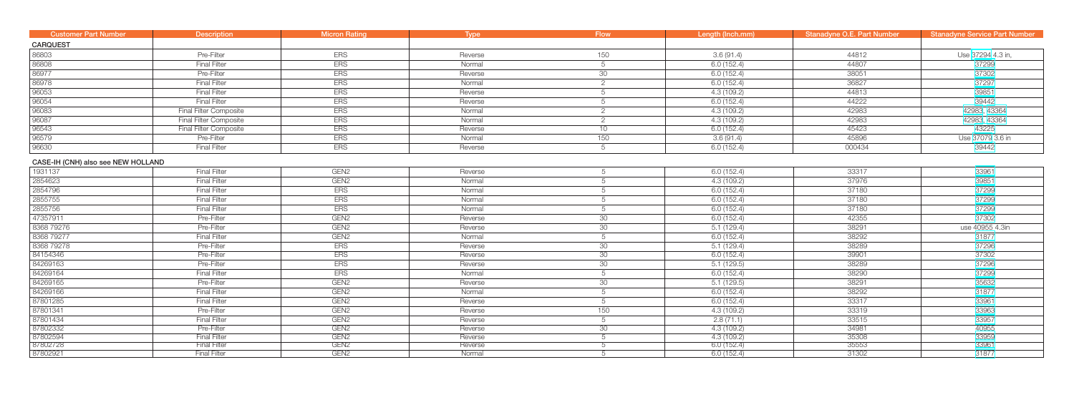| <b>Customer Part Number</b>        | <b>Description</b>            | <b>Micron Rating</b> | Type    | <b>Flow</b>     | Length (Inch.mm) | <b>Stanadyne O.E. Part Number</b> | <b>Stanadyne Service Part Number</b> |
|------------------------------------|-------------------------------|----------------------|---------|-----------------|------------------|-----------------------------------|--------------------------------------|
| <b>CARQUEST</b>                    |                               |                      |         |                 |                  |                                   |                                      |
| 86803                              | Pre-Filter                    | <b>ERS</b>           | Reverse | 150             | 3.6(91.4)        | 44812                             | Use 37294 4.3 in,                    |
| 86808                              | <b>Final Filter</b>           | <b>ERS</b>           | Normal  | 5               | 6.0(152.4)       | 44807                             | 37299                                |
| 86977                              | Pre-Filter                    | <b>ERS</b>           | Reverse | 30              | 6.0(152.4)       | 38051                             | 37302                                |
| 86978                              | <b>Final Filter</b>           | <b>ERS</b>           | Normal  | $\overline{2}$  | 6.0(152.4)       | 36827                             | 37297                                |
| 96053                              | <b>Final Filter</b>           | <b>ERS</b>           | Reverse | 5               | 4.3(109.2)       | 44813                             | 39851                                |
| 96054                              | <b>Final Filter</b>           | <b>ERS</b>           | Reverse | 5               | 6.0(152.4)       | 44222                             | 39442                                |
| 96083                              | <b>Final Filter Composite</b> | <b>ERS</b>           | Normal  | $\overline{2}$  | 4.3(109.2)       | 42983                             | 42983, 43364                         |
| 96087                              | <b>Final Filter Composite</b> | <b>ERS</b>           | Normal  | 2               | 4.3(109.2)       | 42983                             | 42983, 43364                         |
| 96543                              | <b>Final Filter Composite</b> | <b>ERS</b>           | Reverse | 10 <sup>1</sup> | 6.0(152.4)       | 45423                             | 43225                                |
| 96579                              | Pre-Filter                    | <b>ERS</b>           | Normal  | 150             | 3.6(91.4)        | 45896                             | Use 37079 3.6 in                     |
| 96630                              | <b>Final Filter</b>           | <b>ERS</b>           | Reverse | 5               | 6.0(152.4)       | 000434                            | 39442                                |
| CASE-IH (CNH) also see NEW HOLLAND |                               |                      |         |                 |                  |                                   |                                      |
| 1931137                            | <b>Final Filter</b>           | GEN <sub>2</sub>     | Reverse | 5               | 6.0(152.4)       | 33317                             | 33961                                |
| 2854623                            | <b>Final Filter</b>           | GEN <sub>2</sub>     | Normal  | 5               | 4.3(109.2)       | 37976                             | 39851                                |
| 2854796                            | <b>Final Filter</b>           | <b>ERS</b>           | Normal  |                 | 6.0(152.4)       | 37180                             | 37299                                |
| 2855755                            | <b>Final Filter</b>           | <b>ERS</b>           | Normal  | 5               | 6.0(152.4)       | 37180                             | 37299                                |
| 2855756                            | <b>Final Filter</b>           | <b>ERS</b>           | Normal  | 5               | 6.0(152.4)       | 37180                             | 37299                                |
| 47357911                           | Pre-Filter                    | GEN <sub>2</sub>     | Reverse | 30              | 6.0(152.4)       | 42355                             | 37302                                |
| 8368 79276                         | Pre-Filter                    | GEN <sub>2</sub>     | Reverse | 30              | 5.1(129.4)       | 38291                             | use 40955 4.3in                      |
| 8368 79277                         | <b>Final Filter</b>           | GEN <sub>2</sub>     | Normal  | 5               | 6.0(152.4)       | 38292                             | 31877                                |
| 8368 79278                         | Pre-Filter                    | <b>ERS</b>           | Reverse | 30              | 5.1(129.4)       | 38289                             | 37296                                |
| 84154346                           | Pre-Filter                    | <b>ERS</b>           | Reverse | 30              | 6.0(152.4)       | 39901                             | 37302                                |
| 84269163                           | Pre-Filter                    | <b>ERS</b>           | Reverse | 30              | 5.1(129.5)       | 38289                             | 37296                                |
| 84269164                           | <b>Final Filter</b>           | <b>ERS</b>           | Normal  | 5               | 6.0(152.4)       | 38290                             | 37299                                |
| 84269165                           | Pre-Filter                    | GEN <sub>2</sub>     | Reverse | 30              | 5.1(129.5)       | 38291                             | 35632                                |
| 84269166                           | <b>Final Filter</b>           | GEN <sub>2</sub>     | Normal  | 5               | 6.0(152.4)       | 38292                             | 31877                                |
| 87801285                           | <b>Final Filter</b>           | GEN <sub>2</sub>     | Reverse | 5               | 6.0(152.4)       | 33317                             | 33961                                |
| 87801341                           | Pre-Filter                    | GEN <sub>2</sub>     | Reverse | 150             | 4.3 (109.2)      | 33319                             | 33963                                |
| 87801434                           | <b>Final Filter</b>           | GEN <sub>2</sub>     | Reverse | 5               | 2.8(71.1)        | 33515                             | 33957                                |
| 87802332                           | Pre-Filter                    | GEN <sub>2</sub>     | Reverse | 30 <sup>°</sup> | 4.3(109.2)       | 34981                             | 40955                                |
| 87802594                           | <b>Final Filter</b>           | GEN <sub>2</sub>     | Reverse | 5               | 4.3(109.2)       | 35308                             | 33959                                |
| 87802728                           | <b>Final Filter</b>           | GEN <sub>2</sub>     | Reverse |                 | 6.0(152.4)       | 35553                             | 33961                                |
| 87802921                           | <b>Final Filter</b>           | GEN <sub>2</sub>     | Normal  |                 | 6.0(152.4)       | 31302                             | 31877                                |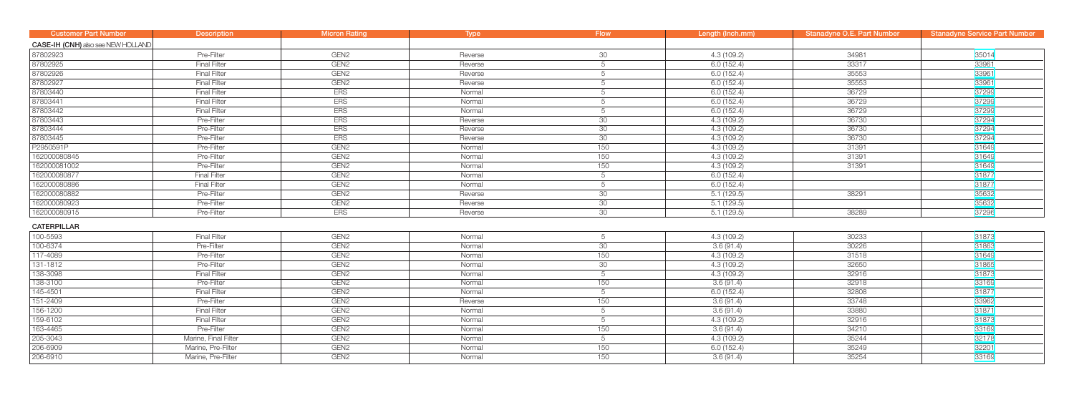| <b>Customer Part Number</b>        | <b>Description</b>   | <b>Micron Rating</b> | <b>Type</b> | <b>Flow</b>     | Length (Inch.mm) | Stanadyne O.E. Part Number | <b>Stanadyne Service Part Number</b> |
|------------------------------------|----------------------|----------------------|-------------|-----------------|------------------|----------------------------|--------------------------------------|
| CASE-IH (CNH) also see NEW HOLLAND |                      |                      |             |                 |                  |                            |                                      |
| 87802923                           | Pre-Filter           | GEN <sub>2</sub>     | Reverse     | 30              | 4.3 (109.2)      | 34981                      | 35014                                |
| 87802925                           | <b>Final Filter</b>  | GEN <sub>2</sub>     | Reverse     | 5               | 6.0(152.4)       | 33317                      | 33961                                |
| 87802926                           | <b>Final Filter</b>  | GEN <sub>2</sub>     | Reverse     | 5               | 6.0(152.4)       | 35553                      | 33961                                |
| 87802927                           | <b>Final Filter</b>  | GEN <sub>2</sub>     | Reverse     | 5               | 6.0(152.4)       | 35553                      | 33961                                |
| 87803440                           | <b>Final Filter</b>  | <b>ERS</b>           | Normal      | 5               | 6.0(152.4)       | 36729                      | 37299                                |
| 87803441                           | <b>Final Filter</b>  | <b>ERS</b>           | Normal      | 5               | 6.0(152.4)       | 36729                      | 37299                                |
| 87803442                           | <b>Final Filter</b>  | <b>ERS</b>           | Normal      | 5               | 6.0(152.4)       | 36729                      | 37299                                |
| 87803443                           | Pre-Filter           | <b>ERS</b>           | Reverse     | 30              | 4.3(109.2)       | 36730                      | 37294                                |
| 87803444                           | Pre-Filter           | <b>ERS</b>           | Reverse     | 30              | 4.3(109.2)       | 36730                      | 37294                                |
| 87803445                           | Pre-Filter           | <b>ERS</b>           | Reverse     | 30 <sup>°</sup> | 4.3(109.2)       | 36730                      | 37294                                |
| P2950591P                          | Pre-Filter           | GEN <sub>2</sub>     | Normal      | 150             | 4.3(109.2)       | 31391                      | 31649                                |
| 162000080845                       | Pre-Filter           | GEN <sub>2</sub>     | Normal      | 150             | 4.3(109.2)       | 31391                      | 31649                                |
| 162000081002                       | Pre-Filter           | GEN <sub>2</sub>     | Normal      | 150             | 4.3(109.2)       | 31391                      | 31649                                |
| 162000080877                       | <b>Final Filter</b>  | GEN <sub>2</sub>     | Normal      | 5               | 6.0(152.4)       |                            | 31877                                |
| 162000080886                       | <b>Final Filter</b>  | GEN <sub>2</sub>     | Normal      | 5               | 6.0(152.4)       |                            | 31877                                |
| 162000080882                       | Pre-Filter           | GEN <sub>2</sub>     | Reverse     | 30              | 5.1(129.5)       | 38291                      | 35632                                |
| 162000080923                       | Pre-Filter           | GEN <sub>2</sub>     | Reverse     | 30              | 5.1(129.5)       |                            | 35632                                |
| 162000080915                       | Pre-Filter           | <b>ERS</b>           | Reverse     | $\overline{30}$ | 5.1(129.5)       | 38289                      | 37296                                |
| <b>CATERPILLAR</b>                 |                      |                      |             |                 |                  |                            |                                      |
| 100-5593                           | <b>Final Filter</b>  | GEN <sub>2</sub>     | Normal      | 5               | 4.3(109.2)       | 30233                      | 31873                                |
| 100-6374                           | Pre-Filter           | GEN <sub>2</sub>     | Normal      | 30              | 3.6(91.4)        | 30226                      | 31863                                |
| 117-4089                           | Pre-Filter           | GEN <sub>2</sub>     | Normal      | 150             | 4.3(109.2)       | 31518                      | 31649                                |
| 131-1812                           | Pre-Filter           | GEN <sub>2</sub>     | Normal      | 30              | 4.3(109.2)       | 32650                      | 31865                                |
| 138-3098                           | <b>Final Filter</b>  | GEN <sub>2</sub>     | Normal      | 5               | 4.3(109.2)       | 32916                      | 31873                                |
| 138-3100                           | Pre-Filter           | GEN <sub>2</sub>     | Normal      | 150             | 3.6(91.4)        | 32918                      | 33169                                |
| $145 - 4501$                       | <b>Final Filter</b>  | GEN <sub>2</sub>     | Normal      | 5               | 6.0(152.4)       | 32808                      | 31877                                |
| $151 - 2409$                       | Pre-Filter           | GEN <sub>2</sub>     | Reverse     | 150             | 3.6(91.4)        | 33748                      | 33962                                |
| 156-1200                           | <b>Final Filter</b>  | GEN <sub>2</sub>     | Normal      | 5               | 3.6(91.4)        | 33880                      | 31871                                |
| 159-6102                           | <b>Final Filter</b>  | GEN <sub>2</sub>     | Normal      | 5               | 4.3(109.2)       | 32916                      | 31873                                |
| 163-4465                           | Pre-Filter           | GEN <sub>2</sub>     | Normal      | 150             | 3.6(91.4)        | 34210                      | 33169                                |
| 205-3043                           | Marine, Final Filter | GEN <sub>2</sub>     | Normal      | 5               | 4.3 (109.2)      | 35244                      | 32178                                |
| 206-6909                           | Marine, Pre-Filter   | GEN <sub>2</sub>     | Normal      | 150             | 6.0(152.4)       | 35249                      | 32201                                |
| 206-6910                           | Marine, Pre-Filter   | GEN <sub>2</sub>     | Normal      | 150             | 3.6(91.4)        | 35254                      | 33169                                |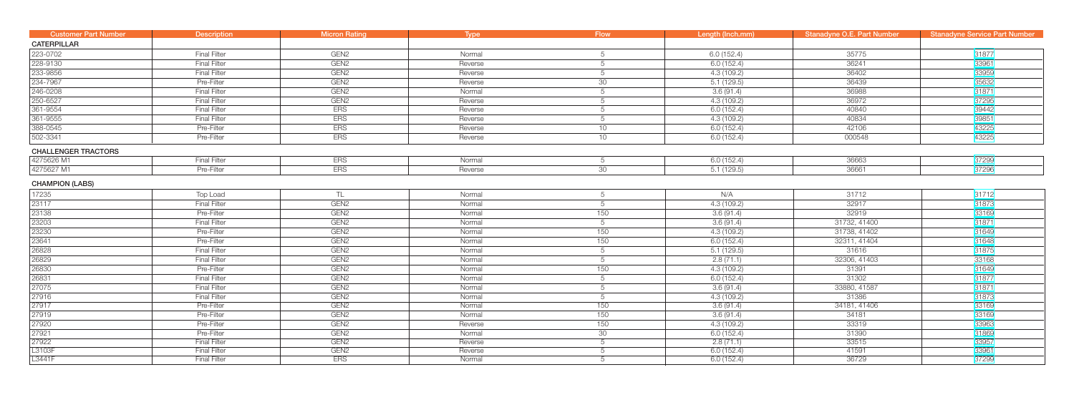| <b>Customer Part Number</b> | <b>Description</b>  | <b>Micron Rating</b> | Type    | <b>Flow</b>     | Length (Inch.mm) | <b>Stanadyne O.E. Part Number</b> | <b>Stanadyne Service Part Number</b> |
|-----------------------------|---------------------|----------------------|---------|-----------------|------------------|-----------------------------------|--------------------------------------|
| <b>CATERPILLAR</b>          |                     |                      |         |                 |                  |                                   |                                      |
| 223-0702                    | <b>Final Filter</b> | GEN <sub>2</sub>     | Normal  | 5               | 6.0(152.4)       | 35775                             | 31877                                |
| 228-9130                    | <b>Final Filter</b> | GEN <sub>2</sub>     | Reverse | 5               | 6.0(152.4)       | 36241                             | 33961                                |
| 233-9856                    | <b>Final Filter</b> | GEN <sub>2</sub>     | Reverse | 5               | 4.3(109.2)       | 36402                             | 33959                                |
| 234-7967                    | Pre-Filter          | GEN <sub>2</sub>     | Reverse | 30              | 5.1(129.5)       | 36439                             | 35632                                |
| 246-0208                    | <b>Final Filter</b> | GEN <sub>2</sub>     | Normal  | 5               | 3.6(91.4)        | 36988                             | 31871                                |
| 250-6527                    | <b>Final Filter</b> | GEN <sub>2</sub>     | Reverse | 5               | 4.3(109.2)       | 36972                             | 37295                                |
| 361-9554                    | <b>Final Filter</b> | <b>ERS</b>           | Reverse | 5               | 6.0(152.4)       | 40840                             | 39442                                |
| 361-9555                    | <b>Final Filter</b> | <b>ERS</b>           | Reverse | 5               | 4.3(109.2)       | 40834                             | 39851                                |
| 388-0545                    | Pre-Filter          | <b>ERS</b>           | Reverse | 10              | 6.0(152.4)       | 42106                             | 43225                                |
| 502-3341                    | Pre-Filter          | <b>ERS</b>           | Reverse | 10              | 6.0(152.4)       | 000548                            | 43225                                |
| <b>CHALLENGER TRACTORS</b>  |                     |                      |         |                 |                  |                                   |                                      |
| 4275626 M1                  | <b>Final Filter</b> | <b>ERS</b>           | Normal  | 5               | 6.0(152.4)       | 36663                             | 37299                                |
| 4275627 M1                  | Pre-Filter          | <b>ERS</b>           | Reverse | 30              | 5.1(129.5)       | 36661                             | 37296                                |
| <b>CHAMPION (LABS)</b>      |                     |                      |         |                 |                  |                                   |                                      |
| 17235                       | Top Load            | TL.                  | Normal  | 5               | N/A              | 31712                             | 31712                                |
| 23117                       | <b>Final Filter</b> | GEN <sub>2</sub>     | Normal  | 5               | 4.3(109.2)       | 32917                             | 31873                                |
| 23138                       | Pre-Filter          | GEN <sub>2</sub>     | Normal  | 150             | 3.6(91.4)        | 32919                             | 33169                                |
| 23203                       | <b>Final Filter</b> | GEN <sub>2</sub>     | Normal  | $5\overline{)}$ | 3.6(91.4)        | 31732, 41400                      | 31871                                |
| 23230                       | Pre-Filter          | GEN <sub>2</sub>     | Normal  | 150             | 4.3(109.2)       | 31738, 41402                      | 31649                                |
| 23641                       | Pre-Filter          | GEN <sub>2</sub>     | Normal  | 150             | 6.0(152.4)       | 32311, 41404                      | 31648                                |
| 26828                       | <b>Final Filter</b> | GEN <sub>2</sub>     | Normal  | 5               | 5.1(129.5)       | 31616                             | 31875                                |
| 26829                       | <b>Final Filter</b> | GEN <sub>2</sub>     | Normal  | $5\overline{)}$ | 2.8(71.1)        | 32306, 41403                      | 33168                                |
| 26830                       | Pre-Filter          | GEN <sub>2</sub>     | Normal  | 150             | 4.3(109.2)       | 31391                             | 31649                                |
| 26831                       | <b>Final Filter</b> | GEN <sub>2</sub>     | Normal  | 5               | 6.0(152.4)       | 31302                             | 31877                                |
| 27075                       | <b>Final Filter</b> | GEN <sub>2</sub>     | Normal  | 5               | 3.6(91.4)        | 33880, 41587                      | 31871                                |
| 27916                       | <b>Final Filter</b> | GEN <sub>2</sub>     | Normal  | 5               | 4.3(109.2)       | 31386                             | 31873                                |
| 27917                       | Pre-Filter          | GEN <sub>2</sub>     | Normal  | 150             | 3.6(91.4)        | 34181, 41406                      | 33169                                |
| 27919                       | Pre-Filter          | GEN <sub>2</sub>     | Normal  | 150             | 3.6(91.4)        | 34181                             | 33169                                |
| 27920                       | Pre-Filter          | GEN <sub>2</sub>     | Reverse | 150             | 4.3(109.2)       | 33319                             | 33963                                |
| 27921                       | Pre-Filter          | GEN <sub>2</sub>     | Normal  | 30              | 6.0(152.4)       | 31390                             | 31869                                |
| 27922                       | <b>Final Filter</b> | GEN <sub>2</sub>     | Reverse | 5               | 2.8(71.1)        | 33515                             | 33957                                |
| L3103F                      | <b>Final Filter</b> | GEN <sub>2</sub>     | Reverse | 5               | 6.0(152.4)       | 41591                             | 33961                                |
| L3441F                      | <b>Final Filter</b> | <b>ERS</b>           | Normal  | 5               | 6.0(152.4)       | 36729                             | 37299                                |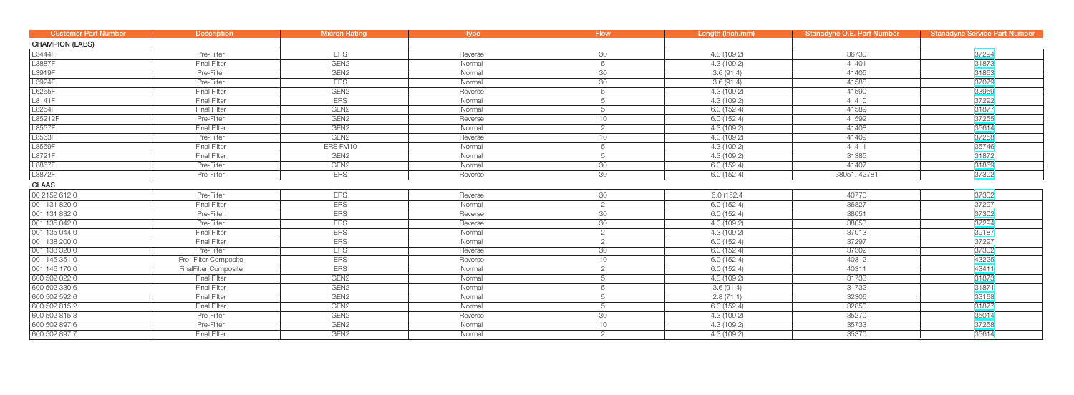| <b>Customer Part Number</b> | <b>Description</b>           | <b>Micron Rating</b> | Type    | <b>Flow</b>     | Length (Inch.mm) | Stanadyne O.E. Part Number | <b>Stanadyne Service Part Number</b> |
|-----------------------------|------------------------------|----------------------|---------|-----------------|------------------|----------------------------|--------------------------------------|
| <b>CHAMPION (LABS)</b>      |                              |                      |         |                 |                  |                            |                                      |
| L3444F                      | Pre-Filter                   | ERS                  | Reverse | 30              | 4.3(109.2)       | 36730                      | 37294                                |
| L3887F                      | <b>Final Filter</b>          | GEN <sub>2</sub>     | Normal  | 5               | 4.3(109.2)       | 41401                      | 31873                                |
| L3919F                      | Pre-Filter                   | GEN <sub>2</sub>     | Normal  | 30              | 3.6(91.4)        | 41405                      | 31863                                |
| L3924F                      | Pre-Filter                   | <b>ERS</b>           | Normal  | 30              | 3.6(91.4)        | 41588                      | 37079                                |
| L6265F                      | <b>Final Filter</b>          | GEN <sub>2</sub>     | Reverse | 5               | 4.3(109.2)       | 41590                      | 33959                                |
| L8141F                      | <b>Final Filter</b>          | <b>ERS</b>           | Normal  | 5               | 4.3(109.2)       | 41410                      | 37292                                |
| L8254F                      | <b>Final Filter</b>          | GEN <sub>2</sub>     | Normal  | 5               | 6.0(152.4)       | 41589                      | 31877                                |
| L85212F                     | Pre-Filter                   | GEN <sub>2</sub>     | Reverse | 10 <sup>1</sup> | 6.0(152.4)       | 41592                      | 37255                                |
| L8557F                      | <b>Final Filter</b>          | GEN <sub>2</sub>     | Normal  | $\overline{2}$  | 4.3(109.2)       | 41408                      | 35614                                |
| L8563F                      | Pre-Filter                   | GEN <sub>2</sub>     | Reverse | 10 <sup>1</sup> | 4.3(109.2)       | 41409                      | 37258                                |
| L8569F                      | <b>Final Filter</b>          | ERS FM10             | Normal  | 5               | 4.3(109.2)       | 41411                      | 35746                                |
| L8721F                      | <b>Final Filter</b>          | GEN <sub>2</sub>     | Normal  | 5               | 4.3(109.2)       | 31385                      | 31872                                |
| L8867F                      | Pre-Filter                   | GEN <sub>2</sub>     | Normal  | 30              | 6.0(152.4)       | 41407                      | 31869                                |
| L8872F                      | Pre-Filter                   | <b>ERS</b>           | Reverse | 30              | 6.0(152.4)       | 38051, 42781               | 37302                                |
| <b>CLAAS</b>                |                              |                      |         |                 |                  |                            |                                      |
| 00 2152 612 0               | Pre-Filter                   | <b>ERS</b>           | Reverse | 30              | 6.0 (152.4       | 40770                      | 37302                                |
| 001 131 820 0               | <b>Final Filter</b>          | <b>ERS</b>           | Normal  | $\overline{2}$  | 6.0(152.4)       | 36827                      | 37297                                |
| 001 131 832 0               | Pre-Filter                   | <b>ERS</b>           | Reverse | 30              | 6.0(152.4)       | 38051                      | 37302                                |
| 001 135 042 0               | Pre-Filter                   | <b>ERS</b>           | Reverse | 30              | 4.3(109.2)       | 38053                      | 37294                                |
| 001 135 044 0               | <b>Final Filter</b>          | <b>ERS</b>           | Normal  | 2               | 4.3(109.2)       | 37013                      | 39187                                |
| 001 138 200 0               | <b>Final Filter</b>          | <b>ERS</b>           | Normal  | $\overline{2}$  | 6.0(152.4)       | 37297                      | 37297                                |
| 001 138 320 0               | Pre-Filter                   | <b>ERS</b>           | Reverse | 30              | 6.0(152.4)       | 37302                      | 37302                                |
| 001 145 351 0               | Pre- Filter Composite        | <b>ERS</b>           | Reverse | 10 <sup>1</sup> | 6.0(152.4)       | 40312                      | 43225                                |
| 001 146 170 0               | <b>FinalFilter Composite</b> | <b>ERS</b>           | Normal  | 2               | 6.0(152.4)       | 40311                      | 43411                                |
| 600 502 022 0               | <b>Final Filter</b>          | GEN <sub>2</sub>     | Normal  |                 | 4.3(109.2)       | 31733                      | 31873                                |
| 600 502 330 6               | <b>Final Filter</b>          | GEN <sub>2</sub>     | Normal  |                 | 3.6(91.4)        | 31732                      | 31871                                |
| 600 502 592 6               | <b>Final Filter</b>          | GEN <sub>2</sub>     | Normal  |                 | 2.8(71.1)        | 32306                      | 33168                                |
| 600 502 815 2               | <b>Final Filter</b>          | GEN <sub>2</sub>     | Normal  | 5               | 6.0(152.4)       | 32850                      | 31877                                |
| 600 502 815 3               | Pre-Filter                   | GEN <sub>2</sub>     | Reverse | 30 <sup>7</sup> | 4.3(109.2)       | 35270                      | 35014                                |
| 600 502 897 6               | Pre-Filter                   | GEN <sub>2</sub>     | Normal  | 10              | 4.3(109.2)       | 35733                      | 37258                                |
| 600 502 897 7               | <b>Final Filter</b>          | GEN <sub>2</sub>     | Normal  | 2               | 4.3(109.2)       | 35370                      | 35614                                |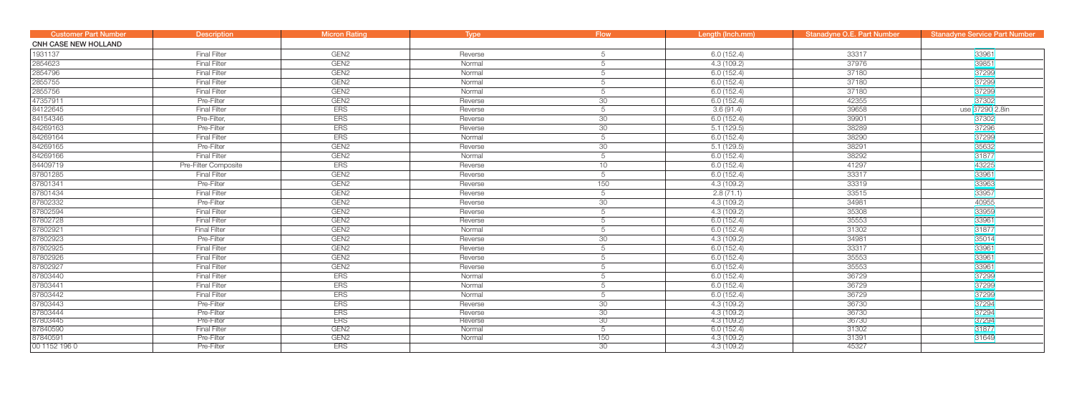| <b>Customer Part Number</b> | <b>Description</b>   | <b>Micron Rating</b>           | <b>Type</b> | <b>Flow</b>     | Length (Inch.mm) | <b>Stanadyne O.E. Part Number</b> | <b>Stanadyne Service Part Number</b> |
|-----------------------------|----------------------|--------------------------------|-------------|-----------------|------------------|-----------------------------------|--------------------------------------|
| <b>CNH CASE NEW HOLLAND</b> |                      |                                |             |                 |                  |                                   |                                      |
| 1931137                     | <b>Final Filter</b>  | GEN <sub>2</sub>               | Reverse     |                 | 6.0(152.4)       | 33317                             | 33961                                |
| 2854623                     | <b>Final Filter</b>  | GEN <sub>2</sub>               | Normal      | 5               | 4.3(109.2)       | 37976                             | 39851                                |
| 2854796                     | <b>Final Filter</b>  | GEN <sub>2</sub>               | Normal      | 5               | 6.0(152.4)       | 37180                             | 37299                                |
| 2855755                     | <b>Final Filter</b>  | GEN <sub>2</sub>               | Normal      | 5               | 6.0(152.4)       | 37180                             | 37299                                |
| 2855756                     | <b>Final Filter</b>  | GEN <sub>2</sub>               | Normal      | 5               | 6.0(152.4)       | 37180                             | 37299                                |
| 47357911                    | Pre-Filter           | GEN <sub>2</sub>               | Reverse     | $\overline{30}$ | 6.0(152.4)       | 42355                             | 37302                                |
| 84122645                    | <b>Final Filter</b>  | <b>ERS</b>                     | Reverse     | 5               | 3.6(91.4)        | 39658                             | use 37290 2.8in                      |
| 84154346                    | Pre-Filter,          | <b>ERS</b>                     | Reverse     | 30              | 6.0(152.4)       | 39901                             | 37302                                |
| 84269163                    | Pre-Filter           | <b>ERS</b>                     | Reverse     | 30              | 5.1(129.5)       | 38289                             | 37296                                |
| 84269164                    | <b>Final Filter</b>  | <b>ERS</b>                     | Normal      | 5               | 6.0(152.4)       | 38290                             | 37299                                |
| 84269165                    | Pre-Filter           | GEN <sub>2</sub>               | Reverse     | 30              | 5.1(129.5)       | 38291                             | 35632                                |
| 84269166                    | <b>Final Filter</b>  | GEN <sub>2</sub>               | Normal      | 5               | 6.0(152.4)       | 38292                             | 31877                                |
| 84409719                    | Pre-Filter Composite | <b>ERS</b>                     | Reverse     | 10 <sup>1</sup> | 6.0(152.4)       | 41297                             | 43225                                |
| 87801285                    | <b>Final Filter</b>  | GEN <sub>2</sub>               | Reverse     | 5               | 6.0(152.4)       | 33317                             | 33961                                |
| 87801341                    | Pre-Filter           | GEN <sub>2</sub>               | Reverse     | 150             | 4.3(109.2)       | 33319                             | 33963                                |
| 87801434                    | <b>Final Filter</b>  | GEN <sub>2</sub>               | Reverse     | 5               | 2.8(71.1)        | 33515                             | 33957                                |
| 87802332                    | Pre-Filter           | GEN <sub>2</sub>               | Reverse     | 30              | 4.3(109.2)       | 34981                             | 40955                                |
| 87802594                    | <b>Final Filter</b>  | GEN <sub>2</sub>               | Reverse     | 5               | 4.3(109.2)       | 35308                             | 33959                                |
| 87802728                    | <b>Final Filter</b>  | GEN <sub>2</sub>               | Reverse     | 5               | 6.0(152.4)       | 35553                             | 33961                                |
| 87802921                    | <b>Final Filter</b>  | GEN <sub>2</sub>               | Normal      | 5               | 6.0(152.4)       | 31302                             | 31877                                |
| 87802923                    | Pre-Filter           | GEN <sub>2</sub>               | Reverse     | 30              | 4.3(109.2)       | 34981                             | 35014                                |
| 87802925                    | <b>Final Filter</b>  | GEN <sub>2</sub>               | Reverse     | 5               | 6.0(152.4)       | 33317                             | 33961                                |
| 87802926                    | <b>Final Filter</b>  | GEN <sub>2</sub>               | Reverse     | 5               | 6.0(152.4)       | 35553                             | 33961                                |
| 87802927                    | <b>Final Filter</b>  | GEN <sub>2</sub>               | Reverse     |                 | 6.0(152.4)       | 35553                             | 33961                                |
| 87803440                    | <b>Final Filter</b>  | ERS                            | Normal      |                 | 6.0(152.4)       | 36729                             | 37299                                |
| 87803441                    | <b>Final Filter</b>  | <b>ERS</b>                     | Normal      | 5               | 6.0(152.4)       | 36729                             | 37299                                |
| 87803442                    | <b>Final Filter</b>  | ERS                            | Normal      | $\overline{5}$  | 6.0(152.4)       | 36729                             | 37299                                |
| 87803443                    | Pre-Filter           | <b>ERS</b>                     | Reverse     | 30              | 4.3(109.2)       | 36730                             | 37294                                |
| 87803444                    | Pre-Filter           | ERS                            | Reverse     | 30              | 4.3(109.2)       | 36730                             | 37294                                |
| 87803445                    | Pre-Filter           | <b>ERS</b>                     | Reverse     | 30              | 4.3(109.2)       | 36730                             | 37294                                |
| 87840590                    | <b>Final Filter</b>  | GEN <sub>2</sub>               | Normal      | 5               | 6.0(152.4)       | 31302                             | 31877                                |
| 87840591                    | <b>Pre-Filter</b>    | GEN <sub>2</sub><br><b>ERS</b> | Normal      | 150             | 4.3(109.2)       | 31391                             | 31649                                |
| 00 1152 196 0               | Pre-Filter           |                                |             | $\overline{30}$ | 4.3(109.2)       | 45327                             |                                      |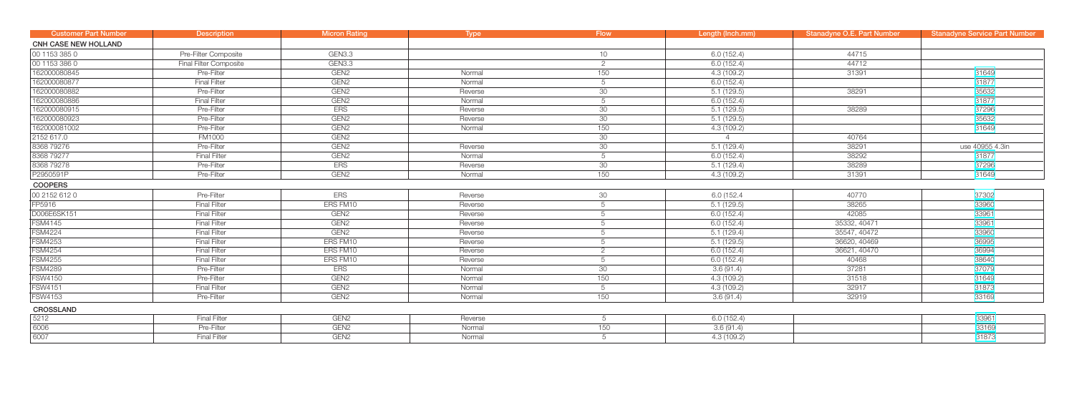| <b>Customer Part Number</b> | <b>Description</b>            | Micron Rating    | <b>Type</b> | <b>Flow</b>     | Length (Inch.mm) | <b>Stanadyne O.E. Part Number</b> | <b>Stanadyne Service Part Number</b> |
|-----------------------------|-------------------------------|------------------|-------------|-----------------|------------------|-----------------------------------|--------------------------------------|
| <b>CNH CASE NEW HOLLAND</b> |                               |                  |             |                 |                  |                                   |                                      |
| 00 1153 385 0               | Pre-Filter Composite          | GEN3.3           |             | 10              | 6.0(152.4)       | 44715                             |                                      |
| 00 1153 386 0               | <b>Final Filter Composite</b> | GEN3.3           |             | $\overline{2}$  | 6.0(152.4)       | 44712                             |                                      |
| 162000080845                | Pre-Filter                    | GEN <sub>2</sub> | Normal      | 150             | 4.3(109.2)       | 31391                             | 31649                                |
| 162000080877                | <b>Final Filter</b>           | GEN <sub>2</sub> | Normal      | 5               | 6.0(152.4)       |                                   | 31877                                |
| 162000080882                | Pre-Filter                    | GEN <sub>2</sub> | Reverse     | 30              | 5.1(129.5)       | 38291                             | 35632                                |
| 162000080886                | <b>Final Filter</b>           | GEN <sub>2</sub> | Normal      | 5               | 6.0(152.4)       |                                   | 31877                                |
| 162000080915                | Pre-Filter                    | <b>ERS</b>       | Reverse     | 30              | 5.1(129.5)       | 38289                             | 37296                                |
| 162000080923                | Pre-Filter                    | GEN <sub>2</sub> | Reverse     | 30              | 5.1(129.5)       |                                   | 35632                                |
| 162000081002                | Pre-Filter                    | GEN <sub>2</sub> | Normal      | 150             | 4.3(109.2)       |                                   | 31649                                |
| 2152 617.0                  | <b>FM1000</b>                 | GEN <sub>2</sub> |             | 30              |                  | 40764                             |                                      |
| 8368 79276                  | Pre-Filter                    | GEN <sub>2</sub> | Reverse     | 30              | 5.1(129.4)       | 38291                             | use 40955 4.3in                      |
| 8368 79277                  | <b>Final Filter</b>           | GEN <sub>2</sub> | Normal      | 5               | 6.0(152.4)       | 38292                             | 31877                                |
| 8368 79278                  | Pre-Filter                    | <b>ERS</b>       | Reverse     | $\overline{30}$ | 5.1(129.4)       | 38289                             | 37296                                |
| P2950591P                   | Pre-Filter                    | GEN <sub>2</sub> | Normal      | 150             | 4.3(109.2)       | 31391                             | 31649                                |
| <b>COOPERS</b>              |                               |                  |             |                 |                  |                                   |                                      |
| 00 2152 612 0               | Pre-Filter                    | <b>ERS</b>       | Reverse     | 30              | 6.0 (152.4       | 40770                             | 37302                                |
| FP5916                      | <b>Final Filter</b>           | ERS FM10         | Reverse     | 5               | 5.1(129.5)       | 38265                             | 33960                                |
| D006E6SK151                 | <b>Final Filter</b>           | GEN <sub>2</sub> | Reverse     | 5               | 6.0(152.4)       | 42085                             | 33961                                |
| <b>FSM4145</b>              | <b>Final Filter</b>           | GEN <sub>2</sub> | Reverse     | 5               | 6.0(152.4)       | 35332, 40471                      | 33961                                |
| <b>FSM4224</b>              | <b>Final Filter</b>           | GEN <sub>2</sub> | Reverse     | 5               | 5.1(129.4)       | 35547, 40472                      | 33960                                |
| <b>FSM4253</b>              | <b>Final Filter</b>           | ERS FM10         | Reverse     | 5               | 5.1(129.5)       | 36620, 40469                      | 36995                                |
| <b>FSM4254</b>              | <b>Final Filter</b>           | ERS FM10         | Reverse     | $\overline{2}$  | 6.0(152.4)       | 36621, 40470                      | 36994                                |
| <b>FSM4255</b>              | <b>Final Filter</b>           | ERS FM10         | Reverse     | 5               | 6.0(152.4)       | 40468                             | 38640                                |
| <b>FSM4289</b>              | Pre-Filter                    | <b>ERS</b>       | Normal      | 30              | 3.6(91.4)        | 37281                             | 37079                                |
| <b>FSW4150</b>              | Pre-Filter                    | GEN <sub>2</sub> | Normal      | 150             | 4.3(109.2)       | 31518                             | 31649                                |
| <b>FSW4151</b>              | <b>Final Filter</b>           | GEN <sub>2</sub> | Normal      | 5               | 4.3(109.2)       | 32917                             | 31873                                |
| <b>FSW4153</b>              | Pre-Filter                    | GEN <sub>2</sub> | Normal      | 150             | 3.6(91.4)        | 32919                             | 33169                                |
| <b>CROSSLAND</b>            |                               |                  |             |                 |                  |                                   |                                      |
| 5212                        | <b>Final Filter</b>           | GEN <sub>2</sub> | Reverse     | 5               | 6.0(152.4)       |                                   | 33961                                |
| 6006                        | Pre-Filter                    | GEN <sub>2</sub> | Normal      | 150             | 3.6(91.4)        |                                   | 33169                                |
| 6007                        | <b>Final Filter</b>           | GEN <sub>2</sub> | Normal      | 5               | 4.3 (109.2)      |                                   | 31873                                |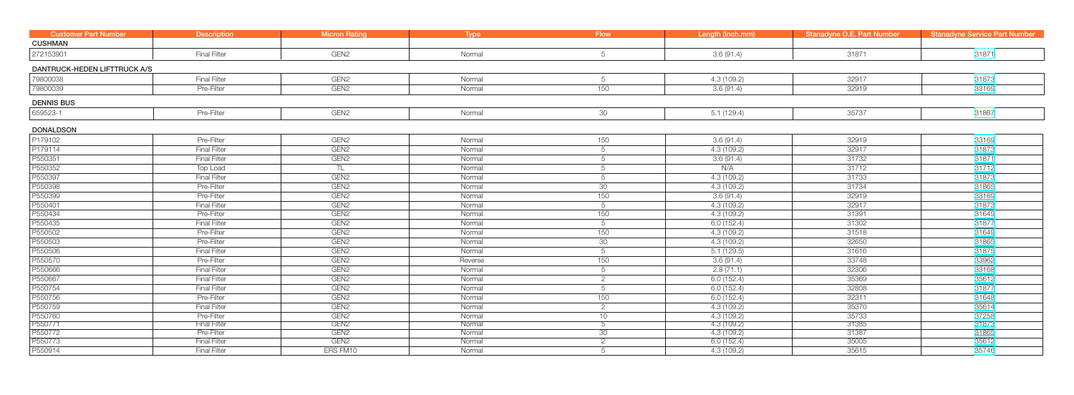| <b>Customer Part Number</b>  | <b>Description</b>  | <b>Micron Rating</b> | Type    | <b>Flow</b>     | Length (Inch.mm) | Stanadyne O.E. Part Number | <b>Stanadyne Service Part Number</b> |
|------------------------------|---------------------|----------------------|---------|-----------------|------------------|----------------------------|--------------------------------------|
| <b>CUSHMAN</b>               |                     |                      |         |                 |                  |                            |                                      |
| 272153901                    | <b>Final Filter</b> | GEN <sub>2</sub>     | Normal  | 5               | 3.6(91.4)        | 31871                      | 31871                                |
| DANTRUCK-HEDEN LIFTTRUCK A/S |                     |                      |         |                 |                  |                            |                                      |
| 79800038                     | <b>Final Filter</b> | GEN <sub>2</sub>     | Normal  | 5               | 4.3(109.2)       | 32917                      | 31873                                |
| 79800039                     | Pre-Filter          | GEN <sub>2</sub>     | Normal  | 150             | 3.6(91.4)        | 32919                      | 33169                                |
| <b>DENNIS BUS</b>            |                     |                      |         |                 |                  |                            |                                      |
| 659523-1                     | Pre-Filter          | GEN <sub>2</sub>     | Normal  | 30              | 5.1(129.4)       | 35737                      | 31867                                |
| <b>DONALDSON</b>             |                     |                      |         |                 |                  |                            |                                      |
| P179102                      | Pre-Filter          | GEN <sub>2</sub>     | Normal  | 150             | 3.6(91.4)        | 32919                      | 33169                                |
| P179114                      | <b>Final Filter</b> | GEN <sub>2</sub>     | Normal  | 5               | 4.3(109.2)       | 32917                      | 31873                                |
| P550351                      | Final Filter        | GEN <sub>2</sub>     | Normal  | 5               | 3.6(91.4)        | 31732                      | 31871                                |
| P550352                      | Top Load            | TL                   | Normal  | 5               | N/A              | 31712                      | 31712                                |
| P550397                      | <b>Final Filter</b> | GEN <sub>2</sub>     | Normal  | 5               | 4.3(109.2)       | 31733                      | 31873                                |
| P550398                      | Pre-Filter          | GEN <sub>2</sub>     | Normal  | 30 <sup>7</sup> | 4.3 (109.2)      | 31734                      | 31865                                |
| P550399                      | Pre-Filter          | GEN <sub>2</sub>     | Normal  | 150             | 3.6(91.4)        | 32919                      | 33169                                |
| P550401                      | <b>Final Filter</b> | GEN <sub>2</sub>     | Normal  | 5               | 4.3(109.2)       | 32917                      | 31873                                |
| P550434                      | Pre-Filter          | GEN <sub>2</sub>     | Normal  | 150             | 4.3(109.2)       | 31391                      | 31649                                |
| P550435                      | <b>Final Filter</b> | GEN <sub>2</sub>     | Normal  | $5\overline{)}$ | 6.0(152.4)       | 31302                      | 31877                                |
| P550502                      | Pre-Filter          | GEN <sub>2</sub>     | Normal  | 150             | 4.3 (109.2)      | 31518                      | 31649                                |
| P550503                      | Pre-Filter          | GEN <sub>2</sub>     | Normal  | 30              | 4.3(109.2)       | 32650                      | 31865                                |
| P550506                      | <b>Final Filter</b> | GEN <sub>2</sub>     | Normal  | 5               | 5.1(129.5)       | 31616                      | 31875                                |
| P550570                      | Pre-Filter          | GEN <sub>2</sub>     | Reverse | 150             | 3.6(91.4)        | 33748                      | 33962                                |
| P550666                      | <b>Final Filter</b> | GEN <sub>2</sub>     | Normal  | 5               | 2.8(71.1)        | 32306                      | 33168                                |
| P550667                      | <b>Final Filter</b> | GEN <sub>2</sub>     | Normal  | $\overline{2}$  | 6.0(152.4)       | 35369                      | 35612                                |
| P550754                      | <b>Final Filter</b> | GEN <sub>2</sub>     | Normal  | 5               | 6.0(152.4)       | 32808                      | 31877                                |
| P550756                      | Pre-Filter          | GEN <sub>2</sub>     | Normal  | 150             | 6.0(152.4)       | 32311                      | 31648                                |
| P550759                      | <b>Final Filter</b> | GEN <sub>2</sub>     | Normal  | 2               | 4.3(109.2)       | 35370                      | 35614                                |
| P550760                      | Pre-Filter          | GEN <sub>2</sub>     | Normal  | 10              | 4.3(109.2)       | 35733                      | 37258                                |
| P550771                      | <b>Final Filter</b> | GEN <sub>2</sub>     | Normal  | $\overline{5}$  | 4.3(109.2)       | 31385                      | 31873                                |
| P550772                      | Pre-Filter          | GEN <sub>2</sub>     | Normal  | 30 <sup>°</sup> | 4.3(109.2)       | 31387                      | 31865                                |
| P550773                      | <b>Final Filter</b> | GEN <sub>2</sub>     | Normal  | $\overline{2}$  | 6.0(152.4)       | 35005                      | 35612                                |
| P550914                      | <b>Final Filter</b> | ERS FM10             | Normal  | 5               | 4.3(109.2)       | 35615                      | 35746                                |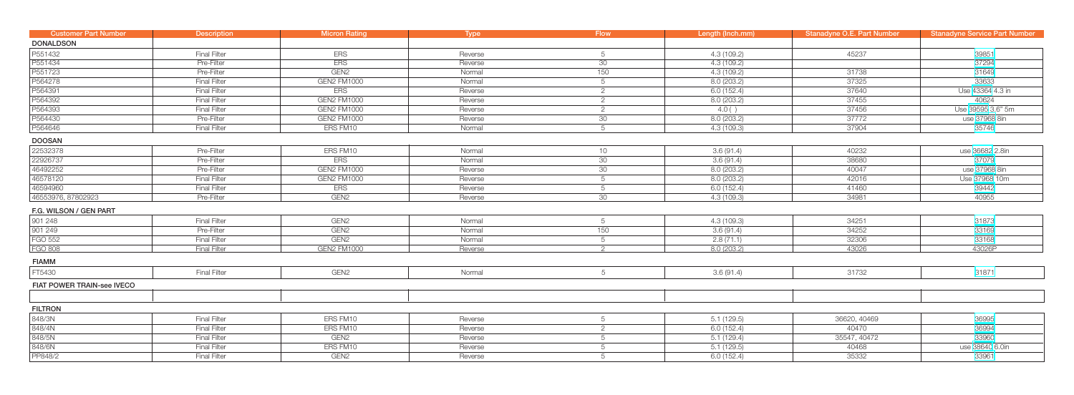| <b>Customer Part Number</b> | <b>Description</b>  | <b>Micron Rating</b> | Type    | <b>Flow</b>     | Length (Inch.mm) | <b>Stanadyne O.E. Part Number</b> | <b>Stanadyne Service Part Number</b> |
|-----------------------------|---------------------|----------------------|---------|-----------------|------------------|-----------------------------------|--------------------------------------|
| <b>DONALDSON</b>            |                     |                      |         |                 |                  |                                   |                                      |
| P551432                     | <b>Final Filter</b> | <b>ERS</b>           | Reverse | 5               | 4.3 (109.2)      | 45237                             | 39851                                |
| P551434                     | Pre-Filter          | <b>ERS</b>           | Reverse | 30              | 4.3(109.2)       |                                   | 37294                                |
| P551723                     | Pre-Filter          | GEN <sub>2</sub>     | Normal  | 150             | 4.3(109.2)       | 31738                             | 31649                                |
| P564278                     | <b>Final Filter</b> | <b>GEN2 FM1000</b>   | Normal  | $5\overline{)}$ | 8.0(203.2)       | 37325                             | 33633                                |
| P564391                     | <b>Final Filter</b> | <b>ERS</b>           | Reverse | $\overline{2}$  | 6.0(152.4)       | 37640                             | Use 43364 4.3 in                     |
| P564392                     | <b>Final Filter</b> | GEN2 FM1000          | Reverse | $\overline{2}$  | 8.0(203.2)       | 37455                             | 40624                                |
| P564393                     | <b>Final Filter</b> | <b>GEN2 FM1000</b>   | Reverse | 2               | 4.0()            | 37456                             | Use 39595 3.6" 5m                    |
| P564430                     | Pre-Filter          | GEN2 FM1000          | Reverse | 30 <sup>7</sup> | 8.0 (203.2)      | 37772                             | use 37968 8in                        |
| P564646                     | <b>Final Filter</b> | ERS FM10             | Normal  | $\overline{5}$  | 4.3(109.3)       | 37904                             | 35746                                |
| <b>DOOSAN</b>               |                     |                      |         |                 |                  |                                   |                                      |
| 22532378                    | Pre-Filter          | ERS FM10             | Normal  | 10              | 3.6(91.4)        | 40232                             | use 36682 2.8in                      |
| 22926737                    | Pre-Filter          | <b>ERS</b>           | Normal  | 30              | 3.6(91.4)        | 38680                             | 37079                                |
| 46492252                    | Pre-Filter          | <b>GEN2 FM1000</b>   | Reverse | 30              | 8.0(203.2)       | 40047                             | use 37968 8in                        |
| 46578120                    | <b>Final Filter</b> | <b>GEN2 FM1000</b>   | Reverse | 5               | 8.0(203.2)       | 42016                             | Use 37968 10m                        |
| 46594960                    | <b>Final Filter</b> | ERS                  | Reverse | 5               | 6.0(152.4)       | 41460                             | 39442                                |
| 46553976, 87802923          | Pre-Filter          | GEN <sub>2</sub>     | Reverse | 30 <sup>7</sup> | 4.3(109.3)       | 34981                             | 40955                                |
| F.G. WILSON / GEN PART      |                     |                      |         |                 |                  |                                   |                                      |
| 901 248                     | <b>Final Filter</b> | GEN <sub>2</sub>     | Normal  | 5               | 4.3(109.3)       | 34251                             | 31873                                |
| 901 249                     | Pre-Filter          | GEN <sub>2</sub>     | Normal  | 150             | 3.6(91.4)        | 34252                             | 33169                                |
| <b>FGO 552</b>              | <b>Final Filter</b> | GEN <sub>2</sub>     | Normal  | $5\overline{)}$ | 2.8(71.1)        | 32306                             | 33168                                |
| <b>FGO 808</b>              | <b>Final Filter</b> | <b>GEN2 FM1000</b>   | Reverse | $\Omega$        | 8.0(203.2)       | 43026                             | 43026P                               |
| <b>FIAMM</b>                |                     |                      |         |                 |                  |                                   |                                      |
| FT5430                      | <b>Final Filter</b> | GEN <sub>2</sub>     | Normal  | $5\phantom{.0}$ | 3.6(91.4)        | 31732                             | 31871                                |
| FIAT POWER TRAIN-see IVECO  |                     |                      |         |                 |                  |                                   |                                      |
|                             |                     |                      |         |                 |                  |                                   |                                      |
| <b>FILTRON</b>              |                     |                      |         |                 |                  |                                   |                                      |
| 848/3N                      | <b>Final Filter</b> | ERS FM10             | Reverse | 5               | 5.1(129.5)       | 36620, 40469                      | 36995                                |
| 848/4N                      | <b>Final Filter</b> | ERS FM10             | Reverse | $\overline{2}$  | 6.0(152.4)       | 40470                             | 36994                                |
| 848/5N                      | <b>Final Filter</b> | GEN <sub>2</sub>     | Reverse | 5               | 5.1(129.4)       | 35547, 40472                      | 33960                                |
| 848/6N                      | <b>Final Filter</b> | ERS FM10             | Reverse | 5               | 5.1(129.5)       | 40468                             | use 38640 6.0in                      |
| PP848/2                     | <b>Final Filter</b> | GEN <sub>2</sub>     | Reverse | 5               | 6.0(152.4)       | 35332                             | 33961                                |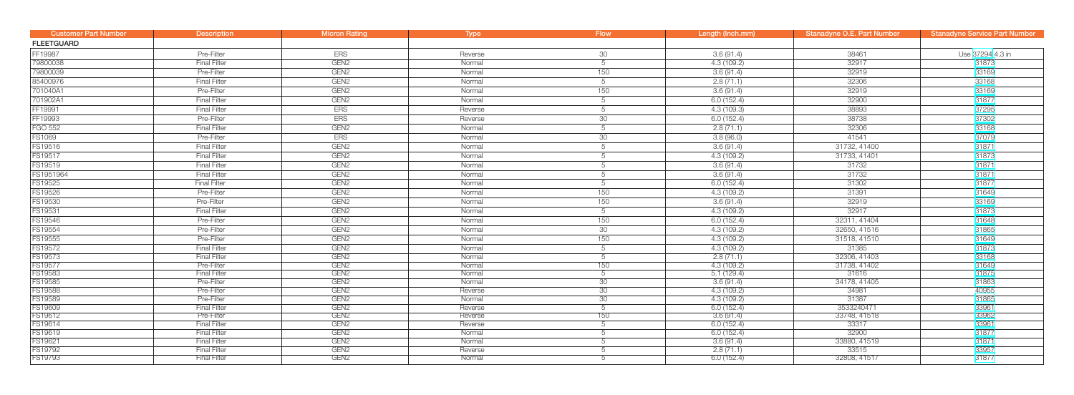| <b>Customer Part Number</b> | <b>Description</b>  | <b>Micron Rating</b> | Type    | <b>Flow</b>    | Length (Inch.mm) | <b>Stanadyne O.E. Part Number</b> | <b>Stanadyne Service Part Number</b> |
|-----------------------------|---------------------|----------------------|---------|----------------|------------------|-----------------------------------|--------------------------------------|
| <b>FLEETGUARD</b>           |                     |                      |         |                |                  |                                   |                                      |
| FF19987                     | Pre-Filter          | <b>ERS</b>           | Reverse | 30             | 3.6(91.4)        | 38461                             | Use 37294 4.3 in                     |
| 79800038                    | <b>Final Filter</b> | GEN <sub>2</sub>     | Normal  | 5              | 4.3(109.2)       | 32917                             | 31873                                |
| 79800039                    | Pre-Filter          | GEN <sub>2</sub>     | Normal  | 150            | 3.6(91.4)        | 32919                             | 33169                                |
| 85400976                    | <b>Final Filter</b> | GEN <sub>2</sub>     | Normal  | 5              | 2.8(71.1)        | 32306                             | 33168                                |
| 701040A1                    | Pre-Filter          | GEN <sub>2</sub>     | Normal  | 150            | 3.6(91.4)        | 32919                             | 33169                                |
| 701902A1                    | <b>Final Filter</b> | GEN <sub>2</sub>     | Normal  | 5              | 6.0(152.4)       | 32900                             | 31877                                |
| FF19991                     | <b>Final Filter</b> | <b>ERS</b>           | Reverse | 5              | 4.3(109.3)       | 38893                             | 37295                                |
| FF19993                     | Pre-Filter          | <b>ERS</b>           | Reverse | 30             | 6.0(152.4)       | 38738                             | 37302                                |
| FGO 552                     | <b>Final Filter</b> | GEN <sub>2</sub>     | Normal  | 5              | 2.8(71.1)        | 32306                             | 33168                                |
| <b>FS1069</b>               | Pre-Filter          | <b>ERS</b>           | Normal  | 30             | 3.8(96.0)        | 41541                             | 37079                                |
| FS19516                     | <b>Final Filter</b> | GEN <sub>2</sub>     | Normal  | 5              | 3.6(91.4)        | 31732, 41400                      | 31871                                |
| FS19517                     | <b>Final Filter</b> | GEN <sub>2</sub>     | Normal  | 5              | 4.3(109.2)       | 31733, 41401                      | 31873                                |
| FS19519                     | <b>Final Filter</b> | GEN <sub>2</sub>     | Normal  | 5              | 3.6(91.4)        | 31732                             | 31871                                |
| FS1951964                   | <b>Final Filter</b> | GEN <sub>2</sub>     | Normal  | 5              | 3.6(91.4)        | 31732                             | 31871                                |
| FS19525                     | <b>Final Filter</b> | GEN <sub>2</sub>     | Normal  | 5              | 6.0(152.4)       | 31302                             | 31877                                |
| FS19526                     | Pre-Filter          | GEN <sub>2</sub>     | Normal  | 150            | 4.3 (109.2)      | 31391                             | 31649                                |
| FS19530                     | Pre-Filter          | GEN <sub>2</sub>     | Normal  | 150            | 3.6(91.4)        | 32919                             | 33169                                |
| FS19531                     | <b>Final Filter</b> | GEN <sub>2</sub>     | Normal  | 5              | 4.3 (109.2)      | 32917                             | 31873                                |
| FS19546                     | Pre-Filter          | GEN <sub>2</sub>     | Normal  | 150            | 6.0(152.4)       | 32311, 41404                      | 31648                                |
| FS19554                     | Pre-Filter          | GEN <sub>2</sub>     | Normal  | 30             | 4.3(109.2)       | 32650, 41516                      | 31865                                |
| FS19555                     | Pre-Filter          | GEN <sub>2</sub>     | Normal  | 150            | 4.3(109.2)       | 31518, 41510                      | 31649                                |
| FS19572                     | <b>Final Filter</b> | GEN <sub>2</sub>     | Normal  | 5              | 4.3(109.2)       | 31385                             | 31873                                |
| FS19573                     | <b>Final Filter</b> | GEN <sub>2</sub>     | Normal  | 5              | 2.8(71.1)        | 32306, 41403                      | 33168                                |
| FS19577                     | Pre-Filter          | GEN <sub>2</sub>     | Normal  | 150            | 4.3(109.2)       | 31738, 41402                      | 31649                                |
| FS19583                     | <b>Final Filter</b> | GEN <sub>2</sub>     | Normal  | $\overline{5}$ | 5.1(129.4)       | 31616                             | 31875                                |
| FS19585                     | Pre-Filter          | GEN <sub>2</sub>     | Normal  | 30             | 3.6(91.4)        | 34178, 41405                      | 31863                                |
| FS19588                     | Pre-Filter          | GEN <sub>2</sub>     | Reverse | 30             | 4.3(109.2)       | 34981                             | 40955                                |
| FS19589                     | Pre-Filter          | GEN <sub>2</sub>     | Normal  | 30             | 4.3(109.2)       | 31387                             | 31865                                |
| FS19609                     | <b>Final Filter</b> | GEN <sub>2</sub>     | Reverse | $\overline{5}$ | 6.0(152.4)       | 3533240471                        | 33961                                |
| FS19612                     | Pre-Filter          | GEN <sub>2</sub>     | Reverse | 150            | 3.6(91.4)        | 33748, 41518                      | 33962                                |
| FS19614                     | <b>Final Filter</b> | GEN <sub>2</sub>     | Reverse | b.             | 6.0(152.4)       | 33317                             | 33961                                |
| FS19619                     | <b>Final Filter</b> | GEN <sub>2</sub>     | Normal  |                | 6.0(152.4)       | 32900                             | 31877                                |
| FS19621                     | <b>Final Filter</b> | GEN <sub>2</sub>     | Normal  | b.             | 3.6(91.4)        | 33880, 41519                      | 31871                                |
| FS19792                     | <b>Final Filter</b> | GEN <sub>2</sub>     | Reverse | 5              | 2.8(71.1)        | 33515                             | 33957                                |
| FS19793                     | <b>Final Filter</b> | GEN <sub>2</sub>     | Normal  | 5              | 6.0(152.4)       | 32808, 41517                      | 31877                                |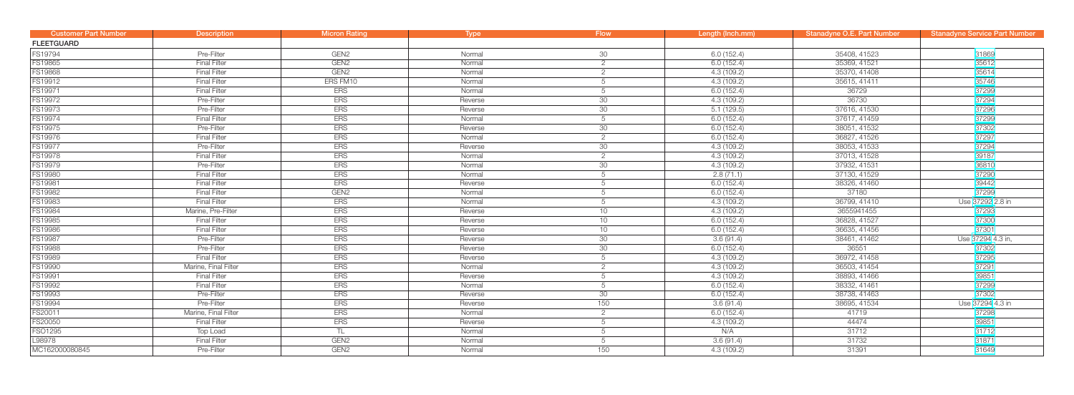| <b>Customer Part Number</b> | <b>Description</b>   | <b>Micron Rating</b> | <b>Type</b> | <b>Flow</b>    | Length (Inch.mm) | Stanadyne O.E. Part Number | <b>Stanadyne Service Part Number</b> |
|-----------------------------|----------------------|----------------------|-------------|----------------|------------------|----------------------------|--------------------------------------|
| <b>FLEETGUARD</b>           |                      |                      |             |                |                  |                            |                                      |
| FS19794                     | Pre-Filter           | GEN <sub>2</sub>     | Normal      | $30\,$         | 6.0(152.4)       | 35408, 41523               | 31869                                |
| FS19865                     | <b>Final Filter</b>  | GEN <sub>2</sub>     | Normal      | $\overline{2}$ | 6.0(152.4)       | 35369, 41521               | 35612                                |
| <b>FS19868</b>              | <b>Final Filter</b>  | GEN <sub>2</sub>     | Normal      | $\overline{2}$ | 4.3(109.2)       | 35370, 41408               | 35614                                |
| FS19912                     | <b>Final Filter</b>  | ERS FM10             | Normal      | 5              | 4.3 (109.2)      | 35615, 41411               | 35746                                |
| FS19971                     | <b>Final Filter</b>  | <b>ERS</b>           | Normal      | 5              | 6.0(152.4)       | 36729                      | 37299                                |
| FS19972                     | Pre-Filter           | <b>ERS</b>           | Reverse     | 30             | 4.3(109.2)       | 36730                      | 37294                                |
| FS19973                     | Pre-Filter           | <b>ERS</b>           | Reverse     | 30             | 5.1(129.5)       | 37616, 41530               | 37296                                |
| FS19974                     | <b>Final Filter</b>  | <b>ERS</b>           | Normal      | 5              | 6.0(152.4)       | 37617, 41459               | 37299                                |
| FS19975                     | Pre-Filter           | <b>ERS</b>           | Reverse     | 30             | 6.0(152.4)       | 38051, 41532               | 37302                                |
| FS19976                     | <b>Final Filter</b>  | <b>ERS</b>           | Normal      | $\overline{2}$ | 6.0(152.4)       | 36827, 41526               | 37297                                |
| FS19977                     | Pre-Filter           | <b>ERS</b>           | Reverse     | 30             | 4.3(109.2)       | 38053, 41533               | 37294                                |
| <b>FS19978</b>              | <b>Final Filter</b>  | <b>ERS</b>           | Normal      | 2              | 4.3(109.2)       | 37013, 41528               | 39187                                |
| FS19979                     | Pre-Filter           | <b>ERS</b>           | Normal      | 30             | 4.3(109.2)       | 37932, 41531               | 36810                                |
| FS19980                     | <b>Final Filter</b>  | <b>ERS</b>           | Normal      | 5              | 2.8(71.1)        | 37130, 41529               | 37290                                |
| FS19981                     | <b>Final Filter</b>  | <b>ERS</b>           | Reverse     | 5              | 6.0(152.4)       | 38326, 41460               | 39442                                |
| FS19982                     | <b>Final Filter</b>  | GEN <sub>2</sub>     | Normal      | 5              | 6.0(152.4)       | 37180                      | 37299                                |
| FS19983                     | <b>Final Filter</b>  | <b>ERS</b>           | Normal      | 5              | 4.3(109.2)       | 36799, 41410               | Use 37292 2.8 in                     |
| FS19984                     | Marine, Pre-Filter   | <b>ERS</b>           | Reverse     | 10             | 4.3(109.2)       | 3655941455                 | 37293                                |
| FS19985                     | <b>Final Filter</b>  | <b>ERS</b>           | Reverse     | 10             | 6.0(152.4)       | 36828, 41527               | 37300                                |
| <b>FS19986</b>              | <b>Final Filter</b>  | <b>ERS</b>           | Reverse     | 10             | 6.0(152.4)       | 36635, 41456               | 37301                                |
| <b>FS19987</b>              | Pre-Filter           | <b>ERS</b>           | Reverse     | 30             | 3.6(91.4)        | 38461, 41462               | Use 37294 4.3 in,                    |
| <b>FS19988</b>              | Pre-Filter           | <b>ERS</b>           | Reverse     | 30             | 6.0(152.4)       | 36551                      | 37302                                |
| FS19989                     | <b>Final Filter</b>  | <b>ERS</b>           | Reverse     | 5              | 4.3 (109.2)      | 36972, 41458               | 37295                                |
| FS19990                     | Marine, Final Filter | <b>ERS</b>           | Normal      | $\overline{2}$ | 4.3(109.2)       | 36503, 41454               | 37291                                |
| FS19991                     | <b>Final Filter</b>  | <b>ERS</b>           | Reverse     | 5              | 4.3(109.2)       | 38893, 41466               | 39851                                |
| FS19992                     | <b>Final Filter</b>  | <b>ERS</b>           | Normal      | 5              | 6.0(152.4)       | 38332, 41461               | 37299                                |
| FS19993                     | Pre-Filter           | <b>ERS</b>           | Reverse     | 30             | 6.0(152.4)       | 38738, 41463               | 37302                                |
| FS19994                     | Pre-Filter           | <b>ERS</b>           | Reverse     | 150            | 3.6(91.4)        | 38695, 41534               | Use 37294 4.3 in                     |
| FS20011                     | Marine, Final Filter | <b>ERS</b>           | Normal      | 2              | 6.0(152.4)       | 41719                      | 37298                                |
| FS20050                     | <b>Final Filter</b>  | <b>ERS</b>           | Reverse     | 5              | 4.3(109.2)       | 44474                      | 39851                                |
| FSO1295                     | Top Load             | TL.                  | Normal      | 5              | N/A              | 31712                      | 31712                                |
| L98978                      | <b>Final Filter</b>  | GEN <sub>2</sub>     | Normal      | 5              | 3.6(91.4)        | 31732                      | 31871                                |
| MC162000080845              | Pre-Filter           | GEN <sub>2</sub>     | Normal      | 150            | 4.3(109.2)       | 31391                      | 31649                                |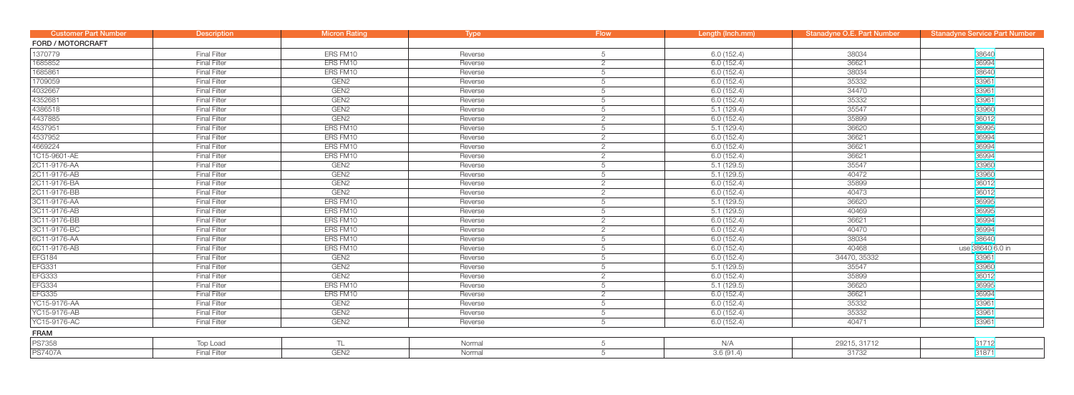| <b>Customer Part Number</b> | <b>Description</b>  | <b>Micron Rating</b> | <b>Type</b> | <b>Flow</b>    | Length (Inch.mm) | Stanadyne O.E. Part Number | <b>Stanadyne Service Part Number</b> |
|-----------------------------|---------------------|----------------------|-------------|----------------|------------------|----------------------------|--------------------------------------|
| <b>FORD / MOTORCRAFT</b>    |                     |                      |             |                |                  |                            |                                      |
| 1370779                     | <b>Final Filter</b> | ERS FM10             | Reverse     | 5              | 6.0(152.4)       | 38034                      | 38640                                |
| 1685852                     | <b>Final Filter</b> | ERS FM10             | Reverse     | $\overline{2}$ | 6.0(152.4)       | 36621                      | 36994                                |
| 1685861                     | <b>Final Filter</b> | ERS FM10             | Reverse     | 5              | 6.0(152.4)       | 38034                      | 38640                                |
| 1709059                     | <b>Final Filter</b> | GEN <sub>2</sub>     | Reverse     | 5              | 6.0(152.4)       | 35332                      | 33961                                |
| 4032667                     | <b>Final Filter</b> | GEN <sub>2</sub>     | Reverse     | 5              | 6.0(152.4)       | 34470                      | 33961                                |
| 4352681                     | <b>Final Filter</b> | GEN <sub>2</sub>     | Reverse     | 5              | 6.0(152.4)       | 35332                      | 33961                                |
| 4386518                     | <b>Final Filter</b> | GEN <sub>2</sub>     | Reverse     | 5              | 5.1(129.4)       | 35547                      | 33960                                |
| 4437885                     | <b>Final Filter</b> | GEN <sub>2</sub>     | Reverse     | $\overline{2}$ | 6.0 (152.4)      | 35899                      | 36012                                |
| 4537951                     | <b>Final Filter</b> | ERS FM10             | Reverse     | 5              | 5.1(129.4)       | 36620                      | 36995                                |
| 4537952                     | <b>Final Filter</b> | ERS FM10             | Reverse     | $\overline{2}$ | 6.0(152.4)       | 36621                      | 36994                                |
| 4669224                     | <b>Final Filter</b> | ERS FM10             | Reverse     | 2              | 6.0(152.4)       | 36621                      | 36994                                |
| 1C15-9601-AE                | <b>Final Filter</b> | ERS FM10             | Reverse     | $\overline{2}$ | 6.0(152.4)       | 36621                      | 36994                                |
| 2C11-9176-AA                | <b>Final Filter</b> | GEN <sub>2</sub>     | Reverse     | 5              | 5.1(129.5)       | 35547                      | 33960                                |
| 2C11-9176-AB                | <b>Final Filter</b> | GEN <sub>2</sub>     | Reverse     | 5              | 5.1(129.5)       | 40472                      | 33960                                |
| 2C11-9176-BA                | <b>Final Filter</b> | GEN <sub>2</sub>     | Reverse     | $\overline{2}$ | 6.0(152.4)       | 35899                      | 36012                                |
| 2C11-9176-BB                | <b>Final Filter</b> | GEN <sub>2</sub>     | Reverse     | 2              | 6.0(152.4)       | 40473                      | 36012                                |
| 3C11-9176-AA                | <b>Final Filter</b> | ERS FM10             | Reverse     | 5              | 5.1(129.5)       | 36620                      | 36995                                |
| 3C11-9176-AB                | <b>Final Filter</b> | ERS FM10             | Reverse     | 5              | 5.1(129.5)       | 40469                      | 36995                                |
| 3C11-9176-BB                | <b>Final Filter</b> | ERS FM10             | Reverse     | 2              | 6.0(152.4)       | 36621                      | 36994                                |
| 3C11-9176-BC                | <b>Final Filter</b> | ERS FM10             | Reverse     | $\overline{2}$ | 6.0(152.4)       | 40470                      | 36994                                |
| 6C11-9176-AA                | <b>Final Filter</b> | ERS FM10             | Reverse     | 5              | 6.0(152.4)       | 38034                      | 38640                                |
| 6C11-9176-AB                | <b>Final Filter</b> | ERS FM10             | Reverse     | 5              | 6.0(152.4)       | 40468                      | use 38640 6.0 in                     |
| <b>EFG184</b>               | <b>Final Filter</b> | GEN <sub>2</sub>     | Reverse     | 5              | 6.0(152.4)       | 34470, 35332               | 33961                                |
| <b>EFG331</b>               | <b>Final Filter</b> | GEN <sub>2</sub>     | Reverse     | 5              | 5.1(129.5)       | 35547                      | 33960                                |
| <b>EFG333</b>               | <b>Final Filter</b> | GEN <sub>2</sub>     | Reverse     | $\overline{2}$ | 6.0(152.4)       | 35899                      | 36012                                |
| <b>EFG334</b>               | <b>Final Filter</b> | ERS FM10             | Reverse     | 5              | 5.1(129.5)       | 36620                      | 36995                                |
| <b>EFG335</b>               | <b>Final Filter</b> | ERS FM10             | Reverse     | $\overline{2}$ | 6.0(152.4)       | 36621                      | 36994                                |
| YC15-9176-AA                | <b>Final Filter</b> | GEN <sub>2</sub>     | Reverse     | 5              | 6.0(152.4)       | 35332                      | 33961                                |
| YC15-9176-AB                | <b>Final Filter</b> | GEN <sub>2</sub>     | Reverse     | 5              | 6.0(152.4)       | 35332                      | 33961                                |
| YC15-9176-AC                | <b>Final Filter</b> | GEN <sub>2</sub>     | Reverse     | 5              | 6.0(152.4)       | 40471                      | 33961                                |
| <b>FRAM</b>                 |                     |                      |             |                |                  |                            |                                      |
| <b>PS7358</b>               | Top Load            | TL.                  | Normal      | 5              | N/A              | 29215, 31712               | 31712                                |
| <b>PS7407A</b>              | <b>Final Filter</b> | GEN <sub>2</sub>     | Normal      | 5              | 3.6(91.4)        | 31732                      | 31871                                |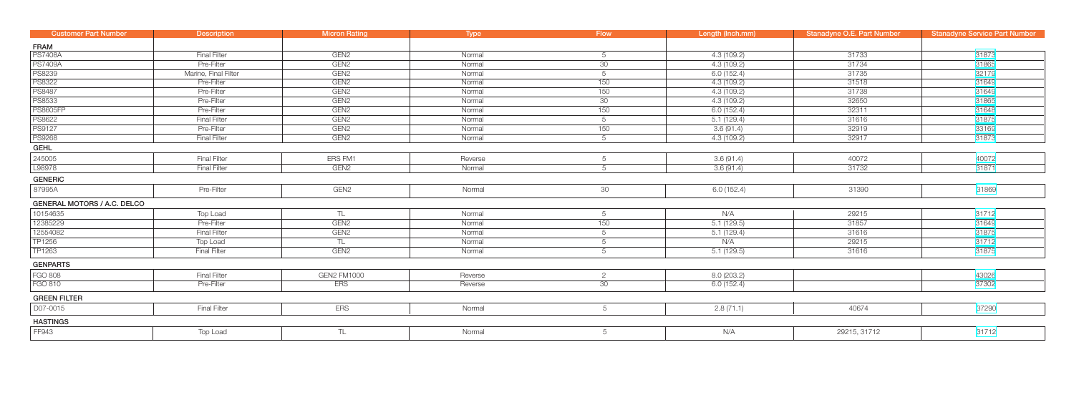| <b>Customer Part Number</b>        | <b>Description</b>   | <b>Micron Rating</b> | Type    | <b>Flow</b>     | Length (Inch.mm) | Stanadyne O.E. Part Number | <b>Stanadyne Service Part Number</b> |
|------------------------------------|----------------------|----------------------|---------|-----------------|------------------|----------------------------|--------------------------------------|
| FRAM                               |                      |                      |         |                 |                  |                            |                                      |
| <b>PS7408A</b>                     | <b>Final Filter</b>  | GEN <sub>2</sub>     | Normal  | 5               | 4.3(109.2)       | 31733                      | 31873                                |
| <b>PS7409A</b>                     | Pre-Filter           | GEN <sub>2</sub>     | Normal  | 30              | 4.3(109.2)       | 31734                      | 31865                                |
| <b>PS8239</b>                      | Marine, Final Filter | GEN <sub>2</sub>     | Normal  | $5\overline{)}$ | 6.0(152.4)       | 31735                      | 32179                                |
| <b>PS8322</b>                      | Pre-Filter           | GEN <sub>2</sub>     | Normal  | 150             | 4.3(109.2)       | 31518                      | 31649                                |
| <b>PS8487</b>                      | Pre-Filter           | GEN <sub>2</sub>     | Normal  | 150             | 4.3(109.2)       | 31738                      | 31649                                |
| <b>PS8533</b>                      | Pre-Filter           | GEN <sub>2</sub>     | Normal  | 30 <sup>°</sup> | 4.3(109.2)       | 32650                      | 31865                                |
| <b>PS8605FP</b>                    | Pre-Filter           | GEN <sub>2</sub>     | Normal  | 150             | 6.0(152.4)       | 32311                      | 31648                                |
| <b>PS8622</b>                      | <b>Final Filter</b>  | GEN <sub>2</sub>     | Normal  | 5               | 5.1(129.4)       | 31616                      | 31875                                |
| <b>PS9127</b>                      | Pre-Filter           | GEN <sub>2</sub>     | Normal  | 150             | 3.6(91.4)        | 32919                      | 33169                                |
| <b>PS9268</b>                      | <b>Final Filter</b>  | GEN <sub>2</sub>     | Normal  | $5\phantom{.0}$ | 4.3 (109.2)      | 32917                      | 31873                                |
| <b>GEHL</b>                        |                      |                      |         |                 |                  |                            |                                      |
| 245005                             | <b>Final Filter</b>  | ERS FM1              | Reverse | 5               | 3.6(91.4)        | 40072                      | 40072                                |
| L98978                             | <b>Final Filter</b>  | GEN <sub>2</sub>     | Normal  | 5               | 3.6(91.4)        | 31732                      | 31871                                |
| <b>GENERIC</b>                     |                      |                      |         |                 |                  |                            |                                      |
| 87995A                             | Pre-Filter           | GEN <sub>2</sub>     | Normal  | 30              | 6.0(152.4)       | 31390                      | 31869                                |
| <b>GENERAL MOTORS / A.C. DELCO</b> |                      |                      |         |                 |                  |                            |                                      |
| 10154635                           | Top Load             | TL                   | Normal  | $5\overline{)}$ | N/A              | 29215                      | 31712                                |
| 12385229                           | Pre-Filter           | GEN <sub>2</sub>     | Normal  | 150             | 5.1(129.5)       | 31857                      | 31649                                |
| 12554082                           | <b>Final Filter</b>  | GEN <sub>2</sub>     | Normal  | $5\phantom{.0}$ | 5.1(129.4)       | 31616                      | 31875                                |
| TP1256                             | Top Load             | TL                   | Normal  | $5\phantom{.0}$ | N/A              | 29215                      | 31712                                |
| TP1263                             | <b>Final Filter</b>  | GEN <sub>2</sub>     | Normal  | $5\phantom{.0}$ | 5.1(129.5)       | 31616                      | 31875                                |
| <b>GENPARTS</b>                    |                      |                      |         |                 |                  |                            |                                      |
| FGO 808                            | <b>Final Filter</b>  | GEN2 FM1000          | Reverse | $\overline{2}$  | 8.0(203.2)       |                            | 43026                                |
| <b>FGO 810</b>                     | Pre-Filter           | <b>ERS</b>           | Reverse | 30              | 6.0(152.4)       |                            | 37302                                |
| <b>GREEN FILTER</b>                |                      |                      |         |                 |                  |                            |                                      |
| D07-0015                           | <b>Final Filter</b>  | <b>ERS</b>           | Normal  | 5               | 2.8(71.1)        | 40674                      | 37290                                |
| <b>HASTINGS</b>                    |                      |                      |         |                 |                  |                            |                                      |
| FF943                              | Top Load             | TL                   | Normal  | 5               | N/A              | 29215, 31712               | 31712                                |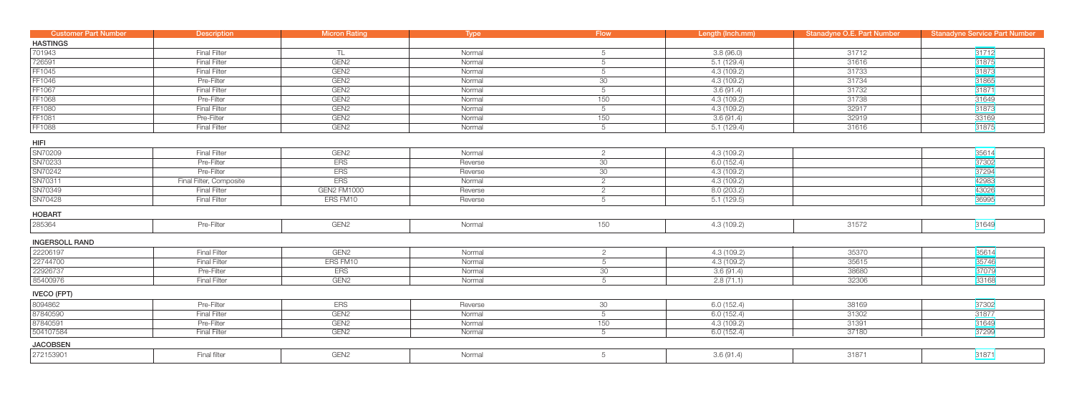| <b>Customer Part Number</b> | <b>Description</b>      | Micron Rating    | Type    | <b>Flow</b>     | Length (Inch.mm) | Stanadyne O.E. Part Number | <b>Stanadyne Service Part Number</b> |
|-----------------------------|-------------------------|------------------|---------|-----------------|------------------|----------------------------|--------------------------------------|
| <b>HASTINGS</b>             |                         |                  |         |                 |                  |                            |                                      |
| 701943                      | <b>Final Filter</b>     | TL               | Normal  | 5               | 3.8(96.0)        | 31712                      | 31712                                |
| 726591                      | <b>Final Filter</b>     | GEN <sub>2</sub> | Normal  | 5               | 5.1(129.4)       | 31616                      | 31875                                |
| FF1045                      | <b>Final Filter</b>     | GEN <sub>2</sub> | Normal  | 5               | 4.3(109.2)       | 31733                      | 31873                                |
| FF1046                      | Pre-Filter              | GEN <sub>2</sub> | Normal  | 30              | 4.3(109.2)       | 31734                      | 31865                                |
| FF1067                      | <b>Final Filter</b>     | GEN <sub>2</sub> | Normal  | 5               | 3.6(91.4)        | 31732                      | 31871                                |
| <b>FF1068</b>               | Pre-Filter              | GEN <sub>2</sub> | Normal  | 150             | 4.3(109.2)       | 31738                      | 31649                                |
| FF1080                      | <b>Final Filter</b>     | GEN <sub>2</sub> | Normal  | 5               | 4.3(109.2)       | 32917                      | 31873                                |
| FF1081                      | Pre-Filter              | GEN <sub>2</sub> | Normal  | 150             | 3.6(91.4)        | 32919                      | 33169                                |
| FF1088                      | <b>Final Filter</b>     | GEN <sub>2</sub> | Normal  | 5               | 5.1(129.4)       | 31616                      | 31875                                |
| <b>HIFI</b>                 |                         |                  |         |                 |                  |                            |                                      |
| SN70209                     | <b>Final Filter</b>     | GEN <sub>2</sub> | Normal  | $\overline{2}$  | 4.3(109.2)       |                            | 35614                                |
| SN70233                     | Pre-Filter              | <b>ERS</b>       | Reverse | 30              | 6.0(152.4)       |                            | 37302                                |
| SN70242                     | Pre-Filter              | <b>ERS</b>       | Reverse | 30              | 4.3(109.2)       |                            | 37294                                |
| SN70311                     | Final Filter, Composite | <b>ERS</b>       | Normal  | $\overline{2}$  | 4.3(109.2)       |                            | 42983                                |
| SN70349                     | <b>Final Filter</b>     | GEN2 FM1000      | Reverse | $\overline{2}$  | 8.0(203.2)       |                            | 43026                                |
| SN70428                     | <b>Final Filter</b>     | ERS FM10         | Reverse | 5               | 5.1(129.5)       |                            | 36995                                |
| <b>HOBART</b>               |                         |                  |         |                 |                  |                            |                                      |
| 285364                      | Pre-Filter              | GEN <sub>2</sub> | Normal  | 150             | 4.3 (109.2)      | 31572                      | 31649                                |
| <b>INGERSOLL RAND</b>       |                         |                  |         |                 |                  |                            |                                      |
| 22206197                    | <b>Final Filter</b>     | GEN <sub>2</sub> | Normal  | $\overline{2}$  | 4.3(109.2)       | 35370                      | 35614                                |
| 22744700                    | <b>Final Filter</b>     | ERS FM10         | Normal  | 5               | 4.3 (109.2)      | 35615                      | 35746                                |
| 22926737                    | Pre-Filter              | <b>ERS</b>       | Normal  | 30              | 3.6(91.4)        | 38680                      | 37079                                |
| 85400976                    | <b>Final Filter</b>     | GEN <sub>2</sub> | Normal  | $5\overline{)}$ | 2.8(71.1)        | 32306                      | 33168                                |
| <b>IVECO (FPT)</b>          |                         |                  |         |                 |                  |                            |                                      |
| 8094862                     | Pre-Filter              | <b>ERS</b>       | Reverse | 30              | 6.0(152.4)       | 38169                      | 37302                                |
| 87840590                    | <b>Final Filter</b>     | GEN <sub>2</sub> | Normal  | $5\phantom{.0}$ | 6.0(152.4)       | 31302                      | 31877                                |
| 87840591                    | Pre-Filter              | GEN <sub>2</sub> | Normal  | 150             | 4.3 (109.2)      | 31391                      | 31649                                |
| 504107584                   | <b>Final Filter</b>     | GEN <sub>2</sub> | Normal  | 5               | 6.0(152.4)       | 37180                      | 37299                                |
| <b>JACOBSEN</b>             |                         |                  |         |                 |                  |                            |                                      |
| 272153901                   | Final filter            | GEN <sub>2</sub> | Normal  | 5               | 3.6(91.4)        | 31871                      | 31871                                |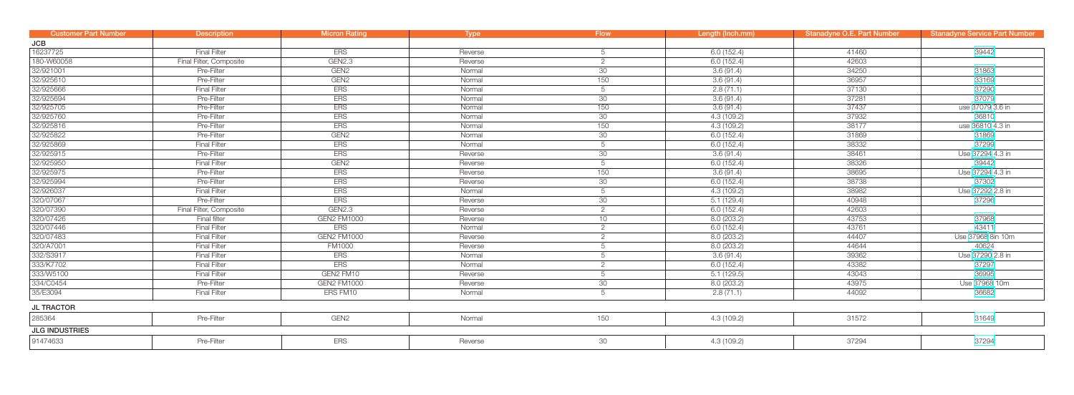| <b>Customer Part Number</b> | <b>Description</b>      | <b>Micron Rating</b> | <b>Type</b> | <b>Flow</b>     | Length (Inch.mm) | <b>Stanadyne O.E. Part Number</b> | <b>Stanadyne Service Part Number</b> |
|-----------------------------|-------------------------|----------------------|-------------|-----------------|------------------|-----------------------------------|--------------------------------------|
| JCB                         |                         |                      |             |                 |                  |                                   |                                      |
| 16237725                    | <b>Final Filter</b>     | <b>ERS</b>           | Reverse     | 5               | 6.0(152.4)       | 41460                             | 39442                                |
| 180-W60058                  | Final Filter, Composite | GEN2.3               | Reverse     | $\overline{2}$  | 6.0(152.4)       | 42603                             |                                      |
| 32/921001                   | Pre-Filter              | GEN <sub>2</sub>     | Normal      | 30              | 3.6(91.4)        | 34250                             | 31863                                |
| 32/925610                   | Pre-Filter              | GEN <sub>2</sub>     | Normal      | 150             | 3.6(91.4)        | 36957                             | 33169                                |
| 32/925666                   | <b>Final Filter</b>     | <b>ERS</b>           | Normal      | 5               | 2.8(71.1)        | 37130                             | 37290                                |
| 32/925694                   | Pre-Filter              | <b>ERS</b>           | Normal      | 30              | 3.6(91.4)        | 37281                             | 37079                                |
| 32/925705                   | Pre-Filter              | <b>ERS</b>           | Normal      | 150             | 3.6(91.4)        | 37437                             | use 37079 3.6 in                     |
| 32/925760                   | Pre-Filter              | <b>ERS</b>           | Normal      | 30              | 4.3(109.2)       | 37932                             | 36810                                |
| 32/925816                   | Pre-Filter              | <b>ERS</b>           | Normal      | 150             | 4.3(109.2)       | 38177                             | use 36810 4.3 in                     |
| 32/925822                   | Pre-Filter              | GEN <sub>2</sub>     | Normal      | 30              | 6.0(152.4)       | 31869                             | 31869                                |
| 32/925869                   | <b>Final Filter</b>     | <b>ERS</b>           | Normal      | $5\overline{)}$ | 6.0(152.4)       | 38332                             | 37299                                |
| 32/925915                   | Pre-Filter              | <b>ERS</b>           | Reverse     | 30 <sup>°</sup> | 3.6(91.4)        | 38461                             | Use 37294 4.3 in                     |
| 32/925950                   | <b>Final Filter</b>     | GEN <sub>2</sub>     | Reverse     | $5\overline{)}$ | 6.0(152.4)       | 38326                             | 39442                                |
| 32/925975                   | Pre-Filter              | <b>ERS</b>           | Reverse     | 150             | 3.6(91.4)        | 38695                             | Use 37294 4.3 in                     |
| 32/925994                   | Pre-Filter              | <b>ERS</b>           | Reverse     | 30 <sup>°</sup> | 6.0(152.4)       | 38738                             | 37302                                |
| 32/926037                   | <b>Final Filter</b>     | <b>ERS</b>           | Normal      | 5               | 4.3(109.2)       | 38982                             | Use 37292 2.8 in                     |
| 320/07067                   | Pre-Filter              | <b>ERS</b>           | Reverse     | 30              | 5.1(129.4)       | 40948                             | 37296                                |
| 320/07390                   | Final Filter, Composite | <b>GEN2.3</b>        | Reverse     | $\overline{2}$  | 6.0(152.4)       | 42603                             |                                      |
| 320/07426                   | Final filter            | <b>GEN2 FM1000</b>   | Reverse     | 10              | 8.0(203.2)       | 43753                             | 37968                                |
| 320/07446                   | <b>Final Filter</b>     | <b>ERS</b>           | Normal      | $\overline{2}$  | 6.0(152.4)       | 43761                             | 43411                                |
| 320/07483                   | <b>Final Filter</b>     | <b>GEN2 FM1000</b>   | Reverse     | $\overline{2}$  | 8.0(203.2)       | 44407                             | Use 37968 8in 10m                    |
| 320/A7001                   | <b>Final Filter</b>     | <b>FM1000</b>        | Reverse     | 5               | 8.0(203.2)       | 44644                             | 40624                                |
| 332/S3917                   | <b>Final Filter</b>     | <b>ERS</b>           | Normal      | 5               | 3.6(91.4)        | 39362                             | Use 37290 2.8 in                     |
| 333/K7702                   | <b>Final Filter</b>     | <b>ERS</b>           | Normal      | $\overline{2}$  | 6.0(152.4)       | 43382                             | 37297                                |
| 333/W5100                   | <b>Final Filter</b>     | GEN2 FM10            | Reverse     | 5               | 5.1(129.5)       | 43043                             | 36995                                |
| 334/C0454                   | Pre-Filter              | <b>GEN2 FM1000</b>   | Reverse     | 30              | 8.0(203.2)       | 43975                             | Use 37968 10m                        |
| 35/E3094                    | <b>Final Filter</b>     | ERS FM10             | Normal      | $5\overline{)}$ | 2.8(71.1)        | 44092                             | 36682                                |
| <b>JL TRACTOR</b>           |                         |                      |             |                 |                  |                                   |                                      |
| 285364                      | Pre-Filter              | GEN <sub>2</sub>     | Normal      | 150             | 4.3(109.2)       | 31572                             | 31649                                |
| <b>JLG INDUSTRIES</b>       |                         |                      |             |                 |                  |                                   |                                      |
| 91474633                    | Pre-Filter              | <b>ERS</b>           | Reverse     | $30\,$          | 4.3 (109.2)      | 37294                             | 37294                                |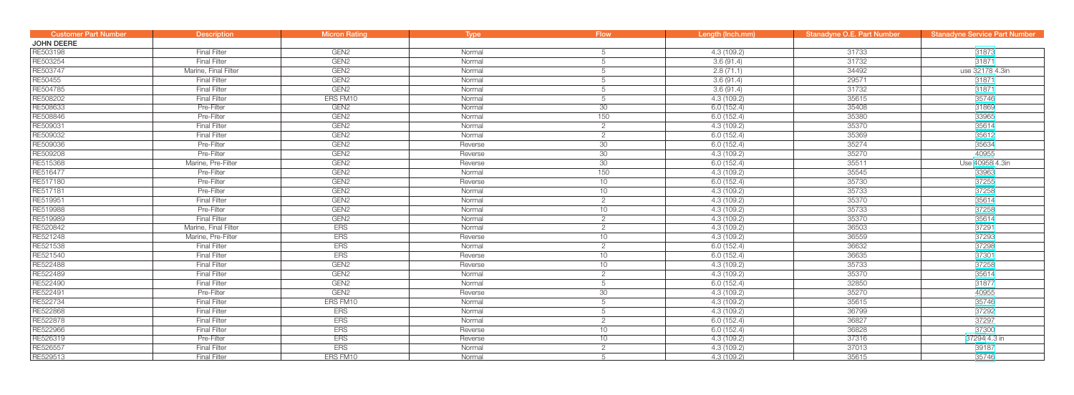| <b>Customer Part Number</b> | <b>Description</b>   | <b>Micron Rating</b> | <b>Type</b> | Flow            | Length (Inch.mm) | Stanadyne O.E. Part Number | <b>Stanadyne Service Part Number</b> |
|-----------------------------|----------------------|----------------------|-------------|-----------------|------------------|----------------------------|--------------------------------------|
| <b>JOHN DEERE</b>           |                      |                      |             |                 |                  |                            |                                      |
| RE503198                    | <b>Final Filter</b>  | GEN <sub>2</sub>     | Normal      | 5               | 4.3(109.2)       | 31733                      | 31873                                |
| RE503254                    | <b>Final Filter</b>  | GEN <sub>2</sub>     | Normal      | 5               | 3.6(91.4)        | 31732                      | 31871                                |
| RE503747                    | Marine, Final Filter | GEN <sub>2</sub>     | Normal      | 5               | 2.8(71.1)        | 34492                      | use 32178 4.3in                      |
| RE50455                     | <b>Final Filter</b>  | GEN <sub>2</sub>     | Normal      | 5               | 3.6(91.4)        | 29571                      | 31871                                |
| RE504785                    | <b>Final Filter</b>  | GEN <sub>2</sub>     | Normal      | 5               | 3.6(91.4)        | 31732                      | 31871                                |
| RE508202                    | <b>Final Filter</b>  | ERS FM10             | Normal      | 5               | 4.3 (109.2)      | 35615                      | 35746                                |
| RE508633                    | Pre-Filter           | GEN <sub>2</sub>     | Normal      | 30              | 6.0(152.4)       | 35408                      | 31869                                |
| RE508846                    | Pre-Filter           | GEN <sub>2</sub>     | Normal      | 150             | 6.0(152.4)       | 35380                      | 33965                                |
| RE509031                    | <b>Final Filter</b>  | GEN <sub>2</sub>     | Normal      | $\overline{2}$  | 4.3(109.2)       | 35370                      | 35614                                |
| RE509032                    | <b>Final Filter</b>  | GEN <sub>2</sub>     | Normal      | 2               | 6.0(152.4)       | 35369                      | 35612                                |
| RE509036                    | Pre-Filter           | GEN <sub>2</sub>     | Reverse     | 30              | 6.0(152.4)       | 35274                      | 35634                                |
| RE509208                    | Pre-Filter           | GEN <sub>2</sub>     | Reverse     | 30              | 4.3 (109.2)      | 35270                      | 40955                                |
| RE515368                    | Marine, Pre-Filter   | GEN <sub>2</sub>     | Reverse     | 30              | 6.0(152.4)       | 35511                      | Use 40958 4.3in                      |
| RE516477                    | Pre-Filter           | GEN <sub>2</sub>     | Normal      | 150             | 4.3(109.2)       | 35545                      | 33963                                |
| RE517180                    | Pre-Filter           | GEN <sub>2</sub>     | Reverse     | 10              | 6.0(152.4)       | 35730                      | 37255                                |
| RE517181                    | Pre-Filter           | GEN <sub>2</sub>     | Normal      | 10              | 4.3 (109.2)      | 35733                      | 37258                                |
| RE519951                    | <b>Final Filter</b>  | GEN <sub>2</sub>     | Normal      | $\overline{2}$  | 4.3(109.2)       | 35370                      | 35614                                |
| RE519988                    | Pre-Filter           | GEN <sub>2</sub>     | Normal      | 10              | 4.3 (109.2)      | 35733                      | 37258                                |
| RE519989                    | <b>Final Filter</b>  | GEN <sub>2</sub>     | Normal      | $\overline{2}$  | 4.3(109.2)       | 35370                      | 35614                                |
| RE520842                    | Marine, Final Filter | <b>ERS</b>           | Normal      | $\overline{2}$  | 4.3 (109.2)      | 36503                      | 37291                                |
| RE521248                    | Marine, Pre-Filter   | <b>ERS</b>           | Reverse     | 10              | 4.3(109.2)       | 36559                      | 37293                                |
| RE521538                    | <b>Final Filter</b>  | <b>ERS</b>           | Normal      | $\overline{2}$  | 6.0(152.4)       | 36632                      | 37298                                |
| RE521540                    | <b>Final Filter</b>  | <b>ERS</b>           | Reverse     | 10              | 6.0 (152.4)      | 36635                      | 37301                                |
| RE522488                    | <b>Final Filter</b>  | GEN <sub>2</sub>     | Reverse     | 10              | 4.3(109.2)       | 35733                      | 37258                                |
| RE522489                    | <b>Final Filter</b>  | GEN <sub>2</sub>     | Normal      | $\overline{2}$  | 4.3(109.2)       | 35370                      | 35614                                |
| RE522490                    | <b>Final Filter</b>  | GEN <sub>2</sub>     | Normal      | 5               | 6.0(152.4)       | 32850                      | 31877                                |
| RE522491                    | Pre-Filter           | GEN <sub>2</sub>     | Reverse     | 30              | 4.3(109.2)       | 35270                      | 40955                                |
| RE522734                    | <b>Final Filter</b>  | ERS FM10             | Normal      | 5               | 4.3 (109.2)      | 35615                      | 35746                                |
| RE522868                    | <b>Final Filter</b>  | <b>ERS</b>           | Normal      | 5               | 4.3(109.2)       | 36799                      | 37292                                |
| RE522878                    | <b>Final Filter</b>  | <b>ERS</b>           | Normal      | $\overline{2}$  | 6.0(152.4)       | 36827                      | 37297                                |
| RE522966                    | <b>Final Filter</b>  | <b>ERS</b>           | Reverse     | 10 <sup>1</sup> | 6.0(152.4)       | 36828                      | 37300                                |
| RE526319                    | Pre-Filter           | <b>ERS</b>           | Reverse     | 10              | 4.3(109.2)       | 37316                      | 37294 4.3 in                         |
| RE526557                    | <b>Final Filter</b>  | ERS                  | Normal      | $\overline{2}$  | 4.3(109.2)       | 37013                      | 39187                                |
| RE529513                    | <b>Final Filter</b>  | ERS FM10             | Normal      | 15              | 4.3 (109.2)      | 35615                      | 35746                                |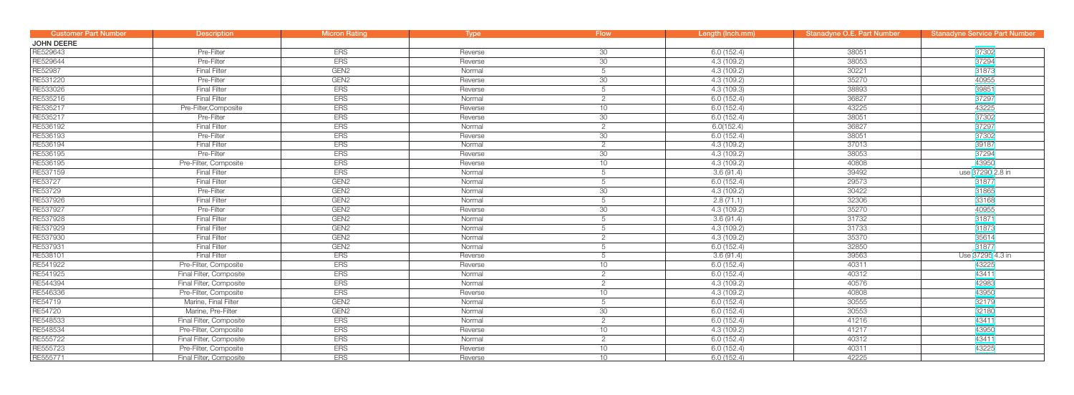| <b>Customer Part Number</b> | <b>Description</b>      | <b>Micron Rating</b> | <b>Type</b> | <b>Flow</b>     | Length (Inch.mm) | Stanadyne O.E. Part Number | <b>Stanadyne Service Part Number</b> |
|-----------------------------|-------------------------|----------------------|-------------|-----------------|------------------|----------------------------|--------------------------------------|
| <b>JOHN DEERE</b>           |                         |                      |             |                 |                  |                            |                                      |
| RE529643                    | Pre-Filter              | <b>ERS</b>           | Reverse     | 30              | 6.0(152.4)       | 38051                      | 37302                                |
| RE529644                    | Pre-Filter              | <b>ERS</b>           | Reverse     | 30              | 4.3 (109.2)      | 38053                      | 37294                                |
| RE52987                     | <b>Final Filter</b>     | GEN <sub>2</sub>     | Normal      | 5               | 4.3 (109.2)      | 30221                      | 31873                                |
| RE531220                    | Pre-Filter              | GEN <sub>2</sub>     | Reverse     | 30              | 4.3 (109.2)      | 35270                      | 40955                                |
| RE533026                    | <b>Final Filter</b>     | <b>ERS</b>           | Reverse     | 5               | 4.3(109.3)       | 38893                      | 39851                                |
| RE535216                    | <b>Final Filter</b>     | <b>ERS</b>           | Normal      | $\overline{2}$  | 6.0(152.4)       | 36827                      | 37297                                |
| RE535217                    | Pre-Filter, Composite   | <b>ERS</b>           | Reverse     | 10              | 6.0(152.4)       | 43225                      | 43225                                |
| RE535217                    | Pre-Filter              | <b>ERS</b>           | Reverse     | 30              | 6.0(152.4)       | 38051                      | 37302                                |
| RE536192                    | <b>Final Filter</b>     | <b>ERS</b>           | Normal      | 2               | 6.0(152.4)       | 36827                      | 37297                                |
| RE536193                    | Pre-Filter              | <b>ERS</b>           | Reverse     | 30              | 6.0(152.4)       | 38051                      | 37302                                |
| RE536194                    | <b>Final Filter</b>     | <b>ERS</b>           | Normal      | $\overline{2}$  | 4.3 (109.2)      | 37013                      | 39187                                |
| RE536195                    | Pre-Filter              | <b>ERS</b>           | Reverse     | 30 <sup>2</sup> | 4.3 (109.2)      | 38053                      | 37294                                |
| RE536195                    | Pre-Filter, Composite   | <b>ERS</b>           | Reverse     | 10              | 4.3 (109.2)      | 40808                      | 43950                                |
| RE537159                    | <b>Final Filter</b>     | <b>ERS</b>           | Normal      | 5               | 3.6(91.4)        | 39492                      | use 37290 2.8 in                     |
| RE53727                     | <b>Final Filter</b>     | GEN <sub>2</sub>     | Normal      | 5               | 6.0(152.4)       | 29573                      | 31877                                |
| RE53729                     | Pre-Filter              | GEN <sub>2</sub>     | Normal      | 30 <sup>2</sup> | 4.3 (109.2)      | 30422                      | 31865                                |
| RE537926                    | <b>Final Filter</b>     | GEN <sub>2</sub>     | Normal      | 5               | 2.8(71.1)        | 32306                      | 33168                                |
| RE537927                    | Pre-Filter              | GEN <sub>2</sub>     | Reverse     | 30              | 4.3 (109.2)      | 35270                      | 40955                                |
| RE537928                    | <b>Final Filter</b>     | GEN <sub>2</sub>     | Normal      | 5               | 3.6(91.4)        | 31732                      | 31871                                |
| RE537929                    | <b>Final Filter</b>     | GEN <sub>2</sub>     | Normal      | 5               | 4.3(109.2)       | 31733                      | 31873                                |
| RE537930                    | <b>Final Filter</b>     | GEN <sub>2</sub>     | Normal      | 2               | 4.3 (109.2)      | 35370                      | 35614                                |
| RE537931                    | <b>Final Filter</b>     | GEN <sub>2</sub>     | Normal      | 5               | 6.0(152.4)       | 32850                      | 31877                                |
| RE538101                    | <b>Final Filter</b>     | <b>ERS</b>           | Reverse     | 5               | 3.6(91.4)        | 39563                      | Use 37295 4.3 in                     |
| RE541922                    | Pre-Filter, Composite   | <b>ERS</b>           | Reverse     | 10              | 6.0 (152.4)      | 40311                      | 43225                                |
| RE541925                    | Final Filter, Composite | <b>ERS</b>           | Normal      | $\overline{2}$  | 6.0(152.4)       | 40312                      | 43411                                |
| RE544394                    | Final Filter, Composite | <b>ERS</b>           | Normal      | $\overline{2}$  | 4.3 (109.2)      | 40576                      | 42983                                |
| RE546336                    | Pre-Filter, Composite   | <b>ERS</b>           | Reverse     | 10              | 4.3 (109.2)      | 40808                      | 43950                                |
| RE54719                     | Marine, Final Filter    | GEN <sub>2</sub>     | Normal      | 5               | 6.0(152.4)       | 30555                      | 32179                                |
| RE54720                     | Marine, Pre-Filter      | GEN <sub>2</sub>     | Normal      | 30              | 6.0(152.4)       | 30553                      | 32180                                |
| RE548533                    | Final Filter, Composite | <b>ERS</b>           | Normal      | $\overline{2}$  | 6.0(152.4)       | 41216                      | 43411                                |
| RE548534                    | Pre-Filter, Composite   | <b>ERS</b>           | Reverse     | 10              | 4.3(109.2)       | 41217                      | 43950                                |
| RE555722                    | Final Filter, Composite | <b>ERS</b>           | Normal      | $\overline{2}$  | 6.0(152.4)       | 40312                      | 43411                                |
| RE555723                    | Pre-Filter, Composite   | <b>ERS</b>           | Reverse     | 10              | 6.0(152.4)       | 40311                      | 43225                                |
| RE555771                    | Final Filter, Composite | <b>ERS</b>           | Reverse     | 10              | 6.0(152.4)       | 42225                      |                                      |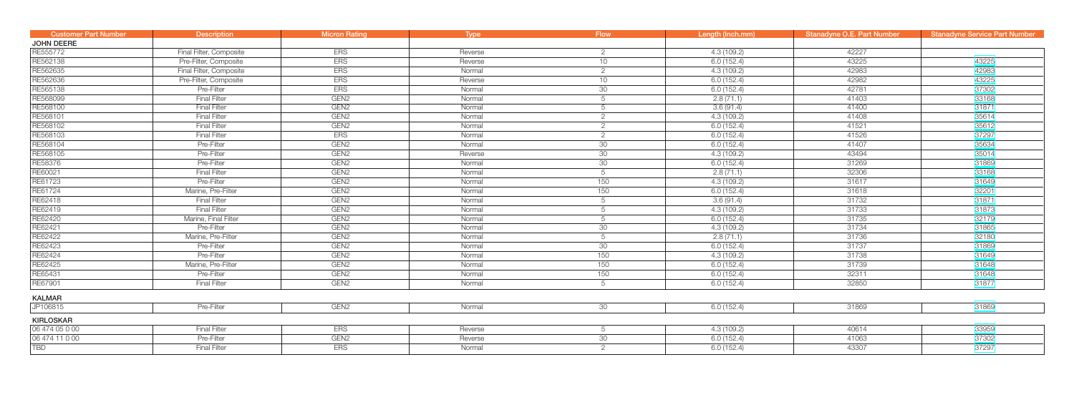| <b>Customer Part Number</b> | <b>Description</b>      | <b>Micron Rating</b> | Type    | Flow /          | Length (Inch.mm) | Stanadyne O.E. Part Number | <b>Stanadyne Service Part Number</b> |
|-----------------------------|-------------------------|----------------------|---------|-----------------|------------------|----------------------------|--------------------------------------|
| JOHN DEERE                  |                         |                      |         |                 |                  |                            |                                      |
| RE555772                    | Final Filter, Composite | <b>ERS</b>           | Reverse | $\overline{2}$  | 4.3(109.2)       | 42227                      |                                      |
| RE562138                    | Pre-Filter, Composite   | <b>ERS</b>           | Reverse | 10              | 6.0(152.4)       | 43225                      | 43225                                |
| RE562635                    | Final Filter, Composite | <b>ERS</b>           | Normal  | 2               | 4.3(109.2)       | 42983                      | 42983                                |
| RE562636                    | Pre-Filter, Composite   | <b>ERS</b>           | Reverse | 10 <sup>°</sup> | 6.0(152.4)       | 42982                      | 43225                                |
| RE565138                    | Pre-Filter              | <b>ERS</b>           | Normal  | 30              | 6.0(152.4)       | 42781                      | 37302                                |
| RE568099                    | <b>Final Filter</b>     | GEN <sub>2</sub>     | Normal  | 5               | 2.8(71.1)        | 41403                      | 33168                                |
| RE568100                    | <b>Final Filter</b>     | GEN <sub>2</sub>     | Normal  | 5               | 3.6(91.4)        | 41400                      | 31871                                |
| RE568101                    | <b>Final Filter</b>     | GEN <sub>2</sub>     | Normal  | $\overline{2}$  | 4.3 (109.2)      | 41408                      | 35614                                |
| RE568102                    | <b>Final Filter</b>     | GEN <sub>2</sub>     | Normal  | 2               | 6.0(152.4)       | 41521                      | 35612                                |
| RE568103                    | <b>Final Filter</b>     | <b>ERS</b>           | Normal  | $\overline{2}$  | 6.0(152.4)       | 41526                      | 37297                                |
| RE568104                    | Pre-Filter              | GEN <sub>2</sub>     | Normal  | 30              | 6.0(152.4)       | 41407                      | 35634                                |
| RE568105                    | Pre-Filter              | GEN <sub>2</sub>     | Reverse | 30              | 4.3(109.2)       | 43494                      | 35014                                |
| RE58376                     | Pre-Filter              | GEN <sub>2</sub>     | Normal  | 30 <sup>°</sup> | 6.0(152.4)       | 31269                      | 31869                                |
| RE60021                     | <b>Final Filter</b>     | GEN <sub>2</sub>     | Normal  | 5               | 2.8(71.1)        | 32306                      | 33168                                |
| RE61723                     | Pre-Filter              | GEN <sub>2</sub>     | Normal  | 150             | 4.3(109.2)       | 31617                      | 31649                                |
| RE61724                     | Marine, Pre-Filter      | GEN <sub>2</sub>     | Normal  | 150             | 6.0(152.4)       | 31618                      | 32201                                |
| RE62418                     | <b>Final Filter</b>     | GEN <sub>2</sub>     | Normal  | 5               | 3.6(91.4)        | 31732                      | 31871                                |
| RE62419                     | <b>Final Filter</b>     | GEN <sub>2</sub>     | Normal  | 5               | 4.3(109.2)       | 31733                      | 31873                                |
| RE62420                     | Marine, Final Filter    | GEN <sub>2</sub>     | Normal  | 5               | 6.0(152.4)       | 31735                      | 32179                                |
| RE62421                     | Pre-Filter              | GEN <sub>2</sub>     | Normal  | 30              | 4.3(109.2)       | 31734                      | 31865                                |
| RE62422                     | Marine, Pre-Filter      | GEN <sub>2</sub>     | Normal  | 5               | 2.8(71.1)        | 31736                      | 32180                                |
| RE62423                     | Pre-Filter              | GEN <sub>2</sub>     | Normal  | 30              | 6.0(152.4)       | 31737                      | 31869                                |
| RE62424                     | Pre-Filter              | GEN <sub>2</sub>     | Normal  | 150             | 4.3(109.2)       | 31738                      | 31649                                |
| RE62425                     | Marine, Pre-Filter      | GEN <sub>2</sub>     | Normal  | 150             | 6.0(152.4)       | 31739                      | 31648                                |
| RE65431                     | Pre-Filter              | GEN <sub>2</sub>     | Normal  | 150             | 6.0(152.4)       | 32311                      | 31648                                |
| RE67901                     | <b>Final Filter</b>     | GEN <sub>2</sub>     | Normal  | 5               | 6.0(152.4)       | 32850                      | 31877                                |
| <b>KALMAR</b>               |                         |                      |         |                 |                  |                            |                                      |
| JP106815                    | Pre-Filter              | GEN <sub>2</sub>     | Normal  | 30              | 6.0(152.4)       | 31869                      | 31869                                |
| <b>KIRLOSKAR</b>            |                         |                      |         |                 |                  |                            |                                      |
| 06 474 05 0 00              | <b>Final Filter</b>     | <b>ERS</b>           | Reverse | 5               | 4.3(109.2)       | 40614                      | 33959                                |
| 06 474 11 0 00              | Pre-Filter              | GEN <sub>2</sub>     | Reverse | 30              | 6.0(152.4)       | 41063                      | 37302                                |
| TBD                         | <b>Final Filter</b>     | <b>ERS</b>           | Normal  | 2               | 6.0(152.4)       | 43307                      | 37297                                |
|                             |                         |                      |         |                 |                  |                            |                                      |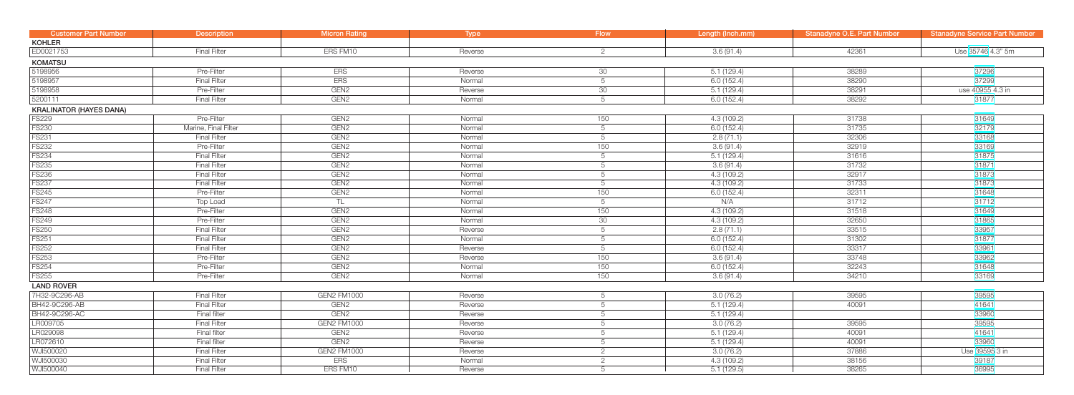| <b>Customer Part Number</b>    | <b>Description</b>   | <b>Micron Rating</b> | <b>Type</b> | <b>Flow</b>     | Length (Inch.mm) | <b>Stanadyne O.E. Part Number</b> | <b>Stanadyne Service Part Number</b> |
|--------------------------------|----------------------|----------------------|-------------|-----------------|------------------|-----------------------------------|--------------------------------------|
| <b>KOHLER</b>                  |                      |                      |             |                 |                  |                                   |                                      |
| ED0021753                      | <b>Final Filter</b>  | ERS FM10             | Reverse     | $\overline{2}$  | 3.6(91.4)        | 42361                             | Use 35746 4.3" 5m                    |
| <b>KOMATSU</b>                 |                      |                      |             |                 |                  |                                   |                                      |
| 5198956                        | Pre-Filter           | <b>ERS</b>           | Reverse     | 30              | 5.1(129.4)       | 38289                             | 37296                                |
| 5198957                        | <b>Final Filter</b>  | <b>ERS</b>           | Normal      | 5               | 6.0(152.4)       | 38290                             | 37299                                |
| 5198958                        | Pre-Filter           | GEN <sub>2</sub>     | Reverse     | 30              | 5.1(129.4)       | 38291                             | use 40955 4.3 in                     |
| 5200111                        | <b>Final Filter</b>  | GEN <sub>2</sub>     | Normal      | 5               | 6.0(152.4)       | 38292                             | 31877                                |
| <b>KRALINATOR (HAYES DANA)</b> |                      |                      |             |                 |                  |                                   |                                      |
| <b>FS229</b>                   | Pre-Filter           | GEN <sub>2</sub>     | Normal      | 150             | 4.3(109.2)       | 31738                             | 31649                                |
| <b>FS230</b>                   | Marine, Final Filter | GEN <sub>2</sub>     | Normal      | 5               | 6.0(152.4)       | 31735                             | 32179                                |
| <b>FS231</b>                   | <b>Final Filter</b>  | GEN <sub>2</sub>     | Normal      | 5               | 2.8(71.1)        | 32306                             | 33168                                |
| <b>FS232</b>                   | Pre-Filter           | GEN <sub>2</sub>     | Normal      | 150             | 3.6(91.4)        | 32919                             | 33169                                |
| <b>FS234</b>                   | <b>Final Filter</b>  | GEN <sub>2</sub>     | Normal      | $5\overline{)}$ | 5.1(129.4)       | 31616                             | 31875                                |
| <b>FS235</b>                   | <b>Final Filter</b>  | GEN <sub>2</sub>     | Normal      | $5\overline{)}$ | 3.6(91.4)        | 31732                             | 31871                                |
| <b>FS236</b>                   | <b>Final Filter</b>  | GEN <sub>2</sub>     | Normal      | $5\overline{)}$ | 4.3 (109.2)      | 32917                             | 31873                                |
| <b>FS237</b>                   | <b>Final Filter</b>  | GEN <sub>2</sub>     | Normal      | $5\overline{)}$ | 4.3 (109.2)      | 31733                             | 31873                                |
| <b>FS245</b>                   | Pre-Filter           | GEN <sub>2</sub>     | Normal      | 150             | 6.0(152.4)       | 32311                             | 31648                                |
| <b>FS247</b>                   | <b>Top Load</b>      | TL.                  | Normal      | $5\overline{)}$ | N/A              | 31712                             | 31712                                |
| <b>FS248</b>                   | Pre-Filter           | GEN <sub>2</sub>     | Normal      | 150             | 4.3(109.2)       | 31518                             | 31649                                |
| <b>FS249</b>                   | Pre-Filter           | GEN <sub>2</sub>     | Normal      | 30              | 4.3(109.2)       | 32650                             | 31865                                |
| <b>FS250</b>                   | <b>Final Filter</b>  | GEN <sub>2</sub>     | Reverse     | 5               | 2.8(71.1)        | 33515                             | 33957                                |
| <b>FS251</b>                   | <b>Final Filter</b>  | GEN <sub>2</sub>     | Normal      | 5               | 6.0(152.4)       | 31302                             | 31877                                |
| <b>FS252</b>                   | <b>Final Filter</b>  | GEN <sub>2</sub>     | Reverse     | 5               | 6.0(152.4)       | 33317                             | 33961                                |
| <b>FS253</b>                   | Pre-Filter           | GEN <sub>2</sub>     | Reverse     | 150             | 3.6(91.4)        | 33748                             | 33962                                |
| <b>FS254</b>                   | Pre-Filter           | GEN <sub>2</sub>     | Normal      | 150             | 6.0(152.4)       | 32243                             | 31648                                |
| <b>FS255</b>                   | Pre-Filter           | GEN <sub>2</sub>     | Normal      | 150             | 3.6(91.4)        | 34210                             | 33169                                |
| <b>LAND ROVER</b>              |                      |                      |             |                 |                  |                                   |                                      |
| 7H32-9C296-AB                  | <b>Final Filter</b>  | <b>GEN2 FM1000</b>   | Reverse     | 5               | 3.0(76.2)        | 39595                             | 39595                                |
| BH42-9C296-AB                  | <b>Final Filter</b>  | GEN <sub>2</sub>     | Reverse     | 5               | 5.1(129.4)       | 40091                             | 41641                                |
| BH42-9C296-AC                  | <b>Final filter</b>  | GEN <sub>2</sub>     | Reverse     | 5               | 5.1(129.4)       |                                   | 33960                                |
| LR009705                       | <b>Final Filter</b>  | <b>GEN2 FM1000</b>   | Reverse     | 5               | 3.0(76.2)        | 39595                             | 39595                                |
| LR029098                       | <b>Final filter</b>  | GEN <sub>2</sub>     | Reverse     | 5               | 5.1(129.4)       | 40091                             | 41641                                |
| LR072610                       | Final filter         | GEN <sub>2</sub>     | Reverse     | 5               | 5.1(129.4)       | 40091                             | 33960                                |
| WJI500020                      | <b>Final Filter</b>  | <b>GEN2 FM1000</b>   | Reverse     | $\overline{2}$  | 3.0(76.2)        | 37886                             | Use 39595 3 in                       |
| WJI500030                      | <b>Final Filter</b>  | <b>ERS</b>           | Normal      | $\overline{2}$  | 4.3(109.2)       | 38156                             | 39187                                |
| WJI500040                      | <b>Final Filter</b>  | ERS FM10             | Reverse     | 5               | 5.1(129.5)       | 38265                             | 36995                                |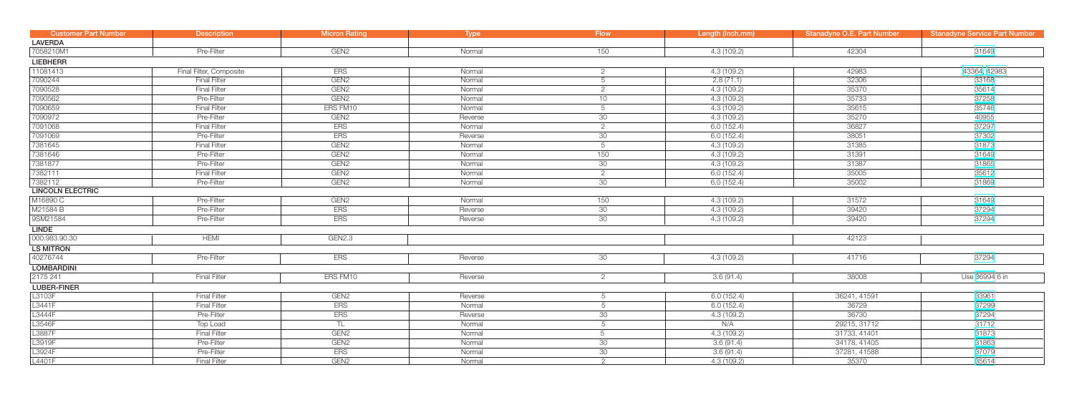| <b>Customer Part Number</b> | <b>Description</b>      | <b>Micron Rating</b> | <b>Type</b> | <b>Flow</b>     | Length (Inch.mm) | <b>Stanadyne O.E. Part Number</b> | <b>Stanadyne Service Part Number</b> |
|-----------------------------|-------------------------|----------------------|-------------|-----------------|------------------|-----------------------------------|--------------------------------------|
| <b>LAVERDA</b>              |                         |                      |             |                 |                  |                                   |                                      |
| 7058210M1                   | Pre-Filter              | GEN <sub>2</sub>     | Normal      | 150             | 4.3(109.2)       | 42304                             | 31649                                |
| <b>LIEBHERR</b>             |                         |                      |             |                 |                  |                                   |                                      |
| 11081413                    | Final Filter, Composite | <b>ERS</b>           | Normal      | $\overline{2}$  | 4.3(109.2)       | 42983                             | 43364, 42983                         |
| 7090244                     | <b>Final Filter</b>     | GEN <sub>2</sub>     | Normal      | 5               | 2.8(71.1)        | 32306                             | 33168                                |
| 7090528                     | <b>Final Filter</b>     | GEN <sub>2</sub>     | Normal      | $\overline{2}$  | 4.3(109.2)       | 35370                             | 35614                                |
| 7090562                     | Pre-Filter              | GEN <sub>2</sub>     | Normal      | 10              | 4.3(109.2)       | 35733                             | 37258                                |
| 7090659                     | <b>Final Filter</b>     | ERS FM10             | Normal      | 5               | 4.3(109.2)       | 35615                             | 35746                                |
| 7090972                     | Pre-Filter              | GEN <sub>2</sub>     | Reverse     | 30              | 4.3(109.2)       | 35270                             | 40955                                |
| 7091068                     | <b>Final Filter</b>     | <b>ERS</b>           | Normal      | $\overline{2}$  | 6.0(152.4)       | 36827                             | 37297                                |
| 7091069                     | Pre-Filter              | <b>ERS</b>           | Reverse     | 30              | 6.0(152.4)       | 38051                             | 37302                                |
| 7381645                     | <b>Final Filter</b>     | GEN <sub>2</sub>     | Normal      | 5               | 4.3(109.2)       | 31385                             | 31873                                |
| 7381646                     | Pre-Filter              | GEN <sub>2</sub>     | Normal      | 150             | 4.3(109.2)       | 31391                             | 31649                                |
| 7381877                     | Pre-Filter              | GEN <sub>2</sub>     | Normal      | 30              | 4.3(109.2)       | 31387                             | 31865                                |
| 7382111                     | <b>Final Filter</b>     | GEN <sub>2</sub>     | Normal      | $\overline{2}$  | 6.0(152.4)       | 35005                             | 35612                                |
| 7382112                     | Pre-Filter              | GEN <sub>2</sub>     | Normal      | 30              | 6.0(152.4)       | 35002                             | 31869                                |
| <b>LINCOLN ELECTRIC</b>     |                         |                      |             |                 |                  |                                   |                                      |
| M16890 C                    | Pre-Filter              | GEN <sub>2</sub>     | Normal      | 150             | 4.3(109.2)       | 31572                             | 31649                                |
| M21584 B                    | Pre-Filter              | <b>ERS</b>           | Reverse     | 30              | 4.3(109.2)       | 39420                             | 37294                                |
| 9SM21584                    | Pre-Filter              | <b>ERS</b>           | Reverse     | 30              | 4.3(109.2)       | 39420                             | 37294                                |
| LINDE                       |                         |                      |             |                 |                  |                                   |                                      |
| 000.983.90.30               | <b>HEMI</b>             | GEN2.3               |             |                 |                  | 42123                             |                                      |
| <b>LS MITRON</b>            |                         |                      |             |                 |                  |                                   |                                      |
| 40276744                    | Pre-Filter              | <b>ERS</b>           | Reverse     | 30              | 4.3(109.2)       | 41716                             | 37294                                |
| <b>LOMBARDINI</b>           |                         |                      |             |                 |                  |                                   |                                      |
| 2175 241                    | <b>Final Filter</b>     | ERS FM10             | Reverse     | $\overline{2}$  | 3.6(91.4)        | 38008                             | Use 36994 6 in                       |
| <b>LUBER-FINER</b>          |                         |                      |             |                 |                  |                                   |                                      |
| L3103F                      | <b>Final Filter</b>     | GEN <sub>2</sub>     | Reverse     | 5               | 6.0(152.4)       | 36241, 41591                      | 33961                                |
| L3441F                      | <b>Final Filter</b>     | <b>ERS</b>           | Normal      | 5               | 6.0(152.4)       | 36729                             | 37299                                |
| L3444F                      | Pre-Filter              | <b>ERS</b>           | Reverse     | 30              | 4.3(109.2)       | 36730                             | 37294                                |
| L3546F                      | Top Load                | TL                   | Normal      | 5               | N/A              | 29215, 31712                      | 31712                                |
| L3887F                      | <b>Final Filter</b>     | GEN <sub>2</sub>     | Normal      | 5               | 4.3(109.2)       | 31733, 41401                      | 31873                                |
| L3919F                      | Pre-Filter              | GEN <sub>2</sub>     | Normal      | 30              | 3.6(91.4)        | 34178, 41405                      | 31863                                |
| L3924F                      | Pre-Filter              | <b>ERS</b>           | Normal      | 30 <sup>°</sup> | 3.6(91.4)        | 37281, 41588                      | 37079                                |
| L4401F                      | <b>Final Filter</b>     | GEN <sub>2</sub>     | Normal      | $\overline{2}$  | 4.3(109.2)       | 35370                             | 35614                                |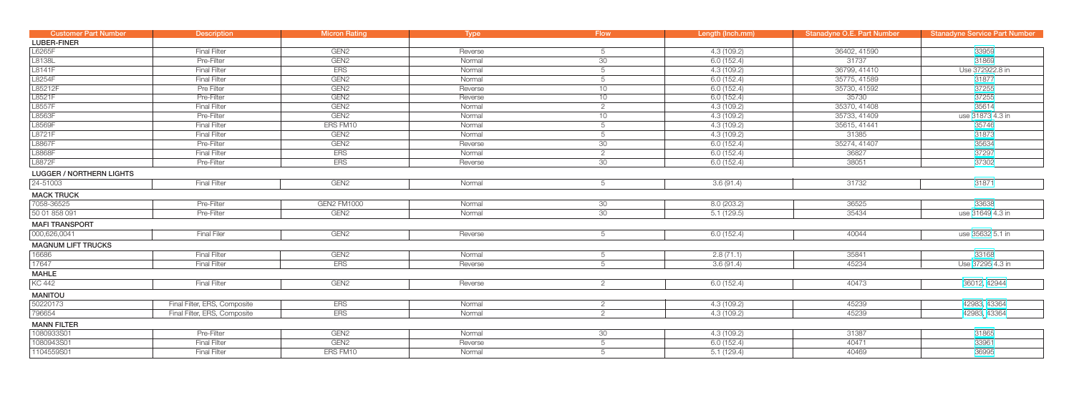| <b>Customer Part Number</b>     | <b>Description</b>           | <b>Micron Rating</b> | <b>Type</b> | <b>Flow</b>           | Length (Inch.mm) | Stanadyne O.E. Part Number | <b>Stanadyne Service Part Number</b> |
|---------------------------------|------------------------------|----------------------|-------------|-----------------------|------------------|----------------------------|--------------------------------------|
| <b>LUBER-FINER</b>              |                              |                      |             |                       |                  |                            |                                      |
| L6265F                          | <b>Final Filter</b>          | GEN <sub>2</sub>     | Reverse     | 5                     | 4.3(109.2)       | 36402, 41590               | 33959                                |
| L8138L                          | Pre-Filter                   | GEN <sub>2</sub>     | Normal      | 30                    | 6.0(152.4)       | 31737                      | 31869                                |
| L8141F                          | <b>Final Filter</b>          | <b>ERS</b>           | Normal      | 5                     | 4.3(109.2)       | 36799, 41410               | Use 372922.8 in                      |
| L8254F                          | <b>Final Filter</b>          | GEN <sub>2</sub>     | Normal      | 5                     | 6.0(152.4)       | 35775, 41589               | 31877                                |
| L85212F                         | Pre Filter                   | GEN <sub>2</sub>     | Reverse     | 10                    | 6.0(152.4)       | 35730, 41592               | 37255                                |
| L8521F                          | Pre-Filter                   | GEN <sub>2</sub>     | Reverse     | 10                    | 6.0(152.4)       | 35730                      | 37255                                |
| L8557F                          | <b>Final Filter</b>          | GEN <sub>2</sub>     | Normal      | $\overline{2}$        | 4.3(109.2)       | 35370, 41408               | 35614                                |
| L8563F                          | Pre-Filter                   | GEN <sub>2</sub>     | Normal      | 10                    | 4.3(109.2)       | 35733, 41409               | use 31873 4.3 in                     |
| L8569F                          | <b>Final Filter</b>          | ERS FM10             | Normal      | $5\overline{)}$       | 4.3(109.2)       | 35615, 41441               | 35746                                |
| L8721F                          | <b>Final Filter</b>          | GEN <sub>2</sub>     | Normal      | $5\overline{)}$       | 4.3 (109.2)      | 31385                      | 31873                                |
| L8867F                          | Pre-Filter                   | GEN <sub>2</sub>     | Reverse     | 30                    | 6.0 (152.4)      | 35274, 41407               | 35634                                |
| L8868F                          | <b>Final Filter</b>          | <b>ERS</b>           | Normal      | $\overline{2}$        | 6.0(152.4)       | 36827                      | 37297                                |
| L8872F                          | Pre-Filter                   | <b>ERS</b>           | Reverse     | 30                    | 6.0(152.4)       | 38051                      | 37302                                |
| <b>LUGGER / NORTHERN LIGHTS</b> |                              |                      |             |                       |                  |                            |                                      |
| 24-51003                        | <b>Final Filter</b>          | GEN <sub>2</sub>     | Normal      | 5                     | 3.6(91.4)        | 31732                      | 31871                                |
| <b>MACK TRUCK</b>               |                              |                      |             |                       |                  |                            |                                      |
| 7058-36525                      | Pre-Filter                   | <b>GEN2 FM1000</b>   | Normal      | 30                    | 8.0(203.2)       | 36525                      | 33638                                |
| 50 01 858 091                   | Pre-Filter                   | GEN <sub>2</sub>     | Normal      | 30                    | 5.1(129.5)       | 35434                      | use 31649 4.3 in                     |
| <b>MAFI TRANSPORT</b>           |                              |                      |             |                       |                  |                            |                                      |
| 000,626,0041                    | <b>Final Filer</b>           | GEN <sub>2</sub>     | Reverse     | 5                     | 6.0(152.4)       | 40044                      | use 35632 5.1 in                     |
| <b>MAGNUM LIFT TRUCKS</b>       |                              |                      |             |                       |                  |                            |                                      |
| 16686                           | <b>Final Filter</b>          | GEN <sub>2</sub>     | Normal      | 5                     | 2.8(71.1)        | 35841                      | 33168                                |
| 17647                           | <b>Final Filter</b>          | ERS                  | Reverse     | 5                     | 3.6(91.4)        | 45234                      | Use 37295 4.3 in                     |
| <b>MAHLE</b>                    |                              |                      |             |                       |                  |                            |                                      |
| <b>KC 442</b>                   | <b>Final Filter</b>          | GEN <sub>2</sub>     | Reverse     | $\overline{2}$        | 6.0(152.4)       | 40473                      | 36012, 42944                         |
| <b>MANITOU</b>                  |                              |                      |             |                       |                  |                            |                                      |
| 50220173                        | Final Filter, ERS, Composite | ERS                  | Normal      | $\mathbf{2}^{\prime}$ | 4.3(109.2)       | 45239                      | 42983, 43364                         |
| 796654                          | Final Filter, ERS, Composite | <b>ERS</b>           | Normal      | 2                     | 4.3(109.2)       | 45239                      | 42983, 43364                         |
| <b>MANN FILTER</b>              |                              |                      |             |                       |                  |                            |                                      |
| 1080933S01                      | Pre-Filter                   | GEN <sub>2</sub>     | Normal      | 30                    | 4.3 (109.2)      | 31387                      | 31865                                |
| 1080943S01                      | <b>Final Filter</b>          | GEN <sub>2</sub>     | Reverse     | $5\overline{)}$       | 6.0(152.4)       | 40471                      | 33961                                |
| 1104559S01                      | <b>Final Filter</b>          | ERS FM10             | Normal      | 5                     | 5.1(129.4)       | 40469                      | 36995                                |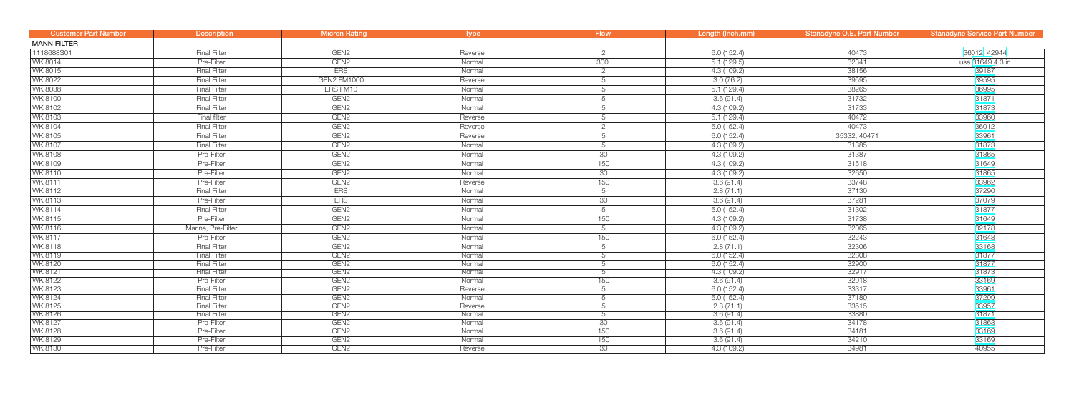| <b>Customer Part Number</b> | <b>Description</b>  | <b>Micron Rating</b> | <b>Type</b> | <b>Flow</b>    | Length (Inch.mm) | <b>Stanadyne O.E. Part Number</b> | <b>Stanadyne Service Part Number</b> |
|-----------------------------|---------------------|----------------------|-------------|----------------|------------------|-----------------------------------|--------------------------------------|
| <b>MANN FILTER</b>          |                     |                      |             |                |                  |                                   |                                      |
| 1118688S01                  | <b>Final Filter</b> | GEN <sub>2</sub>     | Reverse     | $\overline{2}$ | 6.0(152.4)       | 40473                             | 36012, 42944                         |
| WK 8014                     | Pre-Filter          | GEN <sub>2</sub>     | Normal      | 300            | 5.1(129.5)       | 32341                             | use 31649 4.3 in                     |
| WK 8015                     | <b>Final Filter</b> | <b>ERS</b>           | Normal      | $\overline{2}$ | 4.3(109.2)       | 38156                             | 39187                                |
| WK 8022                     | <b>Final Filter</b> | <b>GEN2 FM1000</b>   | Reverse     | 5              | 3.0(76.2)        | 39595                             | 39595                                |
| <b>WK 8038</b>              | <b>Final Filter</b> | ERS FM10             | Normal      | 5              | 5.1(129.4)       | 38265                             | 36995                                |
| <b>WK 8100</b>              | <b>Final Filter</b> | GEN <sub>2</sub>     | Normal      | 5              | 3.6(91.4)        | 31732                             | 31871                                |
| <b>WK 8102</b>              | <b>Final Filter</b> | GEN <sub>2</sub>     | Normal      | 5              | 4.3(109.2)       | 31733                             | 31873                                |
| <b>WK 8103</b>              | Final filter        | GEN <sub>2</sub>     | Reverse     | 5              | 5.1(129.4)       | 40472                             | 33960                                |
| <b>WK 8104</b>              | <b>Final Filter</b> | GEN <sub>2</sub>     | Reverse     | $\overline{2}$ | 6.0(152.4)       | 40473                             | 36012                                |
| <b>WK 8105</b>              | <b>Final Filter</b> | GEN <sub>2</sub>     | Reverse     | 5              | 6.0(152.4)       | 35332, 40471                      | 33961                                |
| WK 8107                     | <b>Final Filter</b> | GEN <sub>2</sub>     | Normal      | 5              | 4.3(109.2)       | 31385                             | 31873                                |
| <b>WK 8108</b>              | Pre-Filter          | GEN <sub>2</sub>     | Normal      | 30             | 4.3(109.2)       | 31387                             | 31865                                |
| WK 8109                     | Pre-Filter          | GEN <sub>2</sub>     | Normal      | 150            | 4.3 (109.2)      | 31518                             | 31649                                |
| WK 8110                     | Pre-Filter          | GEN <sub>2</sub>     | Normal      | 30             | 4.3 (109.2)      | 32650                             | 31865                                |
| WK 8111                     | Pre-Filter          | GEN <sub>2</sub>     | Reverse     | 150            | 3.6(91.4)        | 33748                             | 33962                                |
| WK 8112                     | <b>Final Filter</b> | <b>ERS</b>           | Normal      | 5              | 2.8(71.1)        | 37130                             | 37290                                |
| <b>WK8113</b>               | Pre-Filter          | <b>ERS</b>           | Normal      | 30             | 3.6(91.4)        | 37281                             | 37079                                |
| WK 8114                     | <b>Final Filter</b> | GEN <sub>2</sub>     | Normal      | 5              | 6.0(152.4)       | 31302                             | 31877                                |
| WK 8115                     | Pre-Filter          | GEN <sub>2</sub>     | Normal      | 150            | 4.3(109.2)       | 31738                             | 31649                                |
| WK 8116                     | Marine, Pre-Filter  | GEN <sub>2</sub>     | Normal      | 5              | 4.3(109.2)       | 32065                             | 32178                                |
| <b>WK8117</b>               | Pre-Filter          | GEN <sub>2</sub>     | Normal      | 150            | 6.0(152.4)       | 32243                             | 31648                                |
| WK 8118                     | <b>Final Filter</b> | GEN <sub>2</sub>     | Normal      | 5              | 2.8(71.1)        | 32306                             | 33168                                |
| <b>WK 8119</b>              | <b>Final Filter</b> | GEN <sub>2</sub>     | Normal      | 5              | 6.0(152.4)       | 32808                             | 31877                                |
| <b>WK 8120</b>              | <b>Final Filter</b> | GEN <sub>2</sub>     | Normal      | 5              | 6.0(152.4)       | 32900                             | 31877                                |
| WK 8121                     | <b>Final Filter</b> | GEN <sub>2</sub>     | Normal      | 5              | 4.3(109.2)       | 32917                             | 31873                                |
| <b>WK 8122</b>              | Pre-Filter          | GEN <sub>2</sub>     | Normal      | 150            | 3.6(91.4)        | 32918                             | 33169                                |
| <b>WK8123</b>               | <b>Final Filter</b> | GEN <sub>2</sub>     | Reverse     | 5              | 6.0(152.4)       | 33317                             | 33961                                |
| WK 8124                     | <b>Final Filter</b> | GEN <sub>2</sub>     | Normal      | 5              | 6.0(152.4)       | 37180                             | 37299                                |
| <b>WK 8125</b>              | <b>Final Filter</b> | GEN <sub>2</sub>     | Reverse     | 5              | 2.8(71.1)        | 33515                             | 33957                                |
| <b>WK 8126</b>              | <b>Final Filter</b> | GEN <sub>2</sub>     | Normal      | 5              | 3.6(91.4)        | 33880                             | 31871                                |
| <b>WK 8127</b>              | Pre-Filter          | GEN <sub>2</sub>     | Normal      | 30             | 3.6(91.4)        | 34178                             | 31863                                |
| <b>WK 8128</b>              | Pre-Filter          | GEN <sub>2</sub>     | Normal      | 150            | 3.6(91.4)        | 34181                             | 33169                                |
| <b>WK 8129</b>              | Pre-Filter          | GEN <sub>2</sub>     | Normal      | 150            | 3.6(91.4)        | 34210                             | 33169                                |
| <b>WK 8130</b>              | Pre-Filter          | GEN <sub>2</sub>     | Reverse     | 30             | 4.3(109.2)       | 34981                             | 40955                                |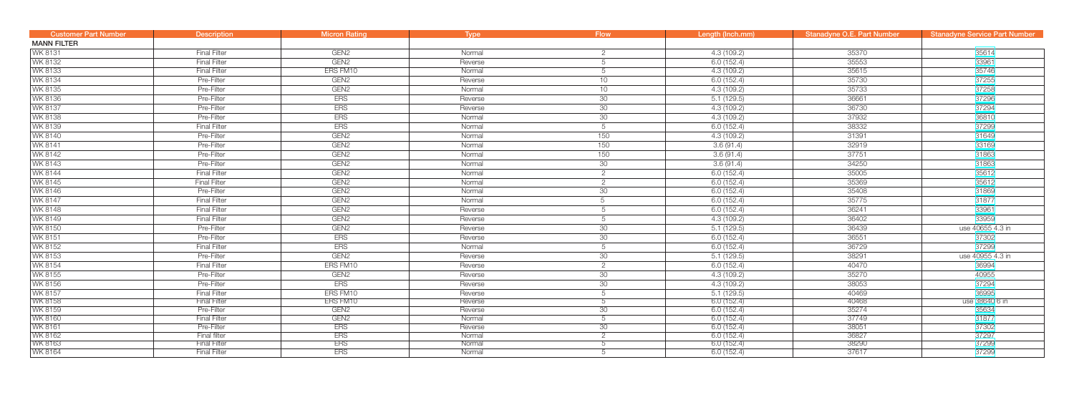| <b>Customer Part Number</b>      | <b>Description</b>                  | <b>Micron Rating</b>     | <b>Type</b>      | <b>Flow</b>     | Length (Inch.mm)         | <b>Stanadyne O.E. Part Number</b> | <b>Stanadyne Service Part Number</b> |
|----------------------------------|-------------------------------------|--------------------------|------------------|-----------------|--------------------------|-----------------------------------|--------------------------------------|
| <b>MANN FILTER</b>               |                                     |                          |                  |                 |                          |                                   |                                      |
| WK 8131                          | <b>Final Filter</b>                 | GEN <sub>2</sub>         | Normal           | $\overline{2}$  | 4.3 (109.2)              | 35370                             | 35614                                |
| WK 8132                          | <b>Final Filter</b>                 | GEN <sub>2</sub>         | Reverse          | 5               | 6.0(152.4)               | 35553                             | 33961                                |
| WK 8133                          | <b>Final Filter</b>                 | ERS FM10                 | Normal           | 5               | 4.3(109.2)               | 35615                             | 35746                                |
| WK 8134                          | Pre-Filter                          | GEN <sub>2</sub>         | Reverse          | 10              | 6.0(152.4)               | 35730                             | 37255                                |
| <b>WK 8135</b>                   | Pre-Filter                          | GEN <sub>2</sub>         | Normal           | 10              | 4.3(109.2)               | 35733                             | 37258                                |
| <b>WK 8136</b>                   | Pre-Filter                          | <b>ERS</b>               | Reverse          | 30              | 5.1(129.5)               | 36661                             | 37296                                |
| <b>WK 8137</b>                   | Pre-Filter                          | <b>ERS</b>               | Reverse          | 30              | 4.3(109.2)               | 36730                             | 37294                                |
| <b>WK 8138</b>                   | Pre-Filter                          | <b>ERS</b>               | Normal           | 30              | 4.3(109.2)               | 37932                             | 36810                                |
| WK 8139                          | <b>Final Filter</b>                 | <b>ERS</b>               | Normal           | 5               | 6.0(152.4)               | 38332                             | 37299                                |
| <b>WK 8140</b>                   | Pre-Filter                          | GEN <sub>2</sub>         | Normal           | 150             | 4.3(109.2)               | 31391                             | 31649                                |
| WK 8141                          | Pre-Filter                          | GEN <sub>2</sub>         | Normal           | 150             | 3.6(91.4)                | 32919                             | 33169                                |
| WK 8142                          | Pre-Filter                          | GEN <sub>2</sub>         | Normal           | 150             | 3.6(91.4)                | 37751                             | 31863                                |
| WK 8143                          | Pre-Filter                          | GEN <sub>2</sub>         | Normal           | 30              | 3.6(91.4)                | 34250                             | 31863                                |
| WK 8144                          | <b>Final Filter</b>                 | GEN <sub>2</sub>         | Normal           | $\mathbf{2}$    | 6.0(152.4)               | 35005                             | 35612                                |
| <b>WK 8145</b>                   | <b>Final Filter</b>                 | GEN <sub>2</sub>         | Normal           | $\overline{2}$  | 6.0(152.4)               | 35369                             | 35612                                |
| <b>WK 8146</b>                   | Pre-Filter                          | GEN <sub>2</sub>         | Normal           | 30              | 6.0(152.4)               | 35408                             | 31869                                |
| <b>WK 8147</b>                   | <b>Final Filter</b>                 | GEN <sub>2</sub>         | Normal           | 5               | 6.0(152.4)               | 35775                             | 31877                                |
| <b>WK 8148</b>                   | <b>Final Filter</b>                 | GEN <sub>2</sub>         | Reverse          | 5               | 6.0(152.4)               | 36241                             | 33961                                |
| <b>WK 8149</b>                   | <b>Final Filter</b>                 | GEN <sub>2</sub>         | Reverse          | 5               | 4.3(109.2)               | 36402                             | 33959                                |
| <b>WK 8150</b>                   | Pre-Filter                          | GEN <sub>2</sub>         | Reverse          | 30              | 5.1(129.5)               | 36439                             | use 40655 4.3 in                     |
| WK 8151                          | Pre-Filter                          | <b>ERS</b>               | Reverse          | 30              | 6.0(152.4)               | 36551                             | 37302                                |
| WK 8152                          | <b>Final Filter</b>                 | <b>ERS</b>               | Normal           | 5               | 6.0(152.4)               | 36729                             | 37299                                |
| WK 8153                          | Pre-Filter                          | GEN <sub>2</sub>         | Reverse          | 30              | 5.1(129.5)               | 38291                             | use 40955 4.3 in                     |
| <b>WK 8154</b>                   | <b>Final Filter</b>                 | ERS FM10                 | Reverse          | $\overline{2}$  | 6.0(152.4)               | 40470                             | 36994                                |
| <b>WK 8155</b>                   | Pre-Filter                          | GEN <sub>2</sub>         | Reverse          | 30              | 4.3(109.2)               | 35270                             | 40955                                |
| WK 8156                          | Pre-Filter                          | <b>ERS</b>               | Reverse          | 30              | 4.3(109.2)               | 38053                             | 37294                                |
| WK 8157                          | <b>Final Filter</b>                 | ERS FM10                 | Reverse          | 5               | 5.1(129.5)               | 40469                             | 36995                                |
| <b>WK 8158</b>                   | <b>Final Filter</b>                 | ERS FM10                 | Reverse          | 5               | 6.0(152.4)               | 40468                             | use 38640 6 in                       |
| <b>WK8159</b>                    | Pre-Filter                          | GEN <sub>2</sub>         | Reverse          | 30              | 6.0(152.4)               | 35274                             | 35634                                |
| <b>WK 8160</b>                   | <b>Final Filter</b>                 | GEN <sub>2</sub>         | Normal           | $5\overline{)}$ | 6.0(152.4)               | 37749                             | 31877                                |
| <b>WK 8161</b>                   | Pre-Filter                          | <b>ERS</b>               | Reverse          | 30              | 6.0(152.4)               | 38051                             | 37302                                |
| <b>WK 8162</b><br><b>WK 8163</b> | Final filter<br><b>Final Filter</b> | <b>ERS</b><br><b>ERS</b> | Normal<br>Normal |                 | 6.0(152.4)<br>6.0(152.4) | 36827<br>38290                    | 37297<br>37299                       |
| <b>WK 8164</b>                   | <b>Final Filter</b>                 | <b>ERS</b>               | Normal           | $\circ$         | 6.0(152.4)               | 37617                             | 37299                                |
|                                  |                                     |                          |                  |                 |                          |                                   |                                      |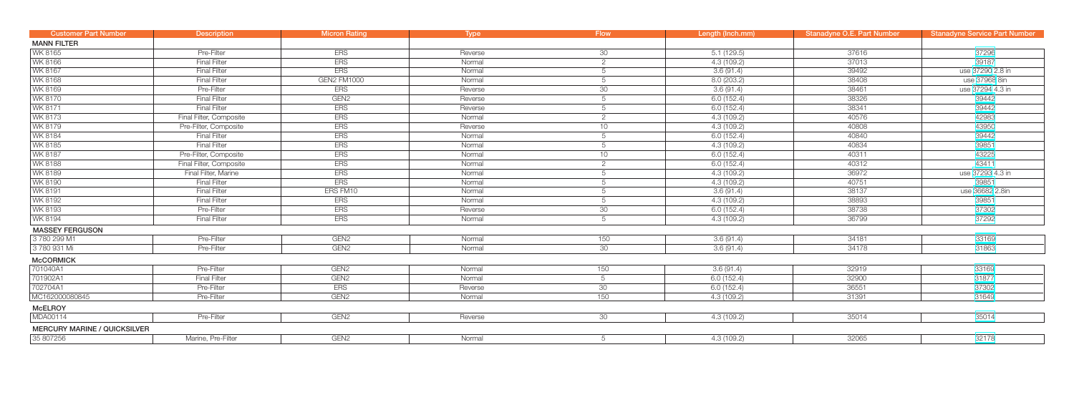| <b>Customer Part Number</b>         | <b>Description</b>      | <b>Micron Rating</b> | <b>Type</b> | <b>Flow</b>     | Length (Inch.mm) | Stanadyne O.E. Part Number | <b>Stanadyne Service Part Number</b> |
|-------------------------------------|-------------------------|----------------------|-------------|-----------------|------------------|----------------------------|--------------------------------------|
| <b>MANN FILTER</b>                  |                         |                      |             |                 |                  |                            |                                      |
| WK 8165                             | Pre-Filter              | <b>ERS</b>           | Reverse     | 30              | 5.1(129.5)       | 37616                      | 37296                                |
| WK 8166                             | <b>Final Filter</b>     | <b>ERS</b>           | Normal      | $\overline{2}$  | 4.3(109.2)       | 37013                      | 39187                                |
| <b>WK 8167</b>                      | <b>Final Filter</b>     | <b>ERS</b>           | Normal      | 5               | 3.6(91.4)        | 39492                      | use 37290 2.8 in                     |
| <b>WK 8168</b>                      | <b>Final Filter</b>     | <b>GEN2 FM1000</b>   | Normal      | 5               | 8.0 (203.2)      | 38408                      | use 37968 8in                        |
| WK 8169                             | Pre-Filter              | <b>ERS</b>           | Reverse     | $\overline{30}$ | 3.6(91.4)        | 38461                      | use 37294 4.3 in                     |
| <b>WK 8170</b>                      | <b>Final Filter</b>     | GEN <sub>2</sub>     | Reverse     | 5               | 6.0(152.4)       | 38326                      | 39442                                |
| <b>WK 8171</b>                      | <b>Final Filter</b>     | <b>ERS</b>           | Reverse     | 5               | 6.0(152.4)       | 38341                      | 39442                                |
| <b>WK 8173</b>                      | Final Filter, Composite | <b>ERS</b>           | Normal      | $\overline{2}$  | 4.3(109.2)       | 40576                      | 42983                                |
| WK 8179                             | Pre-Filter, Composite   | <b>ERS</b>           | Reverse     | 10              | 4.3(109.2)       | 40808                      | 43950                                |
| <b>WK 8184</b>                      | <b>Final Filter</b>     | ERS                  | Normal      | 5               | 6.0(152.4)       | 40840                      | 39442                                |
| <b>WK 8185</b>                      | Final Filter            | <b>ERS</b>           | Normal      | 5               | 4.3(109.2)       | 40834                      | 39851                                |
| <b>WK 8187</b>                      | Pre-Filter, Composite   | <b>ERS</b>           | Normal      | 10              | 6.0(152.4)       | 40311                      | 43225                                |
| <b>WK 8188</b>                      | Final Filter, Composite | <b>ERS</b>           | Normal      | $\overline{2}$  | 6.0(152.4)       | 40312                      | 43411                                |
| <b>WK 8189</b>                      | Final Filter, Marine    | <b>ERS</b>           | Normal      | 5               | 4.3(109.2)       | 36972                      | use 37293 4.3 in                     |
| <b>WK 8190</b>                      | <b>Final Filter</b>     | <b>ERS</b>           | Normal      | 5               | 4.3(109.2)       | 40751                      | 39851                                |
| WK 8191                             | <b>Final Filter</b>     | ERS FM10             | Normal      | 5               | 3.6(91.4)        | 38137                      | use 36682 2.8in                      |
| WK 8192                             | <b>Final Filter</b>     | <b>ERS</b>           | Normal      | 5               | 4.3(109.2)       | 38893                      | 39851                                |
| <b>WK 8193</b>                      | Pre-Filter              | <b>ERS</b>           | Reverse     | 30              | 6.0(152.4)       | 38738                      | 37302                                |
| WK 8194                             | <b>Final Filter</b>     | <b>ERS</b>           | Normal      | 5               | 4.3(109.2)       | 36799                      | 37292                                |
| <b>MASSEY FERGUSON</b>              |                         |                      |             |                 |                  |                            |                                      |
| 3780 299 M1                         | Pre-Filter              | GEN <sub>2</sub>     | Normal      | 150             | 3.6(91.4)        | 34181                      | 33169                                |
| 3 780 931 Mi                        | Pre-Filter              | GEN <sub>2</sub>     | Normal      | 30              | 3.6(91.4)        | 34178                      | 31863                                |
| <b>McCORMICK</b>                    |                         |                      |             |                 |                  |                            |                                      |
| 701040A1                            | Pre-Filter              | GEN <sub>2</sub>     | Normal      | 150             | 3.6(91.4)        | 32919                      | 33169                                |
| 701902A1                            | <b>Final Filter</b>     | GEN <sub>2</sub>     | Normal      | $5\overline{)}$ | 6.0(152.4)       | 32900                      | 31877                                |
| 702704A1                            | Pre-Filter              | <b>ERS</b>           | Reverse     | 30              | 6.0(152.4)       | 36551                      | 37302                                |
| MC162000080845                      | Pre-Filter              | GEN <sub>2</sub>     | Normal      | 150             | 4.3(109.2)       | 31391                      | 31649                                |
| <b>McELROY</b>                      |                         |                      |             |                 |                  |                            |                                      |
| MDA00114                            | Pre-Filter              | GEN <sub>2</sub>     | Reverse     | 30              | 4.3(109.2)       | 35014                      | 35014                                |
| <b>MERCURY MARINE / QUICKSILVER</b> |                         |                      |             |                 |                  |                            |                                      |
| 35 807256                           | Marine, Pre-Filter      | GEN <sub>2</sub>     | Normal      | 5               | 4.3(109.2)       | 32065                      | 32178                                |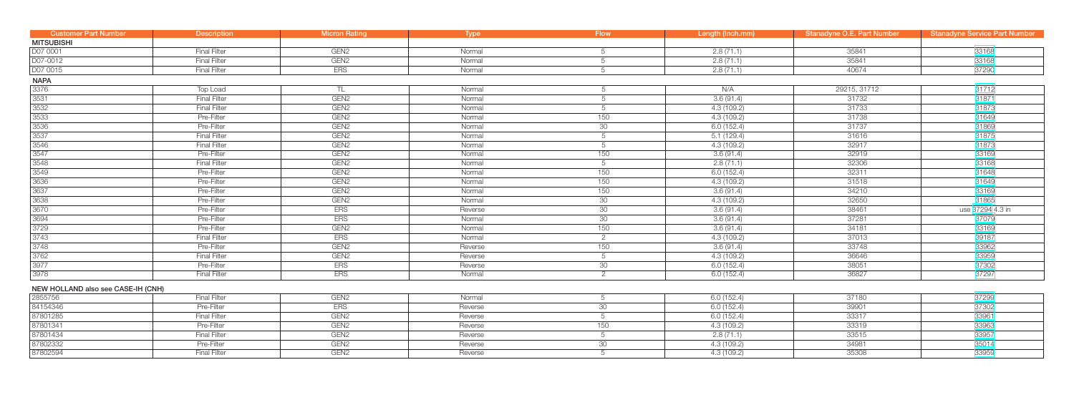| <b>Customer Part Number</b>        | <b>Description</b>  | <b>Micron Rating</b> | <b>Type</b> | <b>Flow</b>     | Length (Inch.mm) | Stanadyne O.E. Part Number | <b>Stanadyne Service Part Number</b> |
|------------------------------------|---------------------|----------------------|-------------|-----------------|------------------|----------------------------|--------------------------------------|
| <b>MITSUBISHI</b>                  |                     |                      |             |                 |                  |                            |                                      |
| D07 0001                           | <b>Final Filter</b> | GEN <sub>2</sub>     | Normal      | 5               | 2.8(71.1)        | 35841                      | 33168                                |
| D07-0012                           | <b>Final Filter</b> | GEN <sub>2</sub>     | Normal      | 5               | 2.8(71.1)        | 35841                      | 33168                                |
| D07 0015                           | <b>Final Filter</b> | <b>ERS</b>           | Normal      | 5               | 2.8(71.1)        | 40674                      | 37290                                |
| <b>NAPA</b>                        |                     |                      |             |                 |                  |                            |                                      |
| 3376                               | Top Load            | TL.                  | Normal      | 5               | N/A              | 29215, 31712               | 31712                                |
| 3531                               | <b>Final Filter</b> | GEN <sub>2</sub>     | Normal      | 5               | 3.6(91.4)        | 31732                      | 31871                                |
| 3532                               | <b>Final Filter</b> | GEN <sub>2</sub>     | Normal      | 5               | 4.3 (109.2)      | 31733                      | 31873                                |
| 3533                               | Pre-Filter          | GEN <sub>2</sub>     | Normal      | 150             | 4.3(109.2)       | 31738                      | 31649                                |
| 3536                               | Pre-Filter          | GEN <sub>2</sub>     | Normal      | 30              | 6.0(152.4)       | 31737                      | 31869                                |
| 3537                               | <b>Final Filter</b> | GEN <sub>2</sub>     | Normal      | 5               | 5.1(129.4)       | 31616                      | 31875                                |
| 3546                               | <b>Final Filter</b> | GEN <sub>2</sub>     | Normal      | 5               | 4.3(109.2)       | 32917                      | 31873                                |
| 3547                               | Pre-Filter          | GEN <sub>2</sub>     | Normal      | 150             | 3.6(91.4)        | 32919                      | 33169                                |
| 3548                               | <b>Final Filter</b> | GEN <sub>2</sub>     | Normal      | 5               | 2.8(71.1)        | 32306                      | 33168                                |
| 3549                               | Pre-Filter          | GEN <sub>2</sub>     | Normal      | 150             | 6.0(152.4)       | 32311                      | 31648                                |
| 3636                               | Pre-Filter          | GEN <sub>2</sub>     | Normal      | 150             | 4.3(109.2)       | 31518                      | 31649                                |
| 3637                               | Pre-Filter          | GEN <sub>2</sub>     | Normal      | 150             | 3.6(91.4)        | 34210                      | 33169                                |
| 3638                               | Pre-Filter          | GEN <sub>2</sub>     | Normal      | 30              | 4.3(109.2)       | 32650                      | 31865                                |
| 3670                               | Pre-Filter          | <b>ERS</b>           | Reverse     | 30              | 3.6(91.4)        | 38461                      | use 37294 4.3 in                     |
| 3694                               | Pre-Filter          | <b>ERS</b>           | Normal      | 30              | 3.6(91.4)        | 37281                      | 37079                                |
| 3729                               | Pre-Filter          | GEN <sub>2</sub>     | Normal      | 150             | 3.6(91.4)        | 34181                      | 33169                                |
| 3743                               | <b>Final Filter</b> | <b>ERS</b>           | Normal      | 2               | 4.3(109.2)       | 37013                      | 39187                                |
| 3748                               | Pre-Filter          | GEN <sub>2</sub>     | Reverse     | 150             | 3.6(91.4)        | 33748                      | 33962                                |
| 3762                               | <b>Final Filter</b> | GEN <sub>2</sub>     | Reverse     | 5               | 4.3(109.2)       | 36646                      | 33959                                |
| 3977                               | Pre-Filter          | ERS                  | Reverse     | 30 <sup>°</sup> | 6.0(152.4)       | 38051                      | 37302                                |
| 3978                               | <b>Final Filter</b> | <b>ERS</b>           | Normal      | 2               | 6.0(152.4)       | 36827                      | 37297                                |
| NEW HOLLAND also see CASE-IH (CNH) |                     |                      |             |                 |                  |                            |                                      |
| 2855756                            | <b>Final Filter</b> | GEN <sub>2</sub>     | Normal      | 5               | 6.0(152.4)       | 37180                      | 37299                                |
| 84154346                           | Pre-Filter          | <b>ERS</b>           | Reverse     | 30 <sup>°</sup> | 6.0(152.4)       | 39901                      | 37302                                |
| 87801285                           | <b>Final Filter</b> | GEN <sub>2</sub>     | Reverse     | 5               | 6.0(152.4)       | 33317                      | 33961                                |
| 87801341                           | Pre-Filter          | GEN <sub>2</sub>     | Reverse     | 150             | 4.3 (109.2)      | 33319                      | 33963                                |
| 87801434                           | <b>Final Filter</b> | GEN <sub>2</sub>     | Reverse     | 5               | 2.8(71.1)        | 33515                      | 33957                                |
| 87802332                           | Pre-Filter          | GEN <sub>2</sub>     | Reverse     | 30              | 4.3(109.2)       | 34981                      | 35014                                |
| 87802594                           | <b>Final Filter</b> | GEN <sub>2</sub>     | Reverse     | $\overline{5}$  | 4.3(109.2)       | 35308                      | 33959                                |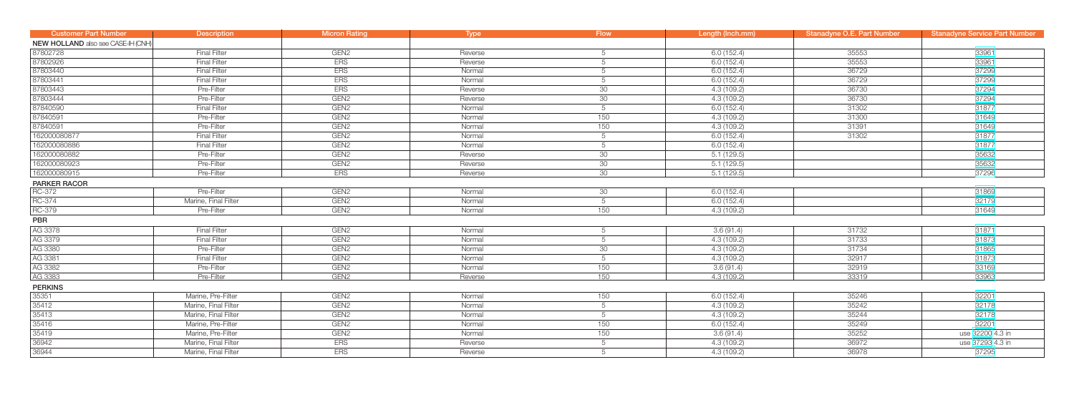| <b>Customer Part Number</b>        | <b>Description</b>   | <b>Micron Rating</b> | <b>Type</b> | <b>Flow</b>     | Length (Inch.mm) | <b>Stanadyne O.E. Part Number</b> | <b>Stanadyne Service Part Number</b> |
|------------------------------------|----------------------|----------------------|-------------|-----------------|------------------|-----------------------------------|--------------------------------------|
| NEW HOLLAND also see CASE-IH (CNH) |                      |                      |             |                 |                  |                                   |                                      |
| 87802728                           | <b>Final Filter</b>  | GEN <sub>2</sub>     | Reverse     | 5               | 6.0(152.4)       | 35553                             | 33961                                |
| 87802926                           | <b>Final Filter</b>  | <b>ERS</b>           | Reverse     | 5               | 6.0(152.4)       | 35553                             | 33961                                |
| 87803440                           | <b>Final Filter</b>  | <b>ERS</b>           | Normal      | 5               | 6.0(152.4)       | 36729                             | 37299                                |
| 87803441                           | <b>Final Filter</b>  | <b>ERS</b>           | Normal      | 5               | 6.0(152.4)       | 36729                             | 37299                                |
| 87803443                           | Pre-Filter           | <b>ERS</b>           | Reverse     | 30              | 4.3(109.2)       | 36730                             | 37294                                |
| 87803444                           | Pre-Filter           | GEN <sub>2</sub>     | Reverse     | 30              | 4.3(109.2)       | 36730                             | 37294                                |
| 87840590                           | <b>Final Filter</b>  | GEN <sub>2</sub>     | Normal      | 5               | 6.0(152.4)       | 31302                             | 31877                                |
| 87840591                           | Pre-Filter           | GEN <sub>2</sub>     | Normal      | 150             | 4.3(109.2)       | 31300                             | 31649                                |
| 87840591                           | Pre-Filter           | GEN <sub>2</sub>     | Normal      | 150             | 4.3(109.2)       | 31391                             | 31649                                |
| 162000080877                       | <b>Final Filter</b>  | GEN <sub>2</sub>     | Normal      | 5               | 6.0(152.4)       | 31302                             | 31877                                |
| 162000080886                       | <b>Final Filter</b>  | GEN <sub>2</sub>     | Normal      | 5               | 6.0(152.4)       |                                   | 31877                                |
| 162000080882                       | Pre-Filter           | GEN <sub>2</sub>     | Reverse     | 30              | 5.1(129.5)       |                                   | 35632                                |
| 162000080923                       | Pre-Filter           | GEN <sub>2</sub>     | Reverse     | 30              | 5.1(129.5)       |                                   | 35632                                |
| 162000080915                       | Pre-Filter           | <b>ERS</b>           | Reverse     | 30              | 5.1(129.5)       |                                   | 37296                                |
| PARKER RACOR                       |                      |                      |             |                 |                  |                                   |                                      |
| <b>RC-372</b>                      | Pre-Filter           | GEN <sub>2</sub>     | Normal      | 30              | 6.0(152.4)       |                                   | 31869                                |
| RC-374                             | Marine, Final Filter | GEN <sub>2</sub>     | Normal      | 5               | 6.0(152.4)       |                                   | 32179                                |
| RC-379                             | Pre-Filter           | GEN <sub>2</sub>     | Normal      | 150             | 4.3(109.2)       |                                   | 31649                                |
| PBR                                |                      |                      |             |                 |                  |                                   |                                      |
| AG 3378                            | <b>Final Filter</b>  | GEN <sub>2</sub>     | Normal      | 5               | 3.6(91.4)        | 31732                             | 31871                                |
| AG 3379                            | <b>Final Filter</b>  | GEN <sub>2</sub>     | Normal      | 5               | 4.3(109.2)       | 31733                             | 31873                                |
| AG 3380                            | Pre-Filter           | GEN <sub>2</sub>     | Normal      | 30              | 4.3 (109.2)      | 31734                             | 31865                                |
| AG 3381                            | <b>Final Filter</b>  | GEN <sub>2</sub>     | Normal      | 5               | 4.3 (109.2)      | 32917                             | 31873                                |
| AG 3382                            | Pre-Filter           | GEN <sub>2</sub>     | Normal      | 150             | 3.6(91.4)        | 32919                             | 33169                                |
| AG 3383                            | Pre-Filter           | GEN <sub>2</sub>     | Reverse     | 150             | 4.3(109.2)       | 33319                             | 33963                                |
| <b>PERKINS</b>                     |                      |                      |             |                 |                  |                                   |                                      |
| 35351                              | Marine, Pre-Filter   | GEN <sub>2</sub>     | Normal      | 150             | 6.0(152.4)       | 35246                             | 32201                                |
| 35412                              | Marine, Final Filter | GEN <sub>2</sub>     | Normal      | $5\overline{)}$ | 4.3 (109.2)      | 35242                             | 32178                                |
| 35413                              | Marine, Final Filter | GEN <sub>2</sub>     | Normal      | 5               | 4.3 (109.2)      | 35244                             | 32178                                |
| 35416                              | Marine, Pre-Filter   | GEN <sub>2</sub>     | Normal      | 150             | 6.0(152.4)       | 35249                             | 32201                                |
| 35419                              | Marine, Pre-Filter   | GEN <sub>2</sub>     | Normal      | 150             | 3.6(91.4)        | 35252                             | use 32200 4.3 in                     |
| 36942                              | Marine, Final Filter | <b>ERS</b>           | Reverse     | $5\overline{)}$ | 4.3 (109.2)      | 36972                             | use 37293 4.3 in                     |
| 36944                              | Marine, Final Filter | <b>ERS</b>           | Reverse     | 5               | 4.3(109.2)       | 36978                             | 37295                                |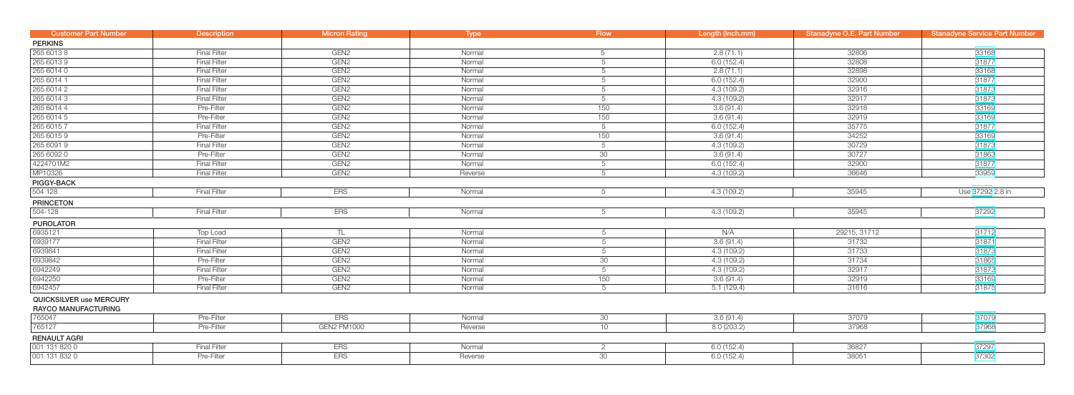| <b>Customer Part Number</b>                           | <b>Description</b>  | <b>Micron Rating</b> | Type    | <b>Flow</b>     | Length (Inch.mm) | <b>Stanadyne O.E. Part Number</b> | <b>Stanadyne Service Part Number</b> |
|-------------------------------------------------------|---------------------|----------------------|---------|-----------------|------------------|-----------------------------------|--------------------------------------|
| <b>PERKINS</b>                                        |                     |                      |         |                 |                  |                                   |                                      |
| 265 6013 8                                            | <b>Final Filter</b> | GEN <sub>2</sub>     | Normal  | 5               | 2.8(71.1)        | 32806                             | 33168                                |
| 265 6013 9                                            | <b>Final Filter</b> | GEN <sub>2</sub>     | Normal  | 5               | 6.0(152.4)       | 32808                             | 31877                                |
| 265 6014 0                                            | <b>Final Filter</b> | GEN <sub>2</sub>     | Normal  | 5               | 2.8(71.1)        | 32898                             | 33168                                |
| 265 6014 1                                            | <b>Final Filter</b> | GEN <sub>2</sub>     | Normal  | 5               | 6.0(152.4)       | 32900                             | 31877                                |
| 265 6014 2                                            | <b>Final Filter</b> | GEN <sub>2</sub>     | Normal  | 5               | 4.3(109.2)       | 32916                             | 31873                                |
| 265 6014 3                                            | <b>Final Filter</b> | GEN <sub>2</sub>     | Normal  | 5               | 4.3(109.2)       | 32917                             | 31873                                |
| 265 6014 4                                            | Pre-Filter          | GEN <sub>2</sub>     | Normal  | 150             | 3.6 (91.4)       | 32918                             | 33169                                |
| 265 6014 5                                            | Pre-Filter          | GEN <sub>2</sub>     | Normal  | 150             | 3.6(91.4)        | 32919                             | 33169                                |
| 265 6015 7                                            | <b>Final Filter</b> | GEN <sub>2</sub>     | Normal  | $5\overline{)}$ | 6.0(152.4)       | 35775                             | 31877                                |
| 265 6015 9                                            | Pre-Filter          | GEN <sub>2</sub>     | Normal  | 150             | 3.6(91.4)        | 34252                             | 33169                                |
| 265 6091 9                                            | <b>Final Filter</b> | GEN <sub>2</sub>     | Normal  | $5\overline{)}$ | 4.3(109.2)       | 30729                             | 31873                                |
| 265 6092 0                                            | Pre-Filter          | GEN <sub>2</sub>     | Normal  | 30              | 3.6(91.4)        | 30727                             | 31863                                |
| 4224701M2                                             | <b>Final Filter</b> | GEN <sub>2</sub>     | Normal  | 5               | 6.0(152.4)       | 32900                             | 31877                                |
| MP10326                                               | <b>Final Filter</b> | GEN <sub>2</sub>     | Reverse | 5               | 4.3 (109.2)      | 36646                             | 33959                                |
| <b>PIGGY-BACK</b>                                     |                     |                      |         |                 |                  |                                   |                                      |
| 504 128                                               | <b>Final Filter</b> | <b>ERS</b>           | Normal  | 5               | 4.3(109.2)       | 35945                             | Use 37292 2.8 in                     |
| <b>PRINCETON</b>                                      |                     |                      |         |                 |                  |                                   |                                      |
| 504-128                                               | <b>Final Filter</b> | <b>ERS</b>           | Normal  | 5               | 4.3(109.2)       | 35945                             | 37292                                |
| <b>PUROLATOR</b>                                      |                     |                      |         |                 |                  |                                   |                                      |
| 6935121                                               | Top Load            | TL                   | Normal  | 5               | N/A              | 29215, 31712                      | 31712                                |
| 6939177                                               | <b>Final Filter</b> | GEN <sub>2</sub>     | Normal  | 5               | 3.6(91.4)        | 31732                             | 31871                                |
| 6939841                                               | <b>Final Filter</b> | GEN <sub>2</sub>     | Normal  | 5               | 4.3(109.2)       | 31733                             | 31873                                |
| 6939842                                               | Pre-Filter          | GEN <sub>2</sub>     | Normal  | 30              | 4.3(109.2)       | 31734                             | 31865                                |
| 6942249                                               | <b>Final Filter</b> | GEN <sub>2</sub>     | Normal  | 5               | 4.3(109.2)       | 32917                             | 31873                                |
| 6942250                                               | Pre-Filter          | GEN <sub>2</sub>     | Normal  | 150             | 3.6(91.4)        | 32919                             | 33169                                |
| 6942457                                               | <b>Final Filter</b> | GEN <sub>2</sub>     | Normal  | 5               | 5.1(129.4)       | 31616                             | 31875                                |
| QUICKSILVER use MERCURY<br><b>RAYCO MANUFACTURING</b> |                     |                      |         |                 |                  |                                   |                                      |
| 765047                                                | Pre-Filter          | <b>ERS</b>           | Normal  | 30              | 3.6(91.4)        | 37079                             | 37079                                |
| 765127                                                | Pre-Filter          | <b>GEN2 FM1000</b>   | Reverse | 10 <sup>1</sup> | 8.0 (203.2)      | 37968                             | 37968                                |
| <b>RENAULT AGRI</b>                                   |                     |                      |         |                 |                  |                                   |                                      |
| 001 131 820 0                                         | <b>Final Filter</b> | <b>ERS</b>           | Normal  | 2               | 6.0(152.4)       | 36827                             | 37297                                |
| 001 131 832 0                                         | Pre-Filter          | <b>ERS</b>           | Reverse | 30              | 6.0(152.4)       | 38051                             | 37302                                |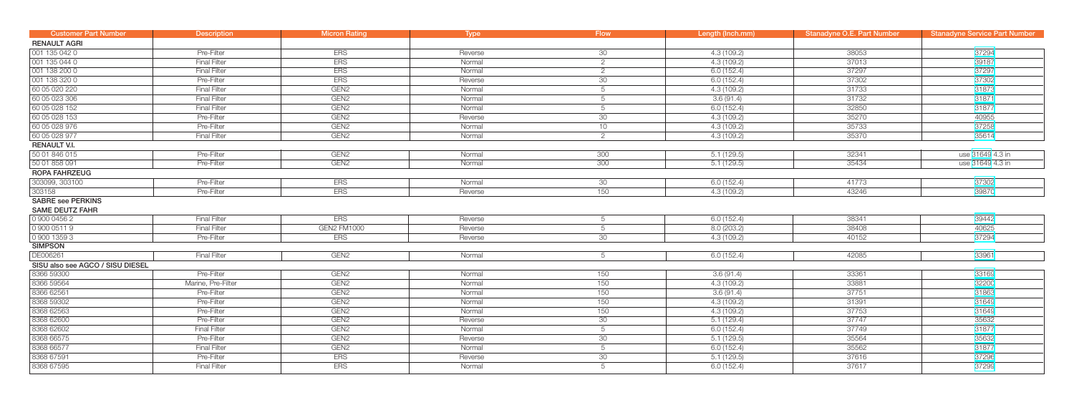| <b>Customer Part Number</b>      | <b>Description</b>  | <b>Micron Rating</b> | <b>Type</b> | <b>Flow</b>     | Length (Inch.mm) | <b>Stanadyne O.E. Part Number</b> | <b>Stanadyne Service Part Number</b> |
|----------------------------------|---------------------|----------------------|-------------|-----------------|------------------|-----------------------------------|--------------------------------------|
| <b>RENAULT AGRI</b>              |                     |                      |             |                 |                  |                                   |                                      |
| 001 135 042 0                    | Pre-Filter          | <b>ERS</b>           | Reverse     | 30 <sup>°</sup> | 4.3(109.2)       | 38053                             | 37294                                |
| 001 135 044 0                    | <b>Final Filter</b> | <b>ERS</b>           | Normal      | 2               | 4.3(109.2)       | 37013                             | 39187                                |
| 001 138 200 0                    | <b>Final Filter</b> | <b>ERS</b>           | Normal      | 2               | 6.0(152.4)       | 37297                             | 37297                                |
| 001 138 320 0                    | Pre-Filter          | <b>ERS</b>           | Reverse     | 30              | 6.0(152.4)       | 37302                             | 37302                                |
| 60 05 020 220                    | <b>Final Filter</b> | GEN <sub>2</sub>     | Normal      | $5\overline{)}$ | 4.3(109.2)       | 31733                             | 31873                                |
| 60 05 023 306                    | <b>Final Filter</b> | GEN <sub>2</sub>     | Normal      | 5               | 3.6(91.4)        | 31732                             | 31871                                |
| 60 05 028 152                    | <b>Final Filter</b> | GEN <sub>2</sub>     | Normal      | 5               | 6.0(152.4)       | 32850                             | 31877                                |
| 60 05 028 153                    | Pre-Filter          | GEN <sub>2</sub>     | Reverse     | 30 <sup>7</sup> | 4.3(109.2)       | 35270                             | 40955                                |
| 60 05 028 976                    | Pre-Filter          | GEN <sub>2</sub>     | Normal      | 10              | 4.3(109.2)       | 35733                             | 37258                                |
| 60 05 028 977                    | <b>Final Filter</b> | GEN <sub>2</sub>     | Normal      | $\overline{2}$  | 4.3(109.2)       | 35370                             | 35614                                |
| <b>RENAULT V.I.</b>              |                     |                      |             |                 |                  |                                   |                                      |
| 50 01 846 015                    | Pre-Filter          | GEN <sub>2</sub>     | Normal      | 300             | 5.1(129.5)       | 32341                             | use 31649 4.3 in                     |
| 50 01 858 091                    | Pre-Filter          | GEN <sub>2</sub>     | Normal      | 300             | 5.1(129.5)       | 35434                             | use 31649 4.3 in                     |
| ROPA FAHRZEUG                    |                     |                      |             |                 |                  |                                   |                                      |
| 303099, 303100                   | Pre-Filter          | <b>ERS</b>           | Normal      | 30 <sup>°</sup> | 6.0(152.4)       | 41773                             | 37302                                |
| 303158                           | Pre-Filter          | <b>ERS</b>           | Reverse     | 150             | 4.3(109.2)       | 43246                             | 39870                                |
| <b>SABRE see PERKINS</b>         |                     |                      |             |                 |                  |                                   |                                      |
| <b>SAME DEUTZ FAHR</b>           |                     |                      |             |                 |                  |                                   |                                      |
| 0 900 0456 2                     | <b>Final Filter</b> | <b>ERS</b>           | Reverse     | 5               | 6.0(152.4)       | 38341                             | 39442                                |
| 0 900 0511 9                     | <b>Final Filter</b> | <b>GEN2 FM1000</b>   | Reverse     | 5               | 8.0(203.2)       | 38408                             | 40625                                |
| 090013593                        | Pre-Filter          | <b>ERS</b>           | Reverse     | 30              | 4.3(109.2)       | 40152                             | 37294                                |
| <b>SIMPSON</b>                   |                     |                      |             |                 |                  |                                   |                                      |
| DE006261                         | <b>Final Filter</b> | GEN <sub>2</sub>     | Normal      | 5               | 6.0(152.4)       | 42085                             | 33961                                |
| SISU also see AGCO / SISU DIESEL |                     |                      |             |                 |                  |                                   |                                      |
| 8366 59300                       | Pre-Filter          | GEN <sub>2</sub>     | Normal      | 150             | 3.6(91.4)        | 33361                             | 33169                                |
| 8366 59564                       | Marine, Pre-Filter  | GEN <sub>2</sub>     | Normal      | 150             | 4.3 (109.2)      | 33881                             | 32200                                |
| 8366 62561                       | Pre-Filter          | GEN <sub>2</sub>     | Normal      | 150             | 3.6(91.4)        | 37751                             | 31863                                |
| 8368 59302                       | Pre-Filter          | GEN <sub>2</sub>     | Normal      | 150             | 4.3(109.2)       | 31391                             | 31649                                |
| 8368 62563                       | Pre-Filter          | GEN <sub>2</sub>     | Normal      | 150             | 4.3(109.2)       | 37753                             | 31649                                |
| 8368 62600                       | Pre-Filter          | GEN <sub>2</sub>     | Reverse     | 30              | 5.1(129.4)       | 37747                             | 35632                                |
| 8368 62602                       | <b>Final Filter</b> | GEN <sub>2</sub>     | Normal      | $5\overline{)}$ | 6.0(152.4)       | 37749                             | 31877                                |
| 8368 66575                       | Pre-Filter          | GEN <sub>2</sub>     | Reverse     | 30              | 5.1(129.5)       | 35564                             | 35632                                |
| 8368 66577                       | <b>Final Filter</b> | GEN <sub>2</sub>     | Normal      | $5\overline{)}$ | 6.0(152.4)       | 35562                             | 31877                                |
| 8368 67591                       | Pre-Filter          | <b>ERS</b>           | Reverse     | 30              | 5.1(129.5)       | 37616                             | 37296                                |
| 8368 67595                       | <b>Final Filter</b> | <b>ERS</b>           | Normal      | 5               | 6.0(152.4)       | 37617                             | 37299                                |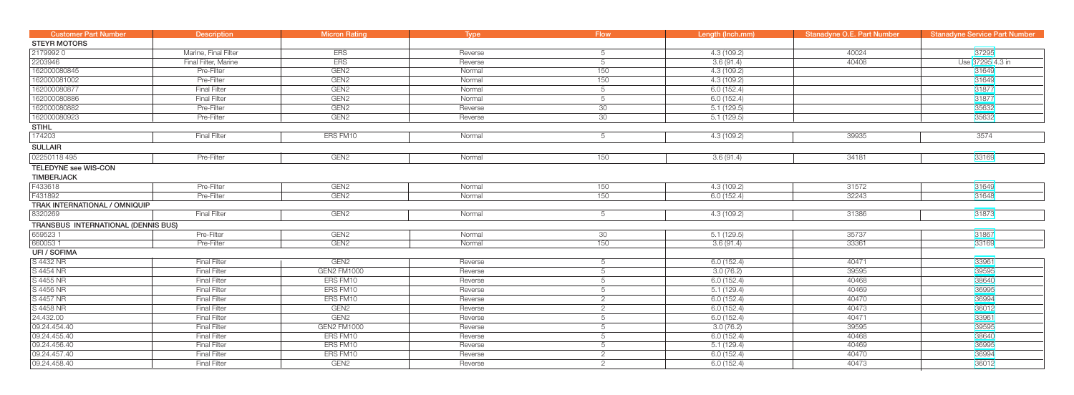| <b>Customer Part Number</b>         | <b>Description</b>   | <b>Micron Rating</b> | Type    | <b>Flow</b>    | Length (Inch.mm) | <b>Stanadyne O.E. Part Number</b> | <b>Stanadyne Service Part Number</b> |
|-------------------------------------|----------------------|----------------------|---------|----------------|------------------|-----------------------------------|--------------------------------------|
| <b>STEYR MOTORS</b>                 |                      |                      |         |                |                  |                                   |                                      |
| 21799920                            | Marine, Final Filter | <b>ERS</b>           | Reverse | -5             | 4.3(109.2)       | 40024                             | 37295                                |
| 2203946                             | Final Filter, Marine | <b>ERS</b>           | Reverse | 5              | 3.6(91.4)        | 40408                             | Use 37295 4.3 in                     |
| 162000080845                        | Pre-Filter           | GEN <sub>2</sub>     | Normal  | 150            | 4.3(109.2)       |                                   | 31649                                |
| 162000081002                        | Pre-Filter           | GEN <sub>2</sub>     | Normal  | 150            | 4.3(109.2)       |                                   | 31649                                |
| 162000080877                        | <b>Final Filter</b>  | GEN <sub>2</sub>     | Normal  | 5              | 6.0(152.4)       |                                   | 31877                                |
| 162000080886                        | <b>Final Filter</b>  | GEN <sub>2</sub>     | Normal  | -5             | 6.0(152.4)       |                                   | 31877                                |
| 162000080882                        | Pre-Filter           | GEN <sub>2</sub>     | Reverse | 30             | 5.1(129.5)       |                                   | 35632                                |
| 162000080923                        | Pre-Filter           | GEN <sub>2</sub>     | Reverse | 30             | 5.1(129.5)       |                                   | 35632                                |
| <b>STIHL</b>                        |                      |                      |         |                |                  |                                   |                                      |
| 174203                              | <b>Final Filter</b>  | ERS FM10             | Normal  | -5             | 4.3(109.2)       | 39935                             | 3574                                 |
| <b>SULLAIR</b>                      |                      |                      |         |                |                  |                                   |                                      |
| 02250118 495                        | Pre-Filter           | GEN <sub>2</sub>     | Normal  | 150            | 3.6(91.4)        | 34181                             | 33169                                |
| TELEDYNE see WIS-CON                |                      |                      |         |                |                  |                                   |                                      |
| <b>TIMBERJACK</b>                   |                      |                      |         |                |                  |                                   |                                      |
| F433618                             | Pre-Filter           | GEN <sub>2</sub>     | Normal  | 150            | 4.3(109.2)       | 31572                             | 31649                                |
| F431892                             | Pre-Filter           | GEN <sub>2</sub>     | Normal  | 150            | 6.0(152.4)       | 32243                             | 31648                                |
| TRAK INTERNATIONAL / OMNIQUIP       |                      |                      |         |                |                  |                                   |                                      |
| 8320269                             | <b>Final Filter</b>  | GEN <sub>2</sub>     | Normal  | -5             | 4.3(109.2)       | 31386                             | 31873                                |
| TRANSBUS INTERNATIONAL (DENNIS BUS) |                      |                      |         |                |                  |                                   |                                      |
| 6595231                             | Pre-Filter           | GEN <sub>2</sub>     | Normal  | 30             | 5.1(129.5)       | 35737                             | 31867                                |
| 6600531                             | Pre-Filter           | GEN <sub>2</sub>     | Normal  | 150            | 3.6(91.4)        | 33361                             | 33169                                |
| UFI / SOFIMA                        |                      |                      |         |                |                  |                                   |                                      |
| S 4432 NR                           | <b>Final Filter</b>  | GEN <sub>2</sub>     | Reverse | -5             | 6.0(152.4)       | 40471                             | 33961                                |
| S 4454 NR                           | <b>Final Filter</b>  | <b>GEN2 FM1000</b>   | Reverse | -5             | 3.0(76.2)        | 39595                             | 39595                                |
| S 4455 NR                           | <b>Final Filter</b>  | ERS FM10             | Reverse | -5             | 6.0(152.4)       | 40468                             | 38640                                |
| S 4456 NR                           | <b>Final Filter</b>  | ERS FM10             | Reverse | $\overline{5}$ | 5.1(129.4)       | 40469                             | 36995                                |
| S 4457 NR                           | <b>Final Filter</b>  | ERS FM10             | Reverse | 2              | 6.0(152.4)       | 40470                             | 36994                                |
| S 4458 NR                           | <b>Final Filter</b>  | GEN <sub>2</sub>     | Reverse | 2              | 6.0(152.4)       | 40473                             | 36012                                |
| 24.432.00                           | <b>Final Filter</b>  | GEN <sub>2</sub>     | Reverse | 5              | 6.0(152.4)       | 40471                             | 33961                                |
| 09.24.454.40                        | <b>Final Filter</b>  | GEN2 FM1000          | Reverse | 5              | 3.0(76.2)        | 39595                             | 39595                                |
| 09.24.455.40                        | <b>Final Filter</b>  | ERS FM10             | Reverse | 5              | 6.0(152.4)       | 40468                             | 38640                                |
| 09.24.456.40                        | <b>Final Filter</b>  | ERS FM10             | Reverse | -5             | 5.1(129.4)       | 40469                             | 36995                                |
| 09.24.457.40                        | <b>Final Filter</b>  | ERS FM10             | Reverse | 2              | 6.0(152.4)       | 40470                             | 36994                                |
| 09.24.458.40                        | <b>Final Filter</b>  | GEN <sub>2</sub>     | Reverse | 2              | 6.0(152.4)       | 40473                             | 36012                                |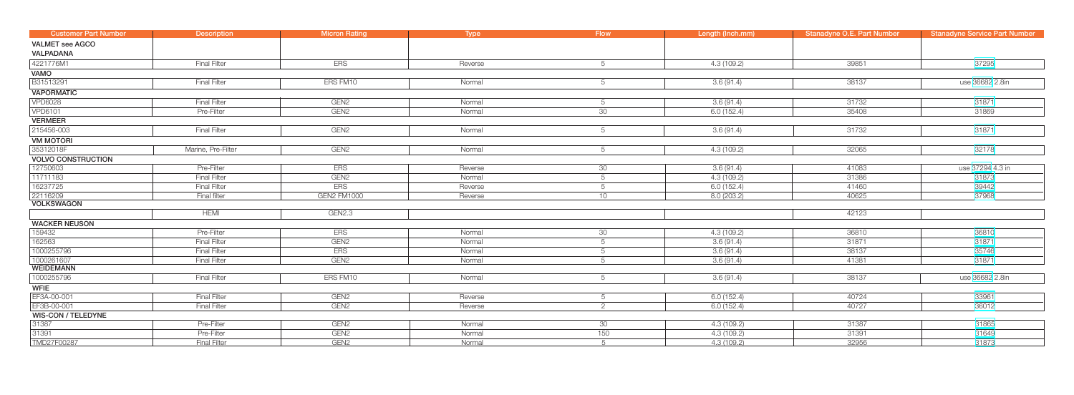| <b>Customer Part Number</b> | <b>Description</b>  | <b>Micron Rating</b> | Type    | <b>Flow</b>     | Length (Inch.mm) | <b>Stanadyne O.E. Part Number</b> | <b>Stanadyne Service Part Number</b> |
|-----------------------------|---------------------|----------------------|---------|-----------------|------------------|-----------------------------------|--------------------------------------|
| <b>VALMET</b> see AGCO      |                     |                      |         |                 |                  |                                   |                                      |
| <b>VALPADANA</b>            |                     |                      |         |                 |                  |                                   |                                      |
| 4221776M1                   | <b>Final Filter</b> | <b>ERS</b>           | Reverse | 5               | 4.3(109.2)       | 39851                             | 37295                                |
| VAMO                        |                     |                      |         |                 |                  |                                   |                                      |
| B31513291                   | <b>Final Filter</b> | ERS FM10             | Normal  | 5               | 3.6(91.4)        | 38137                             | use 36682 2.8in                      |
| <b>VAPORMATIC</b>           |                     |                      |         |                 |                  |                                   |                                      |
| <b>VPD6028</b>              | <b>Final Filter</b> | GEN <sub>2</sub>     | Normal  | 5               | 3.6(91.4)        | 31732                             | 31871                                |
| <b>VPD6101</b>              | Pre-Filter          | GEN <sub>2</sub>     | Normal  | 30              | 6.0(152.4)       | 35408                             | 31869                                |
| <b>VERMEER</b>              |                     |                      |         |                 |                  |                                   |                                      |
| 215456-003                  | <b>Final Filter</b> | GEN <sub>2</sub>     | Normal  | 5               | 3.6(91.4)        | 31732                             | 31871                                |
| <b>VM MOTORI</b>            |                     |                      |         |                 |                  |                                   |                                      |
| 35312018F                   | Marine, Pre-Filter  | GEN <sub>2</sub>     | Normal  | 5               | 4.3(109.2)       | 32065                             | 32178                                |
| <b>VOLVO CONSTRUCTION</b>   |                     |                      |         |                 |                  |                                   |                                      |
| 12750603                    | Pre-Filter          | <b>ERS</b>           | Reverse | 30 <sup>°</sup> | 3.6(91.4)        | 41083                             | use 37294 4.3 in                     |
| 11711183                    | <b>Final Filter</b> | GEN <sub>2</sub>     | Normal  | 5               | 4.3(109.2)       | 31386                             | 31873                                |
| 16237725                    | <b>Final Filter</b> | <b>ERS</b>           | Reverse | 5               | 6.0(152.4)       | 41460                             | 39442                                |
| 22116209                    | Final filter        | GEN2 FM1000          | Reverse | 10              | 8.0(203.2)       | 40625                             | 37968                                |
| <b>VOLKSWAGON</b>           |                     |                      |         |                 |                  |                                   |                                      |
|                             | <b>HEMI</b>         | GEN2.3               |         |                 |                  | 42123                             |                                      |
| <b>WACKER NEUSON</b>        |                     |                      |         |                 |                  |                                   |                                      |
| 159432                      | Pre-Filter          | <b>ERS</b>           | Normal  | 30 <sup>°</sup> | 4.3(109.2)       | 36810                             | 36810                                |
| 162563                      | <b>Final Filter</b> | GEN <sub>2</sub>     | Normal  | 5               | 3.6(91.4)        | 31871                             | 31871                                |
| 1000255796                  | <b>Final Filter</b> | <b>ERS</b>           | Normal  | 5               | 3.6(91.4)        | 38137                             | 35746                                |
| 1000261607                  | <b>Final Filter</b> | GEN <sub>2</sub>     | Normal  | $5^{\circ}$     | 3.6(91.4)        | 41381                             | 31871                                |
| <b>WEIDEMANN</b>            |                     |                      |         |                 |                  |                                   |                                      |
| 1000255796                  | <b>Final Filter</b> | ERS FM10             | Normal  | 5               | 3.6(91.4)        | 38137                             | use 36682 2.8in                      |
| <b>WFIE</b>                 |                     |                      |         |                 |                  |                                   |                                      |
| EF3A-00-001                 | <b>Final Filter</b> | GEN <sub>2</sub>     | Reverse | 5               | 6.0(152.4)       | 40724                             | 33961                                |
| EF3B-00-001                 | <b>Final Filter</b> | GEN <sub>2</sub>     | Reverse | $\overline{2}$  | 6.0(152.4)       | 40727                             | 36012                                |
| <b>WIS-CON / TELEDYNE</b>   |                     |                      |         |                 |                  |                                   |                                      |
| 31387                       | Pre-Filter          | GEN <sub>2</sub>     | Normal  | 30              | 4.3 (109.2)      | 31387                             | 31865                                |
| 31391                       | Pre-Filter          | GEN <sub>2</sub>     | Normal  | 150             | 4.3 (109.2)      | 31391                             | 31649                                |
| TMD27F00287                 | <b>Final Filter</b> | GEN <sub>2</sub>     | Normal  | $5^{\circ}$     | 4.3(109.2)       | 32956                             | 31873                                |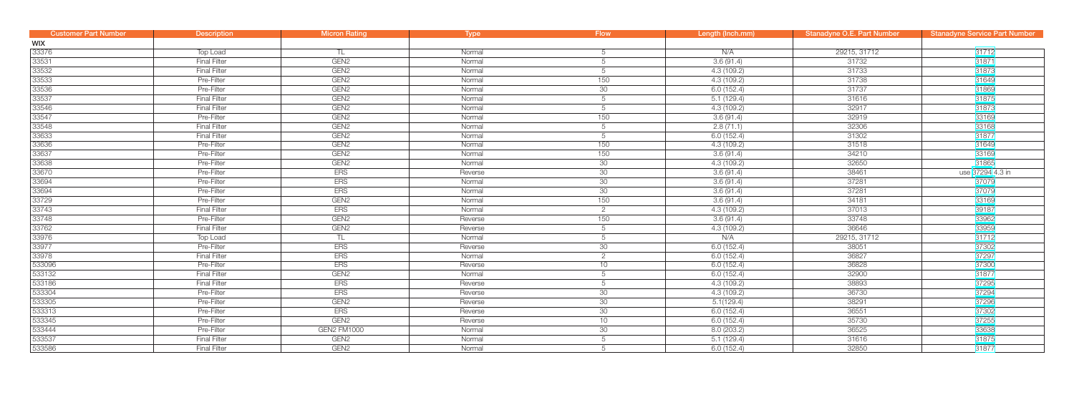| <b>Customer Part Number</b> | <b>Description</b>  | <b>Micron Rating</b> | <b>Type</b> | <b>Flow</b>    | Length (Inch.mm) | Stanadyne O.E. Part Number | <b>Stanadyne Service Part Number</b> |
|-----------------------------|---------------------|----------------------|-------------|----------------|------------------|----------------------------|--------------------------------------|
| <b>WIX</b>                  |                     |                      |             |                |                  |                            |                                      |
| 33376                       | Top Load            |                      | Normal      | 5              | N/A              | 29215, 31712               | 31712                                |
| 33531                       | <b>Final Filter</b> | GEN <sub>2</sub>     | Normal      | 5              | 3.6(91.4)        | 31732                      | 31871                                |
| 33532                       | <b>Final Filter</b> | GEN <sub>2</sub>     | Normal      | 5              | 4.3(109.2)       | 31733                      | 31873                                |
| 33533                       | Pre-Filter          | GEN <sub>2</sub>     | Normal      | 150            | 4.3(109.2)       | 31738                      | 31649                                |
| 33536                       | Pre-Filter          | GEN <sub>2</sub>     | Normal      | 30             | 6.0(152.4)       | 31737                      | 31869                                |
| 33537                       | <b>Final Filter</b> | GEN <sub>2</sub>     | Normal      | 5              | 5.1(129.4)       | 31616                      | 31875                                |
| 33546                       | <b>Final Filter</b> | GEN <sub>2</sub>     | Normal      | 5              | 4.3 (109.2)      | 32917                      | 31873                                |
| 33547                       | Pre-Filter          | GEN <sub>2</sub>     | Normal      | 150            | 3.6(91.4)        | 32919                      | 33169                                |
| 33548                       | Final Filter        | GEN <sub>2</sub>     | Normal      | 5              | 2.8(71.1)        | 32306                      | 33168                                |
| 33633                       | <b>Final Filter</b> | GEN <sub>2</sub>     | Normal      | 5              | 6.0(152.4)       | 31302                      | 31877                                |
| 33636                       | Pre-Filter          | GEN <sub>2</sub>     | Normal      | 150            | 4.3(109.2)       | 31518                      | 31649                                |
| 33637                       | Pre-Filter          | GEN <sub>2</sub>     | Normal      | 150            | 3.6(91.4)        | 34210                      | 33169                                |
| 33638                       | Pre-Filter          | GEN <sub>2</sub>     | Normal      | 30             | 4.3(109.2)       | 32650                      | 31865                                |
| 33670                       | Pre-Filter          | <b>ERS</b>           | Reverse     | 30             | 3.6(91.4)        | 38461                      | use 37294 4.3 in                     |
| 33694                       | Pre-Filter          | <b>ERS</b>           | Normal      | 30             | 3.6(91.4)        | 37281                      | 37079                                |
| 33694                       | Pre-Filter          | <b>ERS</b>           | Normal      | 30             | 3.6(91.4)        | 37281                      | 37079                                |
| 33729                       | Pre-Filter          | GEN <sub>2</sub>     | Normal      | 150            | 3.6(91.4)        | 34181                      | 33169                                |
| 33743                       | <b>Final Filter</b> | <b>ERS</b>           | Normal      | $\overline{2}$ | 4.3(109.2)       | 37013                      | 39187                                |
| 33748                       | Pre-Filter          | GEN <sub>2</sub>     | Reverse     | 150            | 3.6(91.4)        | 33748                      | 33962                                |
| 33762                       | <b>Final Filter</b> | GEN <sub>2</sub>     | Reverse     | 5              | 4.3 (109.2)      | 36646                      | 33959                                |
| 33976                       | Top Load            | TL                   | Normal      | 5              | N/A              | 29215, 31712               | 31712                                |
| 33977                       | Pre-Filter          | ERS                  | Reverse     | 30             | 6.0(152.4)       | 38051                      | 37302                                |
| 33978                       | <b>Final Filter</b> | <b>ERS</b>           | Normal      | $\overline{2}$ | 6.0(152.4)       | 36827                      | 37297                                |
| 533096                      | Pre-Filter          | <b>ERS</b>           | Reverse     | 10             | 6.0(152.4)       | 36828                      | 37300                                |
| 533132                      | <b>Final Filter</b> | GEN <sub>2</sub>     | Normal      | 5              | 6.0(152.4)       | 32900                      | 31877                                |
| 533186                      | <b>Final Filter</b> | <b>ERS</b>           | Reverse     | 5              | 4.3(109.2)       | 38893                      | 37295                                |
| 533304                      | Pre-Filter          | <b>ERS</b>           | Reverse     | 30             | 4.3(109.2)       | 36730                      | 37294                                |
| 533305                      | Pre-Filter          | GEN <sub>2</sub>     | Reverse     | 30             | 5.1(129.4)       | 38291                      | 37296                                |
| 533313                      | Pre-Filter          | <b>ERS</b>           | Reverse     | 30             | 6.0(152.4)       | 36551                      | 37302                                |
| 533345                      | Pre-Filter          | GEN <sub>2</sub>     | Reverse     | 10             | 6.0(152.4)       | 35730                      | 37255                                |
| 533444                      | Pre-Filter          | <b>GEN2 FM1000</b>   | Normal      | 30             | 8.0(203.2)       | 36525                      | 33638                                |
| 533537                      | <b>Final Filter</b> | GEN <sub>2</sub>     | Normal      | 5              | 5.1(129.4)       | 31616                      | 31875                                |
| 533586                      | <b>Final Filter</b> | GEN <sub>2</sub>     | Normal      | 5              | 6.0(152.4)       | 32850                      | 31877                                |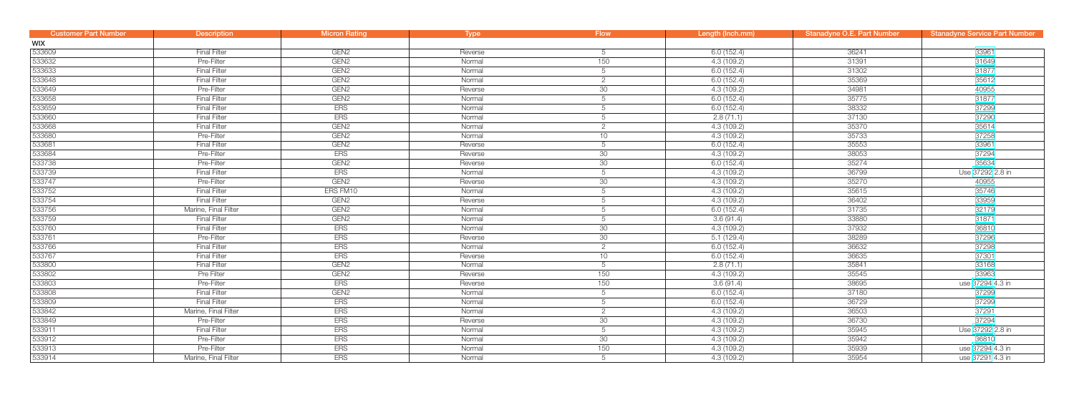| <b>Customer Part Number</b> | <b>Description</b>   | <b>Micron Rating</b> | Type    | <b>Flow</b>     | Length (Inch.mm) | Stanadyne O.E. Part Number | <b>Stanadyne Service Part Number</b> |
|-----------------------------|----------------------|----------------------|---------|-----------------|------------------|----------------------------|--------------------------------------|
| <b>WIX</b>                  |                      |                      |         |                 |                  |                            |                                      |
| 533609                      | <b>Final Filter</b>  | GEN <sub>2</sub>     | Reverse | 5               | 6.0(152.4)       | 36241                      | 33961                                |
| 533632                      | Pre-Filter           | GEN <sub>2</sub>     | Normal  | 150             | 4.3(109.2)       | 31391                      | 31649                                |
| 533633                      | <b>Final Filter</b>  | GEN <sub>2</sub>     | Normal  | 5               | 6.0(152.4)       | 31302                      | 31877                                |
| 533648                      | <b>Final Filter</b>  | GEN <sub>2</sub>     | Normal  | $\overline{2}$  | 6.0(152.4)       | 35369                      | 35612                                |
| 533649                      | Pre-Filter           | GEN <sub>2</sub>     | Reverse | 30              | 4.3 (109.2)      | 34981                      | 40955                                |
| 533658                      | <b>Final Filter</b>  | GEN <sub>2</sub>     | Normal  | 5               | 6.0(152.4)       | 35775                      | 31877                                |
| 533659                      | <b>Final Filter</b>  | <b>ERS</b>           | Normal  | 5               | 6.0(152.4)       | 38332                      | 37299                                |
| 533660                      | <b>Final Filter</b>  | <b>ERS</b>           | Normal  | 5               | 2.8(71.1)        | 37130                      | 37290                                |
| 533668                      | <b>Final Filter</b>  | GEN <sub>2</sub>     | Normal  | $\overline{2}$  | 4.3(109.2)       | 35370                      | 35614                                |
| 533680                      | Pre-Filter           | GEN <sub>2</sub>     | Normal  | 10              | 4.3(109.2)       | 35733                      | 37258                                |
| 533681                      | <b>Final Filter</b>  | GEN <sub>2</sub>     | Reverse | $5\overline{)}$ | 6.0(152.4)       | 35553                      | 33961                                |
| 533684                      | Pre-Filter           | <b>ERS</b>           | Reverse | 30              | 4.3 (109.2)      | 38053                      | 37294                                |
| 533738                      | Pre-Filter           | GEN <sub>2</sub>     | Reverse | 30              | 6.0(152.4)       | 35274                      | 35634                                |
| 533739                      | <b>Final Filter</b>  | <b>ERS</b>           | Normal  | 5               | 4.3(109.2)       | 36799                      | Use 37292 2.8 in                     |
| 533747                      | Pre-Filter           | GEN <sub>2</sub>     | Reverse | 30              | 4.3 (109.2)      | 35270                      | 40955                                |
| 533752                      | <b>Final Filter</b>  | ERS FM10             | Normal  | $5\phantom{.0}$ | 4.3(109.2)       | 35615                      | 35746                                |
| 533754                      | <b>Final Filter</b>  | GEN <sub>2</sub>     | Reverse | 5               | 4.3(109.2)       | 36402                      | 33959                                |
| 533756                      | Marine, Final Filter | GEN <sub>2</sub>     | Normal  | 5               | 6.0(152.4)       | 31735                      | 32179                                |
| 533759                      | <b>Final Filter</b>  | GEN <sub>2</sub>     | Normal  | 5               | 3.6(91.4)        | 33880                      | 31871                                |
| 533760                      | <b>Final Filter</b>  | <b>ERS</b>           | Normal  | 30              | 4.3(109.2)       | 37932                      | 36810                                |
| 533761                      | Pre-Filter           | <b>ERS</b>           | Reverse | 30              | 5.1(129.4)       | 38289                      | 37296                                |
| 533766                      | <b>Final Filter</b>  | <b>ERS</b>           | Normal  | $\overline{2}$  | 6.0(152.4)       | 36632                      | 37298                                |
| 533767                      | <b>Final Filter</b>  | <b>ERS</b>           | Reverse | 10              | 6.0(152.4)       | 36635                      | 37301                                |
| 533800                      | <b>Final Filter</b>  | GEN <sub>2</sub>     | Normal  | $5\overline{)}$ | 2.8(71.1)        | 35841                      | 33168                                |
| 533802                      | Pre Filter           | GEN <sub>2</sub>     | Reverse | 150             | 4.3(109.2)       | 35545                      | 33963                                |
| 533803                      | Pre-Filter           | <b>ERS</b>           | Reverse | 150             | 3.6(91.4)        | 38695                      | use 37294 4.3 in                     |
| 533808                      | <b>Final Filter</b>  | GEN <sub>2</sub>     | Normal  | 5               | 6.0(152.4)       | 37180                      | 37299                                |
| 533809                      | <b>Final Filter</b>  | <b>ERS</b>           | Normal  | 5               | 6.0(152.4)       | 36729                      | 37299                                |
| 533842                      | Marine, Final Filter | <b>ERS</b>           | Normal  | $\overline{2}$  | 4.3(109.2)       | 36503                      | 37291                                |
| 533849                      | Pre-Filter           | <b>ERS</b>           | Reverse | 30              | 4.3 (109.2)      | 36730                      | 37294                                |
| 533911                      | <b>Final Filter</b>  | <b>ERS</b>           | Normal  | 5               | 4.3 (109.2)      | 35945                      | Use 37292 2.8 in                     |
| 533912                      | Pre-Filter           | <b>ERS</b>           | Normal  | 30              | 4.3(109.2)       | 35942                      | 36810                                |
| 533913                      | Pre-Filter           | <b>ERS</b>           | Normal  | 150             | 4.3(109.2)       | 35939                      | use 37294 4.3 in                     |
| 533914                      | Marine, Final Filter | <b>ERS</b>           | Normal  | 5               | 4.3(109.2)       | 35954                      | use 37291 4.3 in                     |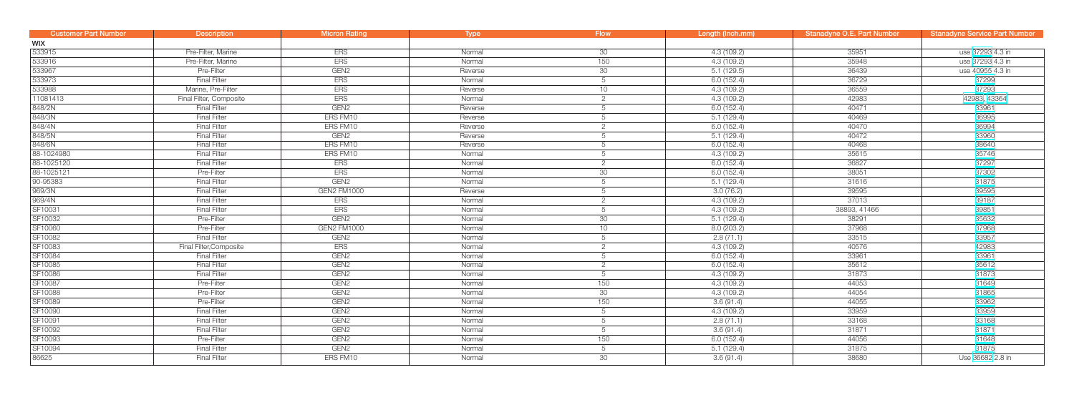| <b>Customer Part Number</b> | <b>Description</b>      | <b>Micron Rating</b> | Type    | <b>Flow</b>     | Length (Inch.mm) | <b>Stanadyne O.E. Part Number</b> | <b>Stanadyne Service Part Number</b> |
|-----------------------------|-------------------------|----------------------|---------|-----------------|------------------|-----------------------------------|--------------------------------------|
| <b>WIX</b>                  |                         |                      |         |                 |                  |                                   |                                      |
| 533915                      | Pre-Filter, Marine      | <b>ERS</b>           | Normal  | 30 <sup>7</sup> | 4.3 (109.2)      | 35951                             | use 37293 4.3 in                     |
| 533916                      | Pre-Filter, Marine      | <b>ERS</b>           | Normal  | 150             | 4.3(109.2)       | 35948                             | use 37293 4.3 in                     |
| 533967                      | Pre-Filter              | GEN <sub>2</sub>     | Reverse | 30              | 5.1(129.5)       | 36439                             | use 40955 4.3 in                     |
| 533973                      | <b>Final Filter</b>     | <b>ERS</b>           | Normal  | 5               | 6.0(152.4)       | 36729                             | 37299                                |
| 533988                      | Marine, Pre-Filter      | <b>ERS</b>           | Reverse | 10 <sup>1</sup> | 4.3 (109.2)      | 36559                             | 37293                                |
| 11081413                    | Final Filter, Composite | <b>ERS</b>           | Normal  | $\overline{2}$  | 4.3 (109.2)      | 42983                             | 42983, 43364                         |
| 848/2N                      | <b>Final Filter</b>     | GEN <sub>2</sub>     | Reverse | 5               | 6.0 (152.4)      | 40471                             | 33961                                |
| 848/3N                      | <b>Final Filter</b>     | ERS FM10             | Reverse | 5               | 5.1(129.4)       | 40469                             | 36995                                |
| 848/4N                      | <b>Final Filter</b>     | ERS FM10             | Reverse | $\overline{2}$  | 6.0(152.4)       | 40470                             | 36994                                |
| 848/5N                      | <b>Final Filter</b>     | GEN <sub>2</sub>     | Reverse | 5               | 5.1(129.4)       | 40472                             | 33960                                |
| 848/6N                      | <b>Final Filter</b>     | ERS FM10             | Reverse | 5               | 6.0(152.4)       | 40468                             | 38640                                |
| 88-1024980                  | <b>Final Filter</b>     | ERS FM10             | Normal  | 5               | 4.3(109.2)       | 35615                             | 35746                                |
| 88-1025120                  | <b>Final Filter</b>     | <b>ERS</b>           | Normal  | $\overline{2}$  | 6.0(152.4)       | 36827                             | 37297                                |
| 88-1025121                  | Pre-Filter              | <b>ERS</b>           | Normal  | 30              | 6.0(152.4)       | 38051                             | 37302                                |
| 90-95383                    | <b>Final Filter</b>     | GEN <sub>2</sub>     | Normal  | 5               | 5.1(129.4)       | 31616                             | 31875                                |
| 969/3N                      | <b>Final Filter</b>     | GEN2 FM1000          | Reverse | 5               | 3.0(76.2)        | 39595                             | 39595                                |
| 969/4N                      | <b>Final Filter</b>     | <b>ERS</b>           | Normal  | $\overline{2}$  | 4.3(109.2)       | 37013                             | 39187                                |
| SF10031                     | <b>Final Filter</b>     | <b>ERS</b>           | Normal  | 5               | 4.3 (109.2)      | 38893, 41466                      | 39851                                |
| SF10032                     | Pre-Filter              | GEN <sub>2</sub>     | Normal  | 30              | 5.1(129.4)       | 38291                             | 35632                                |
| SF10060                     | Pre-Filter              | <b>GEN2 FM1000</b>   | Normal  | 10              | 8.0(203.2)       | 37968                             | 37968                                |
| SF10082                     | <b>Final Filter</b>     | GEN <sub>2</sub>     | Normal  | 5               | 2.8(71.1)        | 33515                             | 33957                                |
| SF10083                     | Final Filter, Composite | <b>ERS</b>           | Normal  | $\overline{2}$  | 4.3 (109.2)      | 40576                             | 42983                                |
| SF10084                     | <b>Final Filter</b>     | GEN <sub>2</sub>     | Normal  | 5               | 6.0(152.4)       | 33961                             | 33961                                |
| SF10085                     | <b>Final Filter</b>     | GEN <sub>2</sub>     | Normal  | $\overline{2}$  | 6.0(152.4)       | 35612                             | 35612                                |
| SF10086                     | <b>Final Filter</b>     | GEN <sub>2</sub>     | Normal  | 5               | 4.3(109.2)       | 31873                             | 31873                                |
| SF10087                     | Pre-Filter              | GEN <sub>2</sub>     | Normal  | 150             | 4.3 (109.2)      | 44053                             | 31649                                |
| SF10088                     | Pre-Filter              | GEN <sub>2</sub>     | Normal  | 30              | 4.3(109.2)       | 44054                             | 31865                                |
| SF10089                     | Pre-Filter              | GEN <sub>2</sub>     | Normal  | 150             | 3.6(91.4)        | 44055                             | 33962                                |
| SF10090                     | <b>Final Filter</b>     | GEN <sub>2</sub>     | Normal  | $5\overline{)}$ | 4.3(109.2)       | 33959                             | 33959                                |
| SF10091                     | <b>Final Filter</b>     | GEN <sub>2</sub>     | Normal  | 5               | 2.8(71.1)        | 33168                             | 33168                                |
| SF10092                     | <b>Final Filter</b>     | GEN <sub>2</sub>     | Normal  | 5               | 3.6(91.4)        | 31871                             | 31871                                |
| SF10093                     | Pre-Filter              | GEN <sub>2</sub>     | Normal  | 150             | 6.0(152.4)       | 44056                             | 31648                                |
| SF10094                     | <b>Final Filter</b>     | GEN <sub>2</sub>     | Normal  | 5               | 5.1(129.4)       | 31875                             | 31875                                |
| 86625                       | <b>Final Filter</b>     | ERS FM10             | Normal  | 30              | 3.6(91.4)        | 38680                             | Use 36682 2.8 in                     |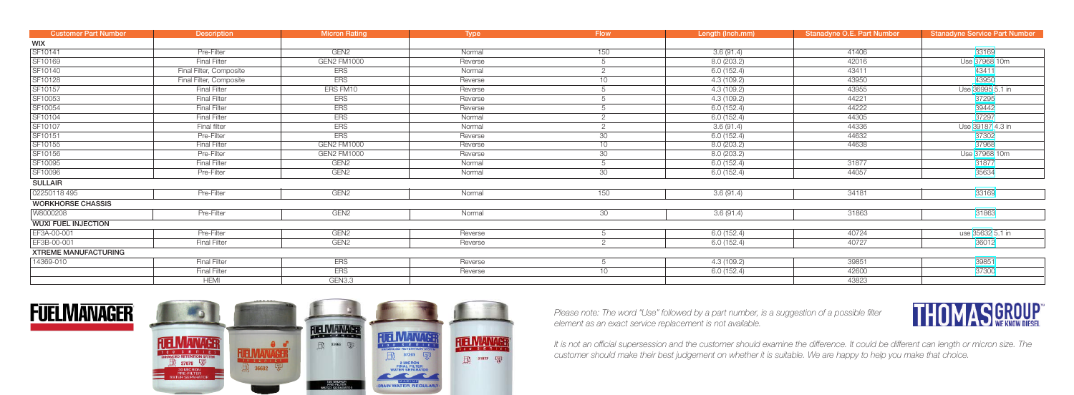| <b>Customer Part Number</b> | <b>Description</b>      | <b>Micron Rating</b> | <b>Type</b> | <b>Flow</b>    | Length (Inch.mm) | Stanadyne O.E. Part Number | <b>Stanadyne Service Part Number</b> |
|-----------------------------|-------------------------|----------------------|-------------|----------------|------------------|----------------------------|--------------------------------------|
| <b>WIX</b>                  |                         |                      |             |                |                  |                            |                                      |
| SF10141                     | Pre-Filter              | GEN <sub>2</sub>     | Normal      | 150            | 3.6(91.4)        | 41406                      | 33169                                |
| SF10169                     | <b>Final Filter</b>     | <b>GEN2 FM1000</b>   | Reverse     | 5              | 8.0(203.2)       | 42016                      | Use 37968 10m                        |
| SF10140                     | Final Filter, Composite | <b>ERS</b>           | Normal      | $\overline{2}$ | 6.0(152.4)       | 43411                      | 43411                                |
| SF10128                     | Final Filter, Composite | <b>ERS</b>           | Reverse     | 10             | 4.3(109.2)       | 43950                      | 43950                                |
| SF10157                     | <b>Final Filter</b>     | ERS FM10             | Reverse     | 5              | 4.3(109.2)       | 43955                      | Use 36995 5.1 in                     |
| SF10053                     | <b>Final Filter</b>     | <b>ERS</b>           | Reverse     | 5              | 4.3 (109.2)      | 44221                      | 37295                                |
| SF10054                     | <b>Final Filter</b>     | <b>ERS</b>           | Reverse     | 5              | 6.0(152.4)       | 44222                      | 39442                                |
| SF10104                     | <b>Final Filter</b>     | <b>ERS</b>           | Normal      | $\overline{2}$ | 6.0(152.4)       | 44305                      | 37297                                |
| SF10107                     | Final filter            | <b>ERS</b>           | Normal      | $\overline{2}$ | 3.6(91.4)        | 44336                      | Use 39187 4.3 in                     |
| SF10151                     | Pre-Filter              | <b>ERS</b>           | Reverse     | 30             | 6.0(152.4)       | 44632                      | 37302                                |
| SF10155                     | <b>Final Filter</b>     | <b>GEN2 FM1000</b>   | Reverse     | 10             | 8.0(203.2)       | 44638                      | 37968                                |
| SF10156                     | Pre-Filter              | GEN2 FM1000          | Reverse     | 30             | 8.0 (203.2)      |                            | Use 37968 10m                        |
| SF10095                     | <b>Final Filter</b>     | GEN <sub>2</sub>     | Normal      | 5              | 6.0 (152.4)      | 31877                      | 31877                                |
| SF10096                     | Pre-Filter              | GEN <sub>2</sub>     | Normal      | 30             | 6.0 (152.4)      | 44057                      | 35634                                |
| <b>SULLAIR</b>              |                         |                      |             |                |                  |                            |                                      |
| 02250118 495                | Pre-Filter              | GEN <sub>2</sub>     | Normal      | 150            | 3.6(91.4)        | 34181                      | 33169                                |
| <b>WORKHORSE CHASSIS</b>    |                         |                      |             |                |                  |                            |                                      |
| W8000208                    | Pre-Filter              | GEN <sub>2</sub>     | Normal      | 30             | 3.6(91.4)        | 31863                      | 31863                                |
| <b>WUXI FUEL INJECTION</b>  |                         |                      |             |                |                  |                            |                                      |
| EF3A-00-001                 | Pre-Filter              | GEN <sub>2</sub>     | Reverse     | 5              | 6.0(152.4)       | 40724                      | use 35632 5.1 in                     |
| EF3B-00-001                 | <b>Final Filter</b>     | GEN <sub>2</sub>     | Reverse     | 2              | 6.0(152.4)       | 40727                      | 36012                                |
| <b>XTREME MANUFACTURING</b> |                         |                      |             |                |                  |                            |                                      |
| 14369-010                   | <b>Final Filter</b>     | <b>ERS</b>           | Reverse     | 5              | 4.3(109.2)       | 39851                      | 39851                                |
|                             | <b>Final Filter</b>     | <b>ERS</b>           | Reverse     | 10             | 6.0(152.4)       | 42600                      | 37300                                |
|                             | <b>HEMI</b>             | GEN3.3               |             |                |                  | 43823                      |                                      |





*Please note: The word "Use" followed by a part number, is a suggestion of a possible filter element as an exact service replacement is not available.*

*It is not an official supersession and the customer should examine the difference. It could be different can length or micron size. The customer should make their best judgement on whether it is suitable. We are happy to help you make that choice.*